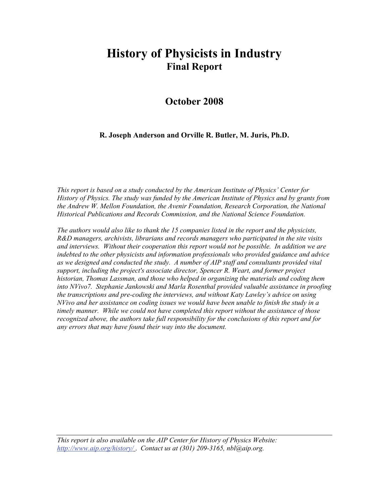# **History of Physicists in Industry Final Report**

# **October 2008**

#### **R. Joseph Anderson and Orville R. Butler, M. Juris, Ph.D.**

*This report is based on a study conducted by the American Institute of Physics' Center for History of Physics. The study was funded by the American Institute of Physics and by grants from the Andrew W. Mellon Foundation, the Avenir Foundation, Research Corporation, the National Historical Publications and Records Commission, and the National Science Foundation.* 

*The authors would also like to thank the 15 companies listed in the report and the physicists, R&D managers, archivists, librarians and records managers who participated in the site visits and interviews. Without their cooperation this report would not be possible. In addition we are indebted to the other physicists and information professionals who provided guidance and advice as we designed and conducted the study. A number of AIP staff and consultants provided vital support, including the project's associate director, Spencer R. Weart, and former project historian, Thomas Lassman, and those who helped in organizing the materials and coding them into NVivo7. Stephanie Jankowski and Marla Rosenthal provided valuable assistance in proofing the transcriptions and pre-coding the interviews, and without Katy Lawley's advice on using NVivo and her assistance on coding issues we would have been unable to finish the study in a timely manner. While we could not have completed this report without the assistance of those recognized above, the authors take full responsibility for the conclusions of this report and for any errors that may have found their way into the document.* 

*This report is also available on the AIP Center for History of Physics Website: <http://www.aip.org/history/>* . *Contact us at (301) 209-3165, nbl@aip.org.*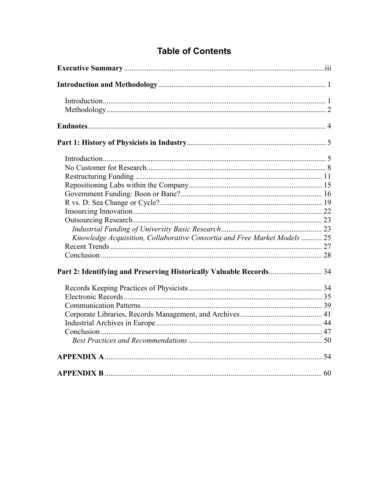| Knowledge Acquisition, Collaborative Consortia and Free Market Models  25 |  |
|---------------------------------------------------------------------------|--|
|                                                                           |  |
|                                                                           |  |
| Part 2: Identifying and Preserving Historically Valuable Records 34       |  |
|                                                                           |  |
|                                                                           |  |
|                                                                           |  |
|                                                                           |  |
|                                                                           |  |
|                                                                           |  |
|                                                                           |  |
|                                                                           |  |
|                                                                           |  |

# **Table of Contents**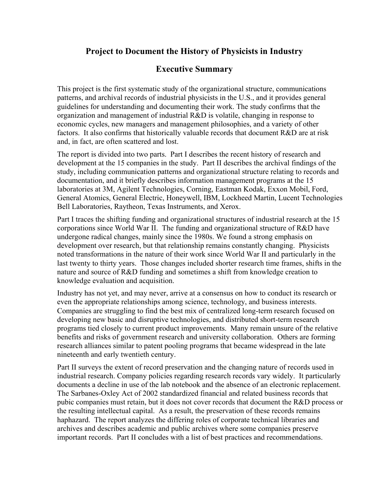# <span id="page-2-0"></span>**Project to Document the History of Physicists in Industry**

# **Executive Summary**

This project is the first systematic study of the organizational structure, communications patterns, and archival records of industrial physicists in the U.S., and it provides general guidelines for understanding and documenting their work. The study confirms that the organization and management of industrial R&D is volatile, changing in response to economic cycles, new managers and management philosophies, and a variety of other factors. It also confirms that historically valuable records that document R&D are at risk and, in fact, are often scattered and lost.

The report is divided into two parts. Part I describes the recent history of research and development at the 15 companies in the study. Part II describes the archival findings of the study, including communication patterns and organizational structure relating to records and documentation, and it briefly describes information management programs at the 15 laboratories at 3M, Agilent Technologies, Corning, Eastman Kodak, Exxon Mobil, Ford, General Atomics, General Electric, Honeywell, IBM, Lockheed Martin, Lucent Technologies Bell Laboratories, Raytheon, Texas Instruments, and Xerox.

Part I traces the shifting funding and organizational structures of industrial research at the 15 corporations since World War II. The funding and organizational structure of R&D have undergone radical changes, mainly since the 1980s. We found a strong emphasis on development over research, but that relationship remains constantly changing. Physicists noted transformations in the nature of their work since World War II and particularly in the last twenty to thirty years. Those changes included shorter research time frames, shifts in the nature and source of R&D funding and sometimes a shift from knowledge creation to knowledge evaluation and acquisition.

Industry has not yet, and may never, arrive at a consensus on how to conduct its research or even the appropriate relationships among science, technology, and business interests. Companies are struggling to find the best mix of centralized long-term research focused on developing new basic and disruptive technologies, and distributed short-term research programs tied closely to current product improvements. Many remain unsure of the relative benefits and risks of government research and university collaboration. Others are forming research alliances similar to patent pooling programs that became widespread in the late nineteenth and early twentieth century.

Part II surveys the extent of record preservation and the changing nature of records used in industrial research. Company policies regarding research records vary widely. It particularly documents a decline in use of the lab notebook and the absence of an electronic replacement. The Sarbanes-Oxley Act of 2002 standardized financial and related business records that pubic companies must retain, but it does not cover records that document the R&D process or the resulting intellectual capital. As a result, the preservation of these records remains haphazard. The report analyzes the differing roles of corporate technical libraries and archives and describes academic and public archives where some companies preserve important records. Part II concludes with a list of best practices and recommendations.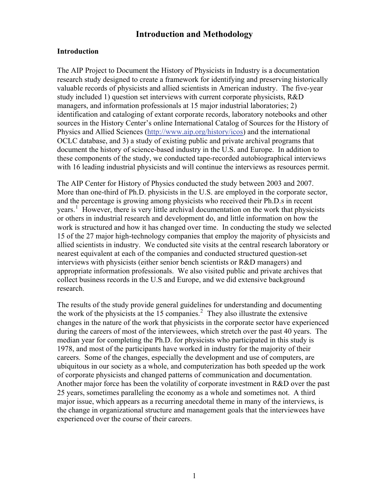# **Introduction and Methodology**

#### <span id="page-3-0"></span>**Introduction**

The AIP Project to Document the History of Physicists in Industry is a documentation research study designed to create a framework for identifying and preserving historically valuable records of physicists and allied scientists in American industry. The five-year study included 1) question set interviews with current corporate physicists, R&D managers, and information professionals at 15 major industrial laboratories; 2) identification and cataloging of extant corporate records, laboratory notebooks and other sources in the History Center's online International Catalog of Sources for the History of Physics and Allied Sciences ([http://www.aip.org/history/icos\)](http://www.aip.org/history_icos) and the international OCLC database, and 3) a study of existing public and private archival programs that document the history of science-based industry in the U.S. and Europe. In addition to these components of the study, we conducted tape-recorded autobiographical interviews with 16 leading industrial physicists and will continue the interviews as resources permit.

The AIP Center for History of Physics conducted the study between 2003 and 2007. More than one-third of Ph.D. physicists in the U.S. are employed in the corporate sector, and the percentage is growing among physicists who received their Ph.D.s in recent years.<sup>[1](#page-71-0)</sup> However, there is very little archival documentation on the work that physicists or others in industrial research and development do, and little information on how the work is structured and how it has changed over time. In conducting the study we selected 15 of the 27 major high-technology companies that employ the majority of physicists and allied scientists in industry. We conducted site visits at the central research laboratory or nearest equivalent at each of the companies and conducted structured question-set interviews with physicists (either senior bench scientists or R&D managers) and appropriate information professionals. We also visited public and private archives that collect business records in the U.S and Europe, and we did extensive background research.

The results of the study provide general guidelines for understanding and documenting the work of the physicists at the  $15$  companies.<sup>[2](#page-71-1)</sup> They also illustrate the extensive changes in the nature of the work that physicists in the corporate sector have experienced during the careers of most of the interviewees, which stretch over the past 40 years. The median year for completing the Ph.D. for physicists who participated in this study is 1978, and most of the participants have worked in industry for the majority of their careers. Some of the changes, especially the development and use of computers, are ubiquitous in our society as a whole, and computerization has both speeded up the work of corporate physicists and changed patterns of communication and documentation. Another major force has been the volatility of corporate investment in R&D over the past 25 years, sometimes paralleling the economy as a whole and sometimes not. A third major issue, which appears as a recurring anecdotal theme in many of the interviews, is the change in organizational structure and management goals that the interviewees have experienced over the course of their careers.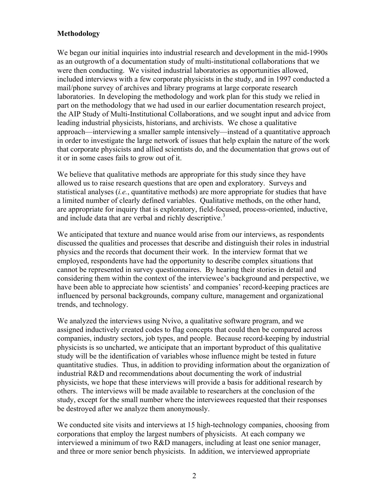## <span id="page-4-0"></span>**Methodology**

We began our initial inquiries into industrial research and development in the mid-1990s as an outgrowth of a documentation study of multi-institutional collaborations that we were then conducting. We visited industrial laboratories as opportunities allowed, included interviews with a few corporate physicists in the study, and in 1997 conducted a mail/phone survey of archives and library programs at large corporate research laboratories. In developing the methodology and work plan for this study we relied in part on the methodology that we had used in our earlier documentation research project, the AIP Study of Multi-Institutional Collaborations, and we sought input and advice from leading industrial physicists, historians, and archivists. We chose a qualitative approach—interviewing a smaller sample intensively—instead of a quantitative approach in order to investigate the large network of issues that help explain the nature of the work that corporate physicists and allied scientists do, and the documentation that grows out of it or in some cases fails to grow out of it.

We believe that qualitative methods are appropriate for this study since they have allowed us to raise research questions that are open and exploratory. Surveys and statistical analyses (*i.e.*, quantitative methods) are more appropriate for studies that have a limited number of clearly defined variables. Qualitative methods, on the other hand, are appropriate for inquiry that is exploratory, field-focused, process-oriented, inductive, and include data that are verbal and richly descriptive.<sup>[3](#page-71-1)</sup>

We anticipated that texture and nuance would arise from our interviews, as respondents discussed the qualities and processes that describe and distinguish their roles in industrial physics and the records that document their work. In the interview format that we employed, respondents have had the opportunity to describe complex situations that cannot be represented in survey questionnaires. By hearing their stories in detail and considering them within the context of the interviewee's background and perspective, we have been able to appreciate how scientists' and companies' record-keeping practices are influenced by personal backgrounds, company culture, management and organizational trends, and technology.

We analyzed the interviews using Nvivo, a qualitative software program, and we assigned inductively created codes to flag concepts that could then be compared across companies, industry sectors, job types, and people. Because record-keeping by industrial physicists is so uncharted, we anticipate that an important byproduct of this qualitative study will be the identification of variables whose influence might be tested in future quantitative studies. Thus, in addition to providing information about the organization of industrial R&D and recommendations about documenting the work of industrial physicists, we hope that these interviews will provide a basis for additional research by others. The interviews will be made available to researchers at the conclusion of the study, except for the small number where the interviewees requested that their responses be destroyed after we analyze them anonymously.

We conducted site visits and interviews at 15 high-technology companies, choosing from corporations that employ the largest numbers of physicists. At each company we interviewed a minimum of two R&D managers, including at least one senior manager, and three or more senior bench physicists. In addition, we interviewed appropriate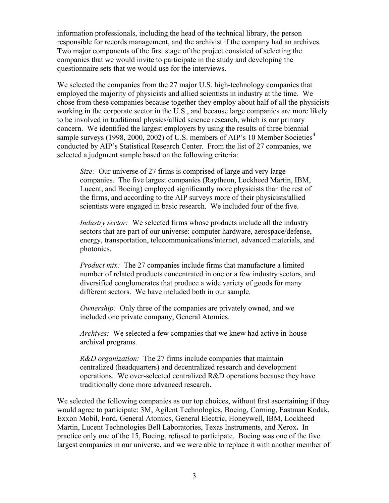information professionals, including the head of the technical library, the person responsible for records management, and the archivist if the company had an archives. Two major components of the first stage of the project consisted of selecting the companies that we would invite to participate in the study and developing the questionnaire sets that we would use for the interviews.

We selected the companies from the 27 major U.S. high-technology companies that employed the majority of physicists and allied scientists in industry at the time. We chose from these companies because together they employ about half of all the physicists working in the corporate sector in the U.S., and because large companies are more likely to be involved in traditional physics/allied science research, which is our primary concern. We identified the largest employers by using the results of three biennial sample surveys (1998, 2000, 2002) of U.S. members of AIP's 10 Member Societies<sup>[4](#page-71-1)</sup> conducted by AIP's Statistical Research Center. From the list of 27 companies, we selected a judgment sample based on the following criteria:

*Size:* Our universe of 27 firms is comprised of large and very large companies. The five largest companies (Raytheon, Lockheed Martin, IBM, Lucent, and Boeing) employed significantly more physicists than the rest of the firms, and according to the AIP surveys more of their physicists/allied scientists were engaged in basic research. We included four of the five.

*Industry sector:* We selected firms whose products include all the industry sectors that are part of our universe: computer hardware, aerospace/defense, energy, transportation, telecommunications/internet, advanced materials, and photonics.

*Product mix:* The 27 companies include firms that manufacture a limited number of related products concentrated in one or a few industry sectors, and diversified conglomerates that produce a wide variety of goods for many different sectors. We have included both in our sample.

*Ownership:* Only three of the companies are privately owned, and we included one private company, General Atomics.

*Archives:* We selected a few companies that we knew had active in-house archival programs.

*R&D organization:* The 27 firms include companies that maintain centralized (headquarters) and decentralized research and development operations. We over-selected centralized R&D operations because they have traditionally done more advanced research.

We selected the following companies as our top choices, without first ascertaining if they would agree to participate: 3M, Agilent Technologies, Boeing, Corning, Eastman Kodak, Exxon Mobil, Ford, General Atomics, General Electric, Honeywell, IBM, Lockheed Martin, Lucent Technologies Bell Laboratories, Texas Instruments, and Xerox**.** In practice only one of the 15, Boeing, refused to participate. Boeing was one of the five largest companies in our universe, and we were able to replace it with another member of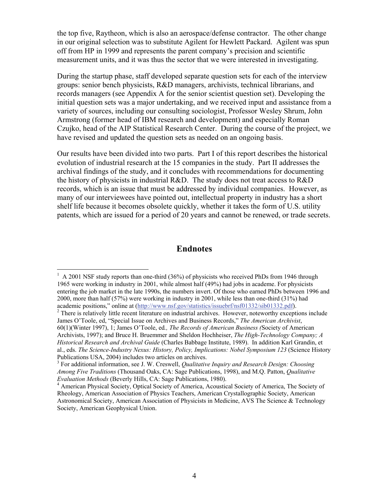<span id="page-6-0"></span>the top five, Raytheon, which is also an aerospace/defense contractor. The other change in our original selection was to substitute Agilent for Hewlett Packard. Agilent was spun off from HP in 1999 and represents the parent company's precision and scientific measurement units, and it was thus the sector that we were interested in investigating.

During the startup phase, staff developed separate question sets for each of the interview groups: senior bench physicists, R&D managers, archivists, technical librarians, and records managers (see Appendix A for the senior scientist question set). Developing the initial question sets was a major undertaking, and we received input and assistance from a variety of sources, including our consulting sociologist, Professor Wesley Shrum, John Armstrong (former head of IBM research and development) and especially Roman Czujko, head of the AIP Statistical Research Center. During the course of the project, we have revised and updated the question sets as needed on an ongoing basis.

Our results have been divided into two parts. Part I of this report describes the historical evolution of industrial research at the 15 companies in the study. Part II addresses the archival findings of the study, and it concludes with recommendations for documenting the history of physicists in industrial R&D. The study does not treat access to R&D records, which is an issue that must be addressed by individual companies. However, as many of our interviewees have pointed out, intellectual property in industry has a short shelf life because it becomes obsolete quickly, whether it takes the form of U.S. utility patents, which are issued for a period of 20 years and cannot be renewed, or trade secrets.

#### **Endnotes**

 $\overline{a}$ 

 $1$  A 2001 NSF study reports than one-third (36%) of physicists who received PhDs from 1946 through 1965 were working in industry in 2001, while almost half (49%) had jobs in academe. For physicists entering the job market in the late 1990s, the numbers invert. Of those who earned PhDs between 1996 and 2000, more than half (57%) were working in industry in 2001, while less than one-third (31%) had academic positions," online at [\(http://www.nsf.gov/statistics/issuebrf/nsf01332/sib01332.pdf](http://www.nsf.gov/statistics/issuebrf/nsf01332/sib01332.pdf)).

<sup>&</sup>lt;sup>2</sup> There is relatively little recent literature on industrial archives. However, noteworthy exceptions include James O'Toole, ed, "Special Issue on Archives and Business Records," *The American Archivist*, 60(1)(Winter 1997), 1; James O'Toole, ed*., The Records of American Business (*Society of American Archivists, 1997); and Bruce H. Bruemmer and Sheldon Hochheiser, *The High-Technology Company; A Historical Research and Archival Guide* (Charles Babbage Institute, 1989). In addition Karl Grandin, et al., eds. *The Science-Industry Nexus: History, Policy, Implications: Nobel Symposium 123* (Science History Publications USA, 2004) includes two articles on archives.

<sup>3</sup> For additional information, see J. W. Creswell, *Qualitative Inquiry and Research Design: Choosing Among Five Traditions* (Thousand Oaks, CA: Sage Publications, 1998), and M.Q. Patton, *Qualitative Evaluation Methods* (Beverly Hills, CA: Sage Publications, 1980).<br><sup>4</sup> American Physical Society, Optical Society of America, Acoustical Society of America, The Society of

Rheology, American Association of Physics Teachers, American Crystallographic Society, American Astronomical Society, American Association of Physicists in Medicine, AVS The Science & Technology Society, American Geophysical Union.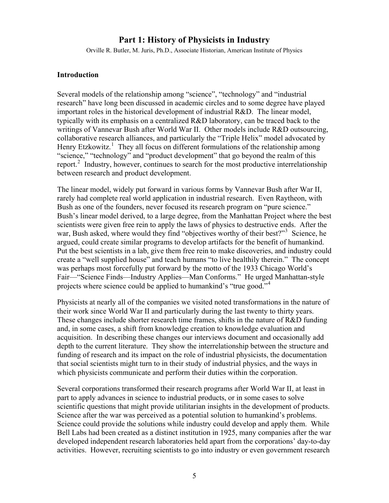## **Part 1: History of Physicists in Industry**

Orville R. Butler, M. Juris, Ph.D., Associate Historian, American Institute of Physics

#### <span id="page-7-0"></span>**Introduction**

Several models of the relationship among "science", "technology" and "industrial research" have long been discussed in academic circles and to some degree have played important roles in the historical development of industrial R&D. The linear model, typically with its emphasis on a centralized R&D laboratory, can be traced back to the writings of Vannevar Bush after World War II. Other models include R&D outsourcing, collaborative research alliances, and particularly the "Triple Helix" model advocated by Henry Etzkowitz.<sup>[1](#page-71-1)</sup> They all focus on different formulations of the relationship among "science," "technology" and "product development" that go beyond the realm of this report.<sup>[2](#page-71-2)</sup> Industry, however, continues to search for the most productive interrelationship between research and product development.

The linear model, widely put forward in various forms by Vannevar Bush after War II, rarely had complete real world application in industrial research. Even Raytheon, with Bush as one of the founders, never focused its research program on "pure science." Bush's linear model derived, to a large degree, from the Manhattan Project where the best scientists were given free rein to apply the laws of physics to destructive ends. After the war, Bush asked, where would they find "objectives worthy of their best?"<sup>[3](#page-71-1)</sup> Science, he argued, could create similar programs to develop artifacts for the benefit of humankind. Put the best scientists in a lab, give them free rein to make discoveries, and industry could create a "well supplied house" and teach humans "to live healthily therein." The concept was perhaps most forcefully put forward by the motto of the 1933 Chicago World's Fair—"Science Finds—Industry Applies—Man Conforms." He urged Manhattan-style projects where science could be applied to humankind's "true good."<sup>[4](#page-71-1)</sup>

Physicists at nearly all of the companies we visited noted transformations in the nature of their work since World War II and particularly during the last twenty to thirty years. These changes include shorter research time frames, shifts in the nature of R&D funding and, in some cases, a shift from knowledge creation to knowledge evaluation and acquisition. In describing these changes our interviews document and occasionally add depth to the current literature. They show the interrelationship between the structure and funding of research and its impact on the role of industrial physicists, the documentation that social scientists might turn to in their study of industrial physics, and the ways in which physicists communicate and perform their duties within the corporation.

Several corporations transformed their research programs after World War II, at least in part to apply advances in science to industrial products, or in some cases to solve scientific questions that might provide utilitarian insights in the development of products. Science after the war was perceived as a potential solution to humankind's problems. Science could provide the solutions while industry could develop and apply them. While Bell Labs had been created as a distinct institution in 1925, many companies after the war developed independent research laboratories held apart from the corporations' day-to-day activities. However, recruiting scientists to go into industry or even government research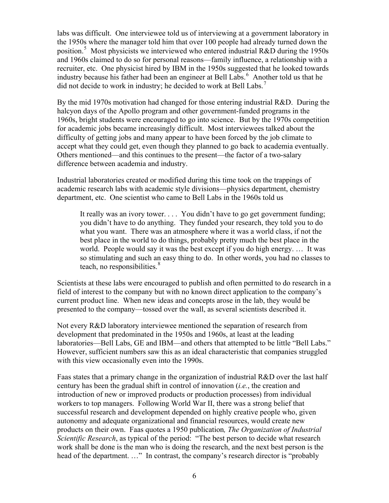labs was difficult. One interviewee told us of interviewing at a government laboratory in the 1950s where the manager told him that over 100 people had already turned down the position.<sup>[5](#page-71-1)</sup> Most physicists we interviewed who entered industrial R&D during the 1950s and 1960s claimed to do so for personal reasons—family influence, a relationship with a recruiter, etc. One physicist hired by IBM in the 1950s suggested that he looked towards industry because his father had been an engineer at Bell Labs.<sup>[6](#page-71-1)</sup> Another told us that he did not decide to work in industry; he decided to work at Bell Labs.<sup>[7](#page-71-1)</sup>

By the mid 1970s motivation had changed for those entering industrial R&D. During the halcyon days of the Apollo program and other government-funded programs in the 1960s, bright students were encouraged to go into science. But by the 1970s competition for academic jobs became increasingly difficult. Most interviewees talked about the difficulty of getting jobs and many appear to have been forced by the job climate to accept what they could get, even though they planned to go back to academia eventually. Others mentioned—and this continues to the present—the factor of a two-salary difference between academia and industry.

Industrial laboratories created or modified during this time took on the trappings of academic research labs with academic style divisions—physics department, chemistry department, etc. One scientist who came to Bell Labs in the 1960s told us

It really was an ivory tower. . . . You didn't have to go get government funding; you didn't have to do anything. They funded your research, they told you to do what you want. There was an atmosphere where it was a world class, if not the best place in the world to do things, probably pretty much the best place in the world. People would say it was the best except if you do high energy. … It was so stimulating and such an easy thing to do. In other words, you had no classes to teach, no responsibilities. $8$ 

Scientists at these labs were encouraged to publish and often permitted to do research in a field of interest to the company but with no known direct application to the company's current product line. When new ideas and concepts arose in the lab, they would be presented to the company—tossed over the wall, as several scientists described it.

Not every R&D laboratory interviewee mentioned the separation of research from development that predominated in the 1950s and 1960s, at least at the leading laboratories—Bell Labs, GE and IBM—and others that attempted to be little "Bell Labs." However, sufficient numbers saw this as an ideal characteristic that companies struggled with this view occasionally even into the 1990s.

Faas states that a primary change in the organization of industrial R&D over the last half century has been the gradual shift in control of innovation (*i.e.*, the creation and introduction of new or improved products or production processes) from individual workers to top managers. Following World War II, there was a strong belief that successful research and development depended on highly creative people who, given autonomy and adequate organizational and financial resources, would create new products on their own. Faas quotes a 1950 publication*, The Organization of Industrial Scientific Research*, as typical of the period: "The best person to decide what research work shall be done is the man who is doing the research, and the next best person is the head of the department. …" In contrast, the company's research director is "probably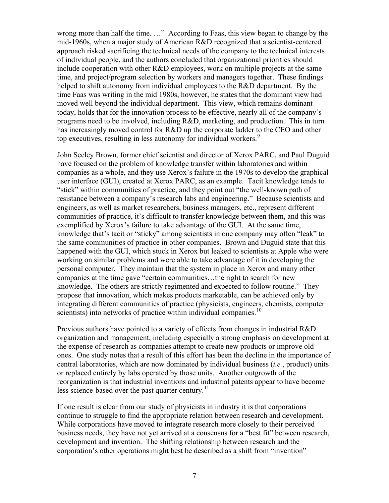wrong more than half the time. …" According to Faas, this view began to change by the mid-1960s, when a major study of American R&D recognized that a scientist-centered approach risked sacrificing the technical needs of the company to the technical interests of individual people, and the authors concluded that organizational priorities should include cooperation with other R&D employees, work on multiple projects at the same time, and project/program selection by workers and managers together. These findings helped to shift autonomy from individual employees to the R&D department. By the time Faas was writing in the mid 1980s, however, he states that the dominant view had moved well beyond the individual department. This view, which remains dominant today, holds that for the innovation process to be effective, nearly all of the company's programs need to be involved, including R&D, marketing, and production. This in turn has increasingly moved control for R&D up the corporate ladder to the CEO and other top executives, resulting in less autonomy for individual workers.<sup>[9](#page-71-1)</sup>

John Seeley Brown, former chief scientist and director of Xerox PARC, and Paul Duguid have focused on the problem of knowledge transfer within laboratories and within companies as a whole, and they use Xerox's failure in the 1970s to develop the graphical user interface (GUI), created at Xerox PARC, as an example. Tacit knowledge tends to "stick" within communities of practice, and they point out "the well-known path of resistance between a company's research labs and engineering." Because scientists and engineers, as well as market researchers, business managers, etc., represent different communities of practice, it's difficult to transfer knowledge between them, and this was exemplified by Xerox's failure to take advantage of the GUI. At the same time, knowledge that's tacit or "sticky" among scientists in one company may often "leak" to the same communities of practice in other companies. Brown and Duguid state that this happened with the GUI, which stuck in Xerox but leaked to scientists at Apple who were working on similar problems and were able to take advantage of it in developing the personal computer. They maintain that the system in place in Xerox and many other companies at the time gave "certain communities…the right to search for new knowledge. The others are strictly regimented and expected to follow routine." They propose that innovation, which makes products marketable, can be achieved only by integrating different communities of practice (physicists, engineers, chemists, computer scientists) into networks of practice within individual companies.<sup>[10](#page-71-1)</sup>

Previous authors have pointed to a variety of effects from changes in industrial R&D organization and management, including especially a strong emphasis on development at the expense of research as companies attempt to create new products or improve old ones. One study notes that a result of this effort has been the decline in the importance of central laboratories, which are now dominated by individual business (*i.e.*, product) units or replaced entirely by labs operated by those units. Another outgrowth of the reorganization is that industrial inventions and industrial patents appear to have become less science-based over the past quarter century.<sup>[11](#page-71-1)</sup>

If one result is clear from our study of physicists in industry it is that corporations continue to struggle to find the appropriate relation between research and development. While corporations have moved to integrate research more closely to their perceived business needs, they have not yet arrived at a consensus for a "best fit" between research, development and invention. The shifting relationship between research and the corporation's other operations might best be described as a shift from "invention"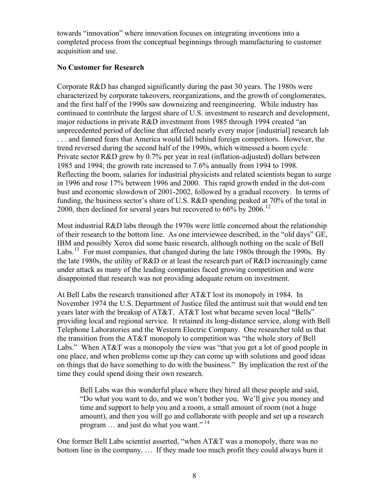<span id="page-10-0"></span>towards "innovation" where innovation focuses on integrating inventions into a completed process from the conceptual beginnings through manufacturing to customer acquisition and use.

## **No Customer for Research**

Corporate R&D has changed significantly during the past 30 years. The 1980s were characterized by corporate takeovers, reorganizations, and the growth of conglomerates, and the first half of the 1990s saw downsizing and reengineering. While industry has continued to contribute the largest share of U.S. investment to research and development, major reductions in private R&D investment from 1985 through 1994 created "an unprecedented period of decline that affected nearly every major [industrial] research lab . . . and fanned fears that America would fall behind foreign competitors. However, the trend reversed during the second half of the 1990s, which witnessed a boom cycle. Private sector R&D grew by 0.7% per year in real (inflation-adjusted) dollars between 1985 and 1994; the growth rate increased to 7.6% annually from 1994 to 1998. Reflecting the boom, salaries for industrial physicists and related scientists began to surge in 1996 and rose 17% between 1996 and 2000. This rapid growth ended in the dot-com bust and economic slowdown of 2001-2002, followed by a gradual recovery. In terms of funding, the business sector's share of U.S. R&D spending peaked at 70% of the total in 2000, then declined for several years but recovered to 66% by 2006.<sup>[12](#page-71-1)</sup>

Most industrial R&D labs through the 1970s were little concerned about the relationship of their research to the bottom line. As one interviewee described, in the "old days" GE, IBM and possibly Xerox did some basic research, although nothing on the scale of Bell Labs.<sup>[13](#page-71-1)</sup> For most companies, that changed during the late 1980s through the 1990s. By the late 1980s, the utility of R&D or at least the research part of R&D increasingly came under attack as many of the leading companies faced growing competition and were disappointed that research was not providing adequate return on investment.

At Bell Labs the research transitioned after AT&T lost its monopoly in 1984. In November 1974 the U.S. Department of Justice filed the antitrust suit that would end ten years later with the breakup of AT&T. AT&T lost what became seven local "Bells" providing local and regional service. It retained its long-distance service, along with Bell Telephone Laboratories and the Western Electric Company. One researcher told us that the transition from the AT&T monopoly to competition was "the whole story of Bell Labs." When AT&T was a monopoly the view was "that you get a lot of good people in one place, and when problems come up they can come up with solutions and good ideas on things that do have something to do with the business." By implication the rest of the time they could spend doing their own research.

Bell Labs was this wonderful place where they hired all these people and said, "Do what you want to do, and we won't bother you. We'll give you money and time and support to help you and a room, a small amount of room (not a huge amount), and then you will go and collaborate with people and set up a research program … and just do what you want." [14](#page-71-1)

One former Bell Labs scientist asserted, "when AT&T was a monopoly, there was no bottom line in the company. … If they made too much profit they could always burn it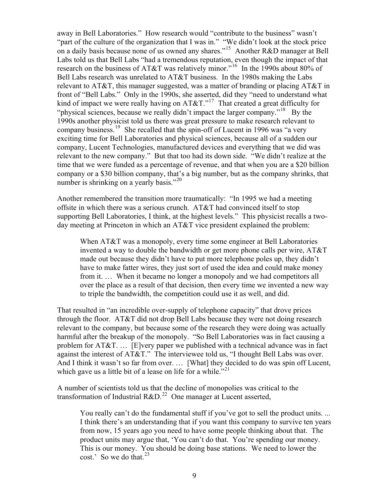away in Bell Laboratories." How research would "contribute to the business" wasn't "part of the culture of the organization that I was in." "We didn't look at the stock price on a daily basis because none of us owned any shares."[15](#page-71-1) Another R&D manager at Bell Labs told us that Bell Labs "had a tremendous reputation, even though the impact of that research on the business of AT&T was relatively minor.<sup>"[16](#page-71-1)</sup> In the 1990s about 80% of Bell Labs research was unrelated to AT&T business. In the 1980s making the Labs relevant to AT&T, this manager suggested, was a matter of branding or placing AT&T in front of "Bell Labs." Only in the 1990s, she asserted, did they "need to understand what kind of impact we were really having on  $AT&T.^{17}$  $AT&T.^{17}$  $AT&T.^{17}$  That created a great difficulty for "physical sciences, because we really didn't impact the larger company."<sup>[18](#page-71-1)</sup> By the 1990s another physicist told us there was great pressure to make research relevant to company business.<sup>[19](#page-71-1)</sup> She recalled that the spin-off of Lucent in 1996 was "a very exciting time for Bell Laboratories and physical sciences, because all of a sudden our company, Lucent Technologies, manufactured devices and everything that we did was relevant to the new company." But that too had its down side. "We didn't realize at the time that we were funded as a percentage of revenue, and that when you are a \$20 billion company or a \$30 billion company, that's a big number, but as the company shrink s, that number is shrinking on a yearly basis."<sup>20</sup>

Another remembered the transition more traumatically: "In 1995 we had a meeting offsite in which there was a serious crunch. AT&T had convinced itself to stop supporting Bell Laboratories, I think, at the highest levels." This physicist recalls a twoday meeting at Princeton in which an AT&T vice president explained the problem:

When AT&T was a monopoly, every time some engineer at Bell Laboratories invented a way to double the bandwidth or get more phone calls per wire, AT&T made out because they didn't have to put more telephone poles up, they didn't have to make fatter wires, they just sort of used the idea and could make money from it. … When it became no longer a monopoly and we had competitors all over the place as a result of that decision, then every time we invented a new way to triple the bandwidth, the competition could use it as well, and did.

That resulted in "an incredible over-supply of telephone capacity" that drove prices through the floor. AT&T did not drop Bell Labs because they were not doing research relevant to the company, but because some of the research they were doing was actually harmful after the breakup of the monopoly. "So Bell Laboratories was in fact causing a problem for AT&T. … [E]very paper we published with a technical advance was in fact against the interest of AT&T." The interviewee told us, "I thought Bell Labs was over. And I think it wasn't so far from over. … [What] they decided to do was spin off Lucent, which gave us a little bit of a lease on life for a while. $^{21}$  $^{21}$  $^{21}$ 

A number of scientists told us that the decline of monopolies was critical to the transformation of Industrial R&D.<sup>[22](#page-71-1)</sup> One manager at Lucent asserted,

You really can't do the fundamental stuff if you've got to sell the product units. ... I think there's an understanding that if you want this company to survive ten years from now, 15 years ago you need to have some people thinking about that. The product units may argue that, 'You can't do that. You're spending our money. This is our money. You should be doing base stations. We need to lower the cost.' So we do that.<sup>[23](#page-71-1)</sup>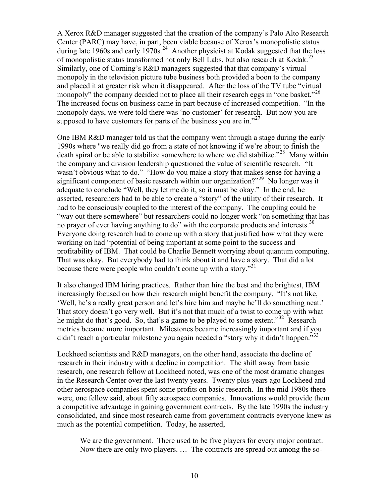A Xerox R&D manager suggested that the creation of the company's Palo Alto Research Center (PARC) may have, in part, been viable because of Xerox's monopolistic status during late 1960s and early  $1970s<sup>24</sup>$  $1970s<sup>24</sup>$  $1970s<sup>24</sup>$  Another physicist at Kodak suggested that the loss of monopolistic status transformed not only Bell Labs, but also research at Kodak.<sup>[25](#page-71-1)</sup> Similarly, one of Corning's R&D managers suggested that that company's virtual monopoly in the television picture tube business both provided a boon to the company and placed it at greater risk when it disappeared. After the loss of the TV tube "virtual monopoly" the company decided not to place all their research eggs in "one basket."<sup>[26](#page-71-1)</sup> The increased focus on business came in part because of increased competition. "In the monopoly days, we were told there was 'no customer' for research. But now you are supposed to have customers for parts of the business you are in. $127$  $127$ 

One IBM R&D manager told us that the company went through a stage during the early 1990s where "we really did go from a state of not knowing if we're about to finish the death spiral or be able to stabilize somewhere to where we did stabilize."<sup>[28](#page-71-1)</sup> Many within the company and division leadership questioned the value of scientific research. "It wasn't obvious what to do." "How do you make a story that makes sense for having a significant component of basic research within our organization?"<sup>[29](#page-71-1)</sup> No longer was it adequate to conclude "Well, they let me do it, so it must be okay." In the end, he asserted, researchers had to be able to create a "story" of the utility of their research. It had to be consciously coupled to the interest of the company. The coupling could be "way out there somewhere" but researchers could no longer work "on something that has no prayer of ever having anything to do" with the corporate products and interests.<sup>[30](#page-71-1)</sup> Everyone doing research had to come up with a story that justified how what they were working on had "potential of being important at some point to the success and profitability of IBM. That could be Charlie Bennett worrying about quantum computing. That was okay. But everybody had to think about it and have a story. That did a lot because there were people who couldn't come up with a story."<sup>[31](#page-71-1)</sup>

It also changed IBM hiring practices. Rather than hire the best and the brightest, IBM increasingly focused on how their research might benefit the company. "It's not like, 'Well, he's a really great person and let's hire him and maybe he'll do something neat.' That story doesn't go very well. But it's not that much of a twist to come up with what he might do that's good. So, that's a game to be played to some extent."<sup>[32](#page-71-1)</sup> Research metrics became more important. Milestones became increasingly important and if you didn't reach a particular milestone you again needed a "story why it didn't happen."<sup>[33](#page-71-1)</sup>

Lockheed scientists and R&D managers, on the other hand, associate the decline of research in their industry with a decline in competition. The shift away from basic research, one research fellow at Lockheed noted, was one of the most dramatic changes in the Research Center over the last twenty years. Twenty plus years ago Lockheed and other aerospace companies spent some profits on basic research. In the mid 1980s there were, one fellow said, about fifty aerospace companies. Innovations would provide them a competitive advantage in gaining government contracts. By the late 1990s the industry consolidated, and since most research came from government contracts everyone knew as much as the potential competition. Today, he asserted,

We are the government. There used to be five players for every major contract. Now there are only two players. … The contracts are spread out among the so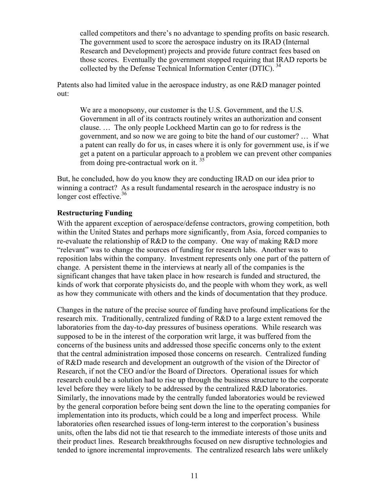<span id="page-13-0"></span>called competitors and there's no advantage to spending profits on basic research. The government used to score the aerospace industry on its IRAD (Internal Research and Development) projects and provide future contract fees based on those scores. Eventually the government stopped requiring that IRAD reports be collected by the Defense Technical Information Center (DTIC).<sup>[34](#page-71-1)</sup>

Patents also had limited value in the aerospace industry, as one R&D manager pointed out:

We are a monopsony, our customer is the U.S. Government, and the U.S. Government in all of its contracts routinely writes an authorization and consent clause. … The only people Lockheed Martin can go to for redress is the government, and so now we are going to bite the hand of our customer? … What a patent can really do for us, in cases where it is only for government use, is if we get a patent on a particular approach to a problem we can prevent other companies from doing pre-contractual work on it.  $35$ 

But, he concluded, how do you know they are conducting IRAD on our idea prior to winning a contract? As a result fundamental research in the aerospace industry is no longer cost effective.<sup>[36](#page-71-1)</sup>

## **Restructuring Funding**

With the apparent exception of aerospace/defense contractors, growing competition, both within the United States and perhaps more significantly, from Asia, forced companies to re-evaluate the relationship of R&D to the company. One way of making R&D more "relevant" was to change the sources of funding for research labs. Another was to reposition labs within the company. Investment represents only one part of the pattern of change. A persistent theme in the interviews at nearly all of the companies is the significant changes that have taken place in how research is funded and structured, the kinds of work that corporate physicists do, and the people with whom they work, as well as how they communicate with others and the kinds of documentation that they produce.

Changes in the nature of the precise source of funding have profound implications for the research mix. Traditionally, centralized funding of R&D to a large extent removed the laboratories from the day-to-day pressures of business operations. While research was supposed to be in the interest of the corporation writ large, it was buffered from the concerns of the business units and addressed those specific concerns only to the extent that the central administration imposed those concerns on research. Centralized funding of R&D made research and development an outgrowth of the vision of the Director of Research, if not the CEO and/or the Board of Directors. Operational issues for which research could be a solution had to rise up through the business structure to the corporate level before they were likely to be addressed by the centralized R&D laboratories. Similarly, the innovations made by the centrally funded laboratories would be reviewed by the general corporation before being sent down the line to the operating companies for implementation into its products, which could be a long and imperfect process. While laboratories often researched issues of long-term interest to the corporation's business units, often the labs did not tie that research to the immediate interests of those units and their product lines. Research breakthroughs focused on new disruptive technologies and tended to ignore incremental improvements. The centralized research labs were unlikely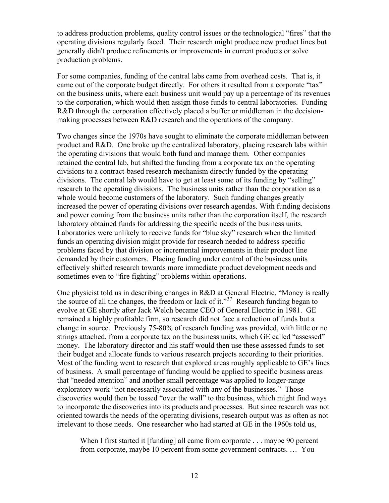to address production problems, quality control issues or the technological "fires" that the operating divisions regularly faced. Their research might produce new product lines but generally didn't produce refinements or improvements in current products or solve production problems.

For some companies, funding of the central labs came from overhead costs. That is, it came out of the corporate budget directly. For others it resulted from a corporate "tax" on the business units, where each business unit would pay up a percentage of its revenues to the corporation, which would then assign those funds to central laboratories. Funding R&D through the corporation effectively placed a buffer or middleman in the decisionmaking processes between R&D research and the operations of the company.

Two changes since the 1970s have sought to eliminate the corporate middleman between product and R&D. One broke up the centralized laboratory, placing research labs within the operating divisions that would both fund and manage them. Other companies retained the central lab, but shifted the funding from a corporate tax on the operating divisions to a contract-based research mechanism directly funded by the operating divisions. The central lab would have to get at least some of its funding by "selling" research to the operating divisions. The business units rather than the corporation as a whole would become customers of the laboratory. Such funding changes greatly increased the power of operating divisions over research agendas. With funding decisions and power coming from the business units rather than the corporation itself, the research laboratory obtained funds for addressing the specific needs of the business units. Laboratories were unlikely to receive funds for "blue sky" research when the limited funds an operating division might provide for research needed to address specific problems faced by that division or incremental improvements in their product line demanded by their customers. Placing funding under control of the business units effectively shifted research towards more immediate product development needs and sometimes even to "fire fighting" problems within operations.

One physicist told us in describing changes in R&D at General Electric, "Money is really the source of all the changes, the freedom or lack of it."<sup>[37](#page-71-1)</sup> Research funding began to evolve at GE shortly after Jack Welch became CEO of General Electric in 1981. GE remained a highly profitable firm, so research did not face a reduction of funds but a change in source. Previously 75-80% of research funding was provided, with little or no strings attached, from a corporate tax on the business units, which GE called "assessed" money. The laboratory director and his staff would then use these assessed funds to set their budget and allocate funds to various research projects according to their priorities. Most of the funding went to research that explored areas roughly applicable to GE's lines of business. A small percentage of funding would be applied to specific business areas that "needed attention" and another small percentage was applied to longer-range exploratory work "not necessarily associated with any of the businesses." Those discoveries would then be tossed "over the wall" to the business, which might find ways to incorporate the discoveries into its products and processes. But since research was not oriented towards the needs of the operating divisions, research output was as often as not irrelevant to those needs. One researcher who had started at GE in the 1960s told us,

When I first started it [funding] all came from corporate . . . maybe 90 percent from corporate, maybe 10 percent from some government contracts. … You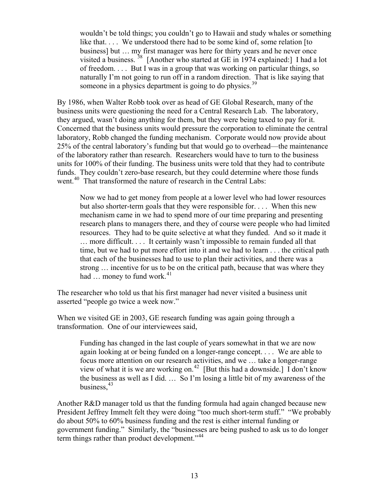wouldn't be told things; you couldn't go to Hawaii and study whales or something like that.... We understood there had to be some kind of, some relation [to] business] but … my first manager was here for thirty years and he never once visited a business.  $38$  [Another who started at GE in 1974 explained:] I had a lot of freedom. . . . But I was in a group that was working on particular things, so naturally I'm not going to run off in a random direction. That is like saying that someone in a physics department is going to do physics.<sup>[39](#page-71-1)</sup>

By 1986, when Walter Robb took over as head of GE Global Research, many of the business units were questioning the need for a Central Research Lab. The laboratory, they argued, wasn't doing anything for them, but they were being taxed to pay for it. Concerned that the business units would pressure the corporation to eliminate the central laboratory, Robb changed the funding mechanism. Corporate would now provide about 25% of the central laboratory's funding but that would go to overhead—the maintenance of the laboratory rather than research. Researchers would have to turn to the business units for 100% of their funding. The business units were told that they had to contribute funds. They couldn't zero-base research, but they could determine where those funds went.<sup>[40](#page-71-1)</sup> That transformed the nature of research in the Central Labs:

Now we had to get money from people at a lower level who had lower resources but also shorter-term goals that they were responsible for. . . . When this new mechanism came in we had to spend more of our time preparing and presenting research plans to managers there, and they of course were people who had limited resources. They had to be quite selective at what they funded. And so it made it … more difficult. . . . It certainly wasn't impossible to remain funded all that time, but we had to put more effort into it and we had to learn . . . the critical path that each of the businesses had to use to plan their activities, and there was a strong … incentive for us to be on the critical path, because that was where they had  $\ldots$  money to fund work.<sup>[41](#page-71-1)</sup>

The researcher who told us that his first manager had never visited a business unit asserted "people go twice a week now."

When we visited GE in 2003, GE research funding was again going through a transformation. One of our interviewees said,

Funding has changed in the last couple of years somewhat in that we are now again looking at or being funded on a longer-range concept. . . . We are able to focus more attention on our research activities, and we … take a longer-range view of what it is we are working on.<sup>[42](#page-71-1)</sup> [But this had a downside.] I don't know the business as well as I did. … So I'm losing a little bit of my awareness of the business,  $43$ 

Another R&D manager told us that the funding formula had again changed because new President Jeffrey Immelt felt they were doing "too much short-term stuff." "We probably do about 50% to 60% business funding and the rest is either internal funding or government funding." Similarly, the "businesses are being pushed to ask us to do longer term things rather than product development."<sup>[44](#page-71-1)</sup>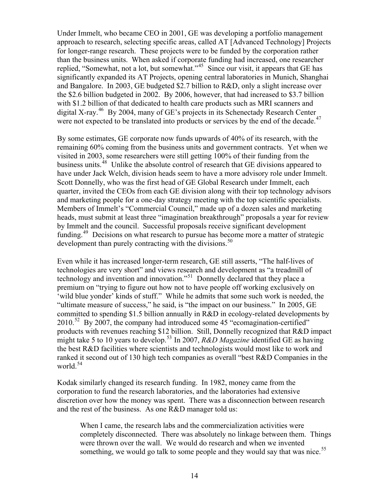Under Immelt, who became CEO in 2001, GE was developing a portfolio management approach to research, selecting specific areas, called AT [Advanced Technology] Projects for longer-range research. These projects were to be funded by the corporation rather than the business units. When asked if corporate funding had increased, one researcher replied, "Somewhat, not a lot, but somewhat."<sup>[45](#page-71-1)</sup> Since our visit, it appears that GE has significantly expanded its AT Projects, opening central laboratories in Munich, Shanghai and Bangalore. In 2003, GE budgeted \$2.7 billion to R&D, only a slight increase over the \$2.6 billion budgeted in 2002. By 2006, however, that had increased to \$3.7 billion with \$1.2 billion of that dedicated to health care products such as MRI scanners and digital X-ray.[46](#page-71-1) By 2004, many of GE's projects in its Schenectady Research Center were not expected to be translated into products or services by the end of the decade.<sup>[47](#page-71-1)</sup>

By some estimates, GE corporate now funds upwards of 40% of its research, with the remaining 60% coming from the business units and government contracts. Yet when we visited in 2003, some researchers were still getting 100% of their funding from the business units.<sup>[48](#page-71-1)</sup> Unlike the absolute control of research that GE divisions appeared to have under Jack Welch, division heads seem to have a more advisory role under Immelt. Scott Donnelly, who was the first head of GE Global Research under Immelt, each quarter, invited the CEOs from each GE division along with their top technology advisors and marketing people for a one-day strategy meeting with the top scientific specialists. Members of Immelt's "Commercial Council," made up of a dozen sales and marketing heads, must submit at least three "imagination breakthrough" proposals a year for review by Immelt and the council. Successful proposals receive significant development funding.<sup>[49](#page-71-1)</sup> Decisions on what research to pursue has become more a matter of strategic development than purely contracting with the divisions.<sup>[50](#page-71-1)</sup>

Even while it has increased longer-term research, GE still asserts, "The half-lives of technologies are very short" and views research and development as "a treadmill of technology and invention and innovation."[51](#page-71-1) Donnelly declared that they place a premium on "trying to figure out how not to have people off working exclusively on 'wild blue yonder' kinds of stuff." While he admits that some such work is needed, the "ultimate measure of success," he said, is "the impact on our business." In 2005, GE committed to spending \$1.5 billion annually in R&D in ecology-related developments by  $2010.<sup>52</sup>$  $2010.<sup>52</sup>$  $2010.<sup>52</sup>$  By 2007, the company had introduced some 45 "ecomagination-certified" products with revenues reaching \$12 billion. Still, Donnelly recognized that R&D impact might take 5 to 10 years to develop.<sup>[53](#page-71-1)</sup> In 2007, *R&D Magazine* identified GE as having the best R&D facilities where scientists and technologists would most like to work and ranked it second out of 130 high tech companies as overall "best R&D Companies in the world.<sup>[54](#page-71-1)</sup>

Kodak similarly changed its research funding. In 1982, money came from the corporation to fund the research laboratories, and the laboratories had extensive discretion over how the money was spent. There was a disconnection between research and the rest of the business. As one R&D manager told us:

When I came, the research labs and the commercialization activities were completely disconnected. There was absolutely no linkage between them. Things were thrown over the wall. We would do research and when we invented something, we would go talk to some people and they would say that was nice.<sup>[55](#page-71-1)</sup>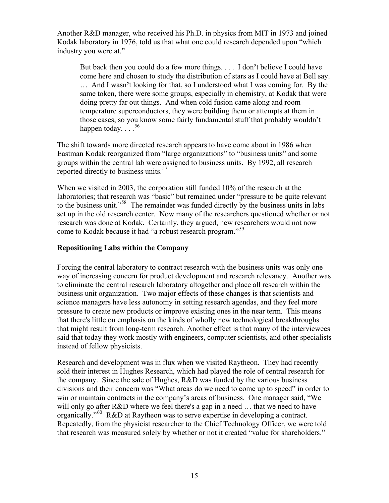<span id="page-17-0"></span>Another R&D manager, who received his Ph.D. in physics from MIT in 1973 and joined Kodak laboratory in 1976, told us that what one could research depended upon "which industry you were at."

But back then you could do a few more things. . . . I don**'**t believe I could have come here and chosen to study the distribution of stars as I could have at Bell say. … And I wasn**'**t looking for that, so I understood what I was coming for. By the same token, there were some groups, especially in chemistry, at Kodak that were doing pretty far out things. And when cold fusion came along and room temperature superconductors, they were building them or attempts at them in those cases, so you know some fairly fundamental stuff that probably wouldn**'**t happen today.  $\ldots$ <sup>[56](#page-71-1)</sup>

The shift towards more directed research appears to have come about in 1986 when Eastman Kodak reorganized from "large organizations" to "business units" and some groups within the central lab were assigned to business units. By 1992, all research reported directly to business units.<sup>[57](#page-71-1)</sup>

When we visited in 2003, the corporation still funded 10% of the research at the laboratories; that research was "basic" but remained under "pressure to be quite relevant to the business unit."<sup>[58](#page-71-1)</sup> The remainder was funded directly by the business units in labs set up in the old research center. Now many of the researchers questioned whether or not research was done at Kodak. Certainly, they argued, new researchers would not now come to Kodak because it had "a robust research program."[59](#page-71-1)

## **Repositioning Labs within the Company**

Forcing the central laboratory to contract research with the business units was only one way of increasing concern for product development and research relevancy. Another was to eliminate the central research laboratory altogether and place all research within the business unit organization. Two major effects of these changes is that scientists and science managers have less autonomy in setting research agendas, and they feel more pressure to create new products or improve existing ones in the near term. This means that there's little on emphasis on the kinds of wholly new technological breakthroughs that might result from long-term research. Another effect is that many of the interviewees said that today they work mostly with engineers, computer scientists, and other specialists instead of fellow physicists.

Research and development was in flux when we visited Raytheon. They had recently sold their interest in Hughes Research, which had played the role of central research for the company. Since the sale of Hughes,  $R\&D$  was funded by the various business divisions and their concern was "What areas do we need to come up to speed" in order to win or maintain contracts in the company's areas of business. One manager said, "We will only go after R&D where we feel there's a gap in a need ... that we need to have organically."<sup>[60](#page-71-1)</sup> R&D at Raytheon was to serve expertise in developing a contract. Repeatedly, from the physicist researcher to the Chief Technology Officer, we were told that research was measured solely by whether or not it created "value for shareholders."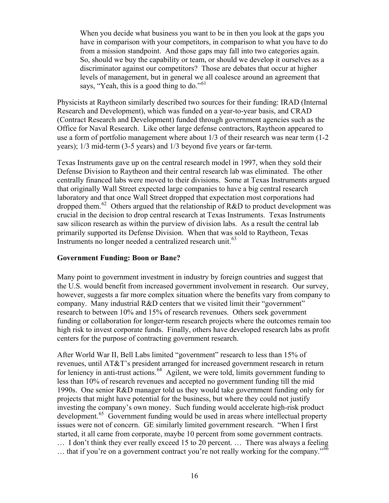<span id="page-18-0"></span>When you decide what business you want to be in then you look at the gaps you have in comparison with your competitors, in comparison to what you have to do from a mission standpoint. And those gaps may fall into two categories again. So, should we buy the capability or team, or should we develop it ourselves as a discriminator against our competitors? Those are debates that occur at higher levels of management, but in general we all coalesce around an agreement that says, "Yeah, this is a good thing to do."<sup>[61](#page-71-1)</sup>

Physicists at Raytheon similarly described two sources for their funding: IRAD (Internal Research and Development), which was funded on a year-to-year basis, and CRAD (Contract Research and Development) funded through government agencies such as the Office for Naval Research. Like other large defense contractors, Raytheon appeared to use a form of portfolio management where about 1/3 of their research was near term (1-2 years); 1/3 mid-term (3-5 years) and 1/3 beyond five years or far-term.

Texas Instruments gave up on the central research model in 1997, when they sold their Defense Division to Raytheon and their central research lab was eliminated. The other centrally financed labs were moved to their divisions. Some at Texas Instruments argued that originally Wall Street expected large companies to have a big central research laboratory and that once Wall Street dropped that expectation most corporations had dropped them.<sup>[62](#page-71-1)</sup> Others argued that the relationship of R&D to product development was crucial in the decision to drop central research at Texas Instruments. Texas Instruments saw silicon research as within the purview of division labs. As a result the central lab primarily supported its Defense Division. When that was sold to Raytheon, Texas Instruments no longer needed a centralized research unit.<sup>[63](#page-71-1)</sup>

#### **Government Funding: Boon or Bane?**

Many point to government investment in industry by foreign countries and suggest that the U.S. would benefit from increased government involvement in research. Our survey, however, suggests a far more complex situation where the benefits vary from company to company. Many industrial R&D centers that we visited limit their "government" research to between 10% and 15% of research revenues. Others seek government funding or collaboration for longer-term research projects where the outcomes remain too high risk to invest corporate funds. Finally, others have developed research labs as profit centers for the purpose of contracting government research.

After World War II, Bell Labs limited "government" research to less than 15% of revenues, until AT&T's president arranged for increased government research in return for leniency in anti-trust actions.<sup>[64](#page-71-1)</sup> Agilent, we were told, limits government funding to less than 10% of research revenues and accepted no government funding till the mid 1990s. One senior R&D manager told us they would take government funding only for projects that might have potential for the business, but where they could not justify investing the company's own money. Such funding would accelerate high-risk product development.<sup>[65](#page-71-1)</sup> Government funding would be used in areas where intellectual property issues were not of concern. GE similarly limited government research. "When I first started, it all came from corporate, maybe 10 percent from some government contracts. … I don't think they ever really exceed 15 to 20 percent. … There was always a feeling ... that if you're on a government contract you're not really working for the company."<sup>[66](#page-71-1)</sup>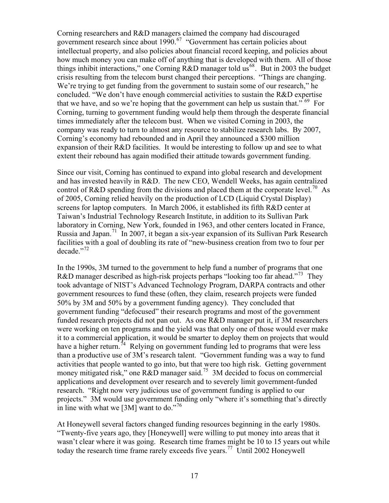Corning researchers and R&D managers claimed the company had discouraged government research since about  $1990$ .<sup>[67](#page-71-1)</sup> "Government has certain policies about intellectual property, and also policies about financial record keeping, and policies about how much money you can make off of anything that is developed with them. All of those things inhibit interactions," one Corning R&D manager told us<sup>[68](#page-71-1)</sup>. But in 2003 the budget crisis resulting from the telecom burst changed their perceptions. "Things are changing. We're trying to get funding from the government to sustain some of our research," he concluded. "We don't have enough commercial activities to sustain the R&D expertise that we have, and so we're hoping that the government can help us sustain that."  $^{69}$  $^{69}$  $^{69}$  For Corning, turning to government funding would help them through the desperate financial times immediately after the telecom bust. When we visited Corning in 2003, the company was ready to turn to almost any resource to stabilize research labs. By 2007, Corning's economy had rebounded and in April they announced a \$300 million expansion of their R&D facilities. It would be interesting to follow up and see to what extent their rebound has again modified their attitude towards government funding.

Since our visit, Corning has continued to expand into global research and development and has invested heavily in R&D. The new CEO, Wendell Weeks, has again centralized control of R&D spending from the divisions and placed them at the corporate level.<sup>[70](#page-71-1)</sup> As of 2005, Corning relied heavily on the production of LCD (Liquid Crystal Display) screens for laptop computers. In March 2006, it established its fifth R&D center at Taiwan's Industrial Technology Research Institute, in addition to its Sullivan Park laboratory in Corning, New York, founded in 1963, and other centers located in France, Russia and Japan.<sup>[71](#page-71-1)</sup> In 2007, it began a six-year expansion of its Sullivan Park Research facilities with a goal of doubling its rate of "new-business creation from two to four per decade."[72](#page-71-1)

In the 1990s, 3M turned to the government to help fund a number of programs that one R&D manager described as high-risk projects perhaps "looking too far ahead."<sup>[73](#page-71-1)</sup> They took advantage of NIST's Advanced Technology Program, DARPA contracts and other government resources to fund these (often, they claim, research projects were funded 50% by 3M and 50% by a government funding agency). They concluded that government funding "defocused" their research programs and most of the government funded research projects did not pan out. As one R&D manager put it, if 3M researchers were working on ten programs and the yield was that only one of those would ever make it to a commercial application, it would be smarter to deploy them on projects that would have a higher return.<sup>[74](#page-71-1)</sup> Relying on government funding led to programs that were less than a productive use of 3M's research talent. "Government funding was a way to fund activities that people wanted to go into, but that were too high risk. Getting government money mitigated risk," one R&D manager said.<sup>[75](#page-71-1)</sup> 3M decided to focus on commercial applications and development over research and to severely limit government-funded research. "Right now very judicious use of government funding is applied to our projects." 3M would use government funding only "where it's something that's directly in line with what we [3M] want to do."<sup>[76](#page-71-1)</sup>

At Honeywell several factors changed funding resources beginning in the early 1980s. "Twenty-five years ago, they [Honeywell] were willing to put money into areas that it wasn't clear where it was going. Research time frames might be 10 to 15 years out while today the research time frame rarely exceeds five years.<sup>[77](#page-71-1)</sup> Until 2002 Honeywell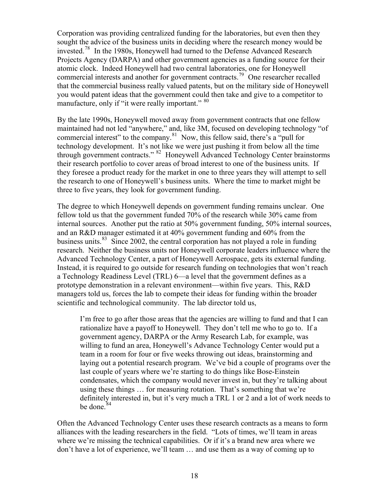Corporation was providing centralized funding for the laboratories, but even then they sought the advice of the business units in deciding where the research money would be invested.<sup>[78](#page-71-1)</sup> In the 1980s, Honeywell had turned to the Defense Advanced Research Projects Agency (DARPA) and other government agencies as a funding source for their atomic clock. Indeed Honeywell had two central laboratories, one for Honeywell commercial interests and another for government contracts.<sup>[79](#page-71-1)</sup> One researcher recalled that the commercial business really valued patents, but on the military side of Honeywell you would patent ideas that the government could then take and give to a competitor to manufacture, only if "it were really important." <sup>[80](#page-71-1)</sup>

By the late 1990s, Honeywell moved away from government contracts that one fellow maintained had not led "anywhere," and, like 3M, focused on developing technology "of commercial interest" to the company.<sup>[81](#page-71-1)</sup> Now, this fellow said, there's a "pull for technology development. It's not like we were just pushing it from below all the time through government contracts." [82](#page-71-1) Honeywell Advanced Technology Center brainstorms their research portfolio to cover areas of broad interest to one of the business units. If they foresee a product ready for the market in one to three years they will attempt to sell the research to one of Honeywell's business units. Where the time to market might be three to five years, they look for government funding.

The degree to which Honeywell depends on government funding remains unclear. One fellow told us that the government funded 70% of the research while 30% came from internal sources. Another put the ratio at 50% government funding, 50% internal sources, and an R&D manager estimated it at 40% government funding and 60% from the business units. $83$  Since 2002, the central corporation has not played a role in funding research. Neither the business units nor Honeywell corporate leaders influence where the Advanced Technology Center, a part of Honeywell Aerospace, gets its external funding. Instead, it is required to go outside for research funding on technologies that won't reach a Technology Readiness Level (TRL) 6—a level that the government defines as a prototype demonstration in a relevant environment—within five years. This, R&D managers told us, forces the lab to compete their ideas for funding within the broader scientific and technological community. The lab director told us,

I'm free to go after those areas that the agencies are willing to fund and that I can rationalize have a payoff to Honeywell. They don't tell me who to go to. If a government agency, DARPA or the Army Research Lab, for example, was willing to fund an area, Honeywell's Advance Technology Center would put a team in a room for four or five weeks throwing out ideas, brainstorming and laying out a potential research program. We've bid a couple of programs over the last couple of years where we're starting to do things like Bose-Einstein condensates, which the company would never invest in, but they're talking about using these things … for measuring rotation. That's something that we're definitely interested in, but it's very much a TRL 1 or 2 and a lot of work needs to be done  $84$ 

Often the Advanced Technology Center uses these research contracts as a means to form alliances with the leading researchers in the field. "Lots of times, we'll team in areas where we're missing the technical capabilities. Or if it's a brand new area where we don't have a lot of experience, we'll team … and use them as a way of coming up to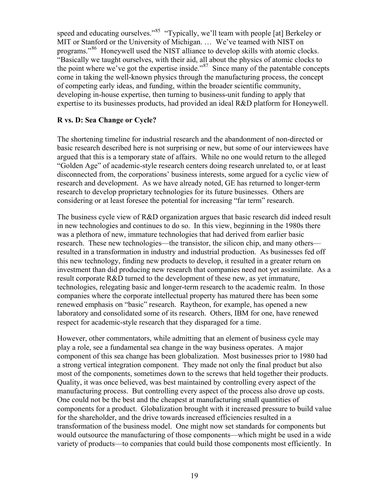<span id="page-21-0"></span>speed and educating ourselves."<sup>[85](#page-71-1)</sup> "Typically, we'll team with people [at] Berkeley or MIT or Stanford or the University of Michigan. … We've teamed with NIST on programs."[86](#page-71-1) Honeywell used the NIST alliance to develop skills with atomic clocks. "Basically we taught ourselves, with their aid, all about the physics of atomic clocks to the point where we've got the expertise inside."<sup>[87](#page-71-1)</sup> Since many of the patentable concepts come in taking the well-known physics through the manufacturing process, the concept of competing early ideas, and funding, within the broader scientific community, developing in-house expertise, then turning to business-unit funding to apply that expertise to its businesses products, had provided an ideal R&D platform for Honeywell.

#### **R vs. D: Sea Change or Cycle?**

The shortening timeline for industrial research and the abandonment of non-directed or basic research described here is not surprising or new, but some of our interviewees have argued that this is a temporary state of affairs. While no one would return to the alleged "Golden Age" of academic-style research centers doing research unrelated to, or at least disconnected from, the corporations' business interests, some argued for a cyclic view of research and development. As we have already noted, GE has returned to longer-term research to develop proprietary technologies for its future businesses. Others are considering or at least foresee the potential for increasing "far term" research.

The business cycle view of R&D organization argues that basic research did indeed result in new technologies and continues to do so. In this view, beginning in the 1980s there was a plethora of new, immature technologies that had derived from earlier basic research. These new technologies—the transistor, the silicon chip, and many others resulted in a transformation in industry and industrial production. As businesses fed off this new technology, finding new products to develop, it resulted in a greater return on investment than did producing new research that companies need not yet assimilate. As a result corporate R&D turned to the development of these new, as yet immature, technologies, relegating basic and longer-term research to the academic realm. In those companies where the corporate intellectual property has matured there has been some renewed emphasis on "basic" research. Raytheon, for example, has opened a new laboratory and consolidated some of its research. Others, IBM for one, have renewed respect for academic-style research that they disparaged for a time.

However, other commentators, while admitting that an element of business cycle may play a role, see a fundamental sea change in the way business operates. A major component of this sea change has been globalization. Most businesses prior to 1980 had a strong vertical integration component. They made not only the final product but also most of the components, sometimes down to the screws that held together their products. Quality, it was once believed, was best maintained by controlling every aspect of the manufacturing process. But controlling every aspect of the process also drove up costs. One could not be the best and the cheapest at manufacturing small quantities of components for a product. Globalization brought with it increased pressure to build value for the shareholder, and the drive towards increased efficiencies resulted in a transformation of the business model. One might now set standards for components but would outsource the manufacturing of those components—which might be used in a wide variety of products—to companies that could build those components most efficiently. In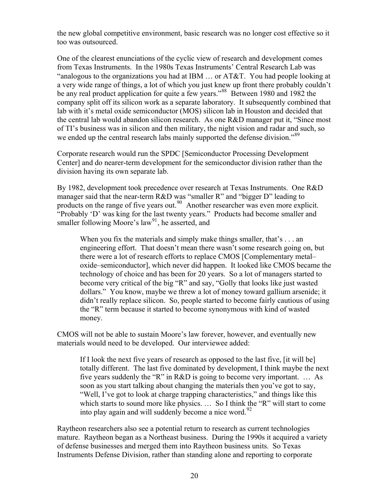the new global competitive environment, basic research was no longer cost effective so it too was outsourced.

One of the clearest enunciations of the cyclic view of research and development comes from Texas Instruments. In the 1980s Texas Instruments' Central Research Lab was "analogous to the organizations you had at IBM … or AT&T. You had people looking at a very wide range of things, a lot of which you just knew up front there probably couldn't be any real product application for quite a few years."<sup>[88](#page-71-1)</sup> Between 1980 and 1982 the company split off its silicon work as a separate laboratory. It subsequently combined that lab with it's metal oxide semiconductor (MOS) silicon lab in Houston and decided that the central lab would abandon silicon research. As one R&D manager put it, "Since most of TI's business was in silicon and then military, the night vision and radar and such, so we ended up the central research labs mainly supported the defense division."<sup>[89](#page-71-1)</sup>

Corporate research would run the SPDC [Semiconductor Processing Development Center] and do nearer-term development for the semiconductor division rather than the division having its own separate lab.

By 1982, development took precedence over research at Texas Instruments. One R&D manager said that the near-term R&D was "smaller R" and "bigger D" leading to products on the range of five years out.<sup>[90](#page-71-1)</sup> Another researcher was even more explicit. "Probably 'D' was king for the last twenty years." Products had become smaller and smaller following Moore's law<sup>[91](#page-71-1)</sup>, he asserted, and

When you fix the materials and simply make things smaller, that's . . . an engineering effort. That doesn't mean there wasn't some research going on, but there were a lot of research efforts to replace CMOS [Complementary metal– oxide–semiconductor], which never did happen. It looked like CMOS became the technology of choice and has been for 20 years. So a lot of managers started to become very critical of the big "R" and say, "Golly that looks like just wasted dollars." You know, maybe we threw a lot of money toward gallium arsenide; it didn't really replace silicon. So, people started to become fairly cautious of using the "R" term because it started to become synonymous with kind of wasted money.

CMOS will not be able to sustain Moore's law forever, however, and eventually new materials would need to be developed. Our interviewee added:

If I look the next five years of research as opposed to the last five, [it will be] totally different. The last five dominated by development, I think maybe the next five years suddenly the "R" in R&D is going to become very important. … As soon as you start talking about changing the materials then you've got to say, "Well, I've got to look at charge trapping characteristics," and things like this which starts to sound more like physics. ... So I think the "R" will start to come into play again and will suddenly become a nice word. $92$ 

Raytheon researchers also see a potential return to research as current technologies mature. Raytheon began as a Northeast business. During the 1990s it acquired a variety of defense businesses and merged them into Raytheon business units. So Texas Instruments Defense Division, rather than standing alone and reporting to corporate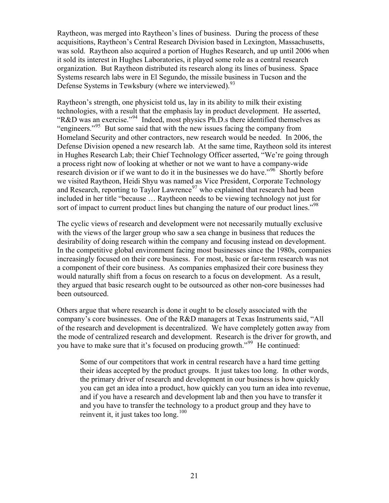Raytheon, was merged into Raytheon's lines of business. During the process of these acquisitions, Raytheon's Central Research Division based in Lexington, Massachusetts, was sold. Raytheon also acquired a portion of Hughes Research, and up until 2006 when it sold its interest in Hughes Laboratories, it played some role as a central research organization. But Raytheon distributed its research along its lines of business. Space Systems research labs were in El Segundo, the missile business in Tucson and the Defense Systems in Tewksbury (where we interviewed).<sup>[93](#page-71-1)</sup>

Raytheon's strength, one physicist told us, lay in its ability to milk their existing technologies, with a result that the emphasis lay in product development. He asserted, "R&D was an exercise."[94](#page-71-1) Indeed, most physics Ph.D.s there identified themselves as "engineers."<sup>[95](#page-71-1)</sup> But some said that with the new issues facing the company from Homeland Security and other contractors, new research would be needed. In 2006, the Defense Division opened a new research lab. At the same time, Raytheon sold its interest in Hughes Research Lab; their Chief Technology Officer asserted, "We're going through a process right now of looking at whether or not we want to have a company-wide research division or if we want to do it in the businesses we do have."<sup>[96](#page-71-1)</sup> Shortly before we visited Raytheon, Heidi Shyu was named as Vice President, Corporate Technology and Research, reporting to Taylor Lawrence<sup>[97](#page-71-1)</sup> who explained that research had been included in her title "because … Raytheon needs to be viewing technology not just for sort of impact to current product lines but changing the nature of our product lines."<sup>[98](#page-71-1)</sup>

The cyclic views of research and development were not necessarily mutually exclusive with the views of the larger group who saw a sea change in business that reduces the desirability of doing research within the company and focusing instead on development. In the competitive global environment facing most businesses since the 1980s, companies increasingly focused on their core business. For most, basic or far-term research was not a component of their core business. As companies emphasized their core business they would naturally shift from a focus on research to a focus on development. As a result, they argued that basic research ought to be outsourced as other non-core businesses had been outsourced.

Others argue that where research is done it ought to be closely associated with the company's core businesses. One of the R&D managers at Texas Instruments said, "All of the research and development is decentralized. We have completely gotten away from the mode of centralized research and development. Research is the driver for growth, and you have to make sure that it's focused on producing growth."<sup>[99](#page-71-1)</sup> He continued:

Some of our competitors that work in central research have a hard time getting their ideas accepted by the product groups. It just takes too long. In other words, the primary driver of research and development in our business is how quickly you can get an idea into a product, how quickly can you turn an idea into revenue, and if you have a research and development lab and then you have to transfer it and you have to transfer the technology to a product group and they have to reinvent it, it just takes too long.<sup>[100](#page-71-1)</sup>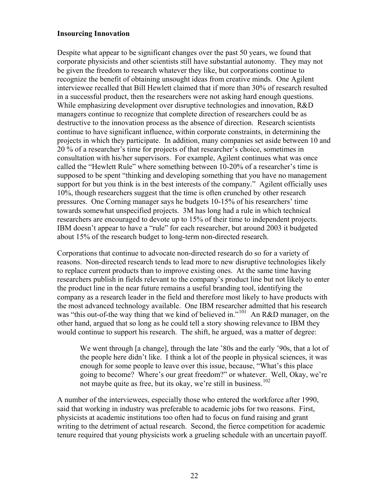#### <span id="page-24-0"></span>**Insourcing Innovation**

Despite what appear to be significant changes over the past 50 years, we found that corporate physicists and other scientists still have substantial autonomy. They may not be given the freedom to research whatever they like, but corporations continue to recognize the benefit of obtaining unsought ideas from creative minds. One Agilent interviewee recalled that Bill Hewlett claimed that if more than 30% of research resulted in a successful product, then the researchers were not asking hard enough questions. While emphasizing development over disruptive technologies and innovation, R&D managers continue to recognize that complete direction of researchers could be as destructive to the innovation process as the absence of direction. Research scientists continue to have significant influence, within corporate constraints, in determining the projects in which they participate. In addition, many companies set aside between 10 and 20 % of a researcher's time for projects of that researcher's choice, sometimes in consultation with his/her supervisors. For example, Agilent continues what was once called the "Hewlett Rule" where something between 10-20% of a researcher's time is supposed to be spent "thinking and developing something that you have no management support for but you think is in the best interests of the company." Agilent officially uses 10%, though researchers suggest that the time is often crunched by other research pressures. One Corning manager says he budgets 10-15% of his researchers' time towards somewhat unspecified projects. 3M has long had a rule in which technical researchers are encouraged to devote up to 15% of their time to independent projects. IBM doesn't appear to have a "rule" for each researcher, but around 2003 it budgeted about 15% of the research budget to long-term non-directed research.

Corporations that continue to advocate non-directed research do so for a variety of reasons. Non-directed research tends to lead more to new disruptive technologies likely to replace current products than to improve existing ones. At the same time having researchers publish in fields relevant to the company's product line but not likely to enter the product line in the near future remains a useful branding tool, identifying the company as a research leader in the field and therefore most likely to have products with the most advanced technology available. One IBM researcher admitted that his research was "this out-of-the way thing that we kind of believed in."<sup>[101](#page-71-1)</sup> An R&D manager, on the other hand, argued that so long as he could tell a story showing relevance to IBM they would continue to support his research. The shift, he argued, was a matter of degree:

We went through [a change], through the late '80s and the early '90s, that a lot of the people here didn't like. I think a lot of the people in physical sciences, it was enough for some people to leave over this issue, because, "What's this place going to become? Where's our great freedom?" or whatever. Well, Okay, we're not maybe quite as free, but its okay, we're still in business.<sup>[102](#page-71-1)</sup>

A number of the interviewees, especially those who entered the workforce after 1990, said that working in industry was preferable to academic jobs for two reasons. First, physicists at academic institutions too often had to focus on fund raising and grant writing to the detriment of actual research. Second, the fierce competition for academic tenure required that young physicists work a grueling schedule with an uncertain payoff.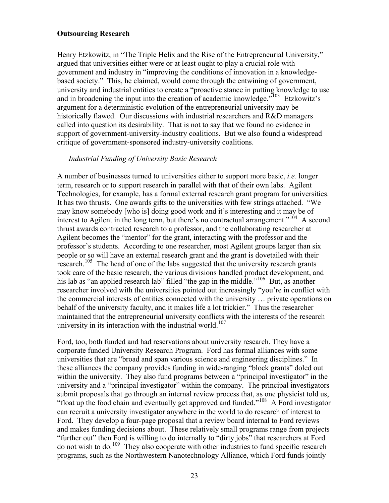#### <span id="page-25-0"></span>**Outsourcing Research**

Henry Etzkowitz, in "The Triple Helix and the Rise of the Entrepreneurial University," argued that universities either were or at least ought to play a crucial role with government and industry in "improving the conditions of innovation in a knowledgebased society." This, he claimed, would come through the entwining of government, university and industrial entities to create a "proactive stance in putting knowledge to use and in broadening the input into the creation of academic knowledge."<sup>[103](#page-71-1)</sup> Etzkowitz's argument for a deterministic evolution of the entrepreneurial university may be historically flawed. Our discussions with industrial researchers and R&D managers called into question its desirability. That is not to say that we found no evidence in support of government-university-industry coalitions. But we also found a widespread critique of government-sponsored industry-university coalitions.

#### *Industrial Funding of University Basic Research*

A number of businesses turned to universities either to support more basic, *i.e.* longer term, research or to support research in parallel with that of their own labs. Agilent Technologies, for example, has a formal external research grant program for universities. It has two thrusts. One awards gifts to the universities with few strings attached. "We may know somebody [who is] doing good work and it's interesting and it may be of interest to Agilent in the long term, but there's no contractual arrangement."<sup>[104](#page-71-1)</sup> A second thrust awards contracted research to a professor, and the collaborating researcher at Agilent becomes the "mentor" for the grant, interacting with the professor and the professor's students. According to one researcher, most Agilent groups larger than six people or so will have an external research grant and the grant is dovetailed with their research.<sup>[105](#page-71-1)</sup> The head of one of the labs suggested that the university research grants took care of the basic research, the various divisions handled product development, and his lab as "an applied research lab" filled "the gap in the middle."<sup>[106](#page-71-1)</sup> But, as another researcher involved with the universities pointed out increasingly "you're in conflict with the commercial interests of entities connected with the university … private operations on behalf of the university faculty, and it makes life a lot trickier." Thus the researcher maintained that the entrepreneurial university conflicts with the interests of the research university in its interaction with the industrial world.<sup>[107](#page-71-1)</sup>

Ford, too, both funded and had reservations about university research. They have a corporate funded University Research Program. Ford has formal alliances with some universities that are "broad and span various science and engineering disciplines." In these alliances the company provides funding in wide-ranging "block grants" doled out within the university. They also fund programs between a "principal investigator" in the university and a "principal investigator" within the company. The principal investigators submit proposals that go through an internal review process that, as one physicist told us, "float up the food chain and eventually get approved and funded."[108](#page-71-1) A Ford investigator can recruit a university investigator anywhere in the world to do research of interest to Ford. They develop a four-page proposal that a review board internal to Ford reviews and makes funding decisions about. These relatively small programs range from projects "further out" then Ford is willing to do internally to "dirty jobs" that researchers at Ford do not wish to do.<sup>[109](#page-71-1)</sup> They also cooperate with other industries to fund specific research programs, such as the Northwestern Nanotechnology Alliance, which Ford funds jointly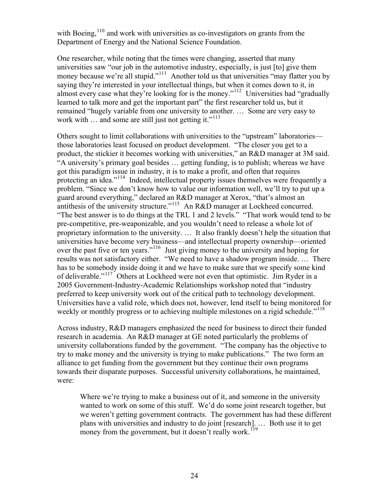with Boeing, $110$  and work with universities as co-investigators on grants from the Department of Energy and the National Science Foundation.

One researcher, while noting that the times were changing, asserted that many universities saw "our job in the automotive industry, especially, is just [to] give them money because we're all stupid."<sup>[111](#page-71-1)</sup> Another told us that universities "may flatter you by saying they're interested in your intellectual things, but when it comes down to it, in almost every case what they're looking for is the money."<sup>[112](#page-71-1)</sup> Universities had "gradually learned to talk more and get the important part" the first researcher told us, but it remained "hugely variable from one university to another. … Some are very easy to work with ... and some are still just not getting it."<sup>[113](#page-71-1)</sup>

Others sought to limit collaborations with universities to the "upstream" laboratories those laboratories least focused on product development. "The closer you get to a product, the stickier it becomes working with universities," an R&D manager at 3M said. "A university's primary goal besides … getting funding, is to publish; whereas we have got this paradigm issue in industry, it is to make a profit, and often that requires protecting an idea."[114](#page-71-1) Indeed, intellectual property issues themselves were frequently a problem. "Since we don't know how to value our information well, we'll try to put up a guard around everything," declared an R&D manager at Xerox, "that's almost an antithesis of the university structure."<sup>[115](#page-71-1)</sup> An R&D manager at Lockheed concurred. "The best answer is to do things at the TRL 1 and 2 levels." "That work would tend to be pre-competitive, pre-weaponizable, and you wouldn't need to release a whole lot of proprietary information to the university. … It also frankly doesn't help the situation that universities have become very business—and intellectual property ownership—oriented over the past five or ten years."[116](#page-71-1) Just giving money to the university and hoping for results was not satisfactory either. "We need to have a shadow program inside. … There has to be somebody inside doing it and we have to make sure that we specify some kind of deliverable."[117](#page-71-1) Others at Lockheed were not even that optimistic. Jim Ryder in a 2005 Government-Industry-Academic Relationships workshop noted that "industry preferred to keep university work out of the critical path to technology development. Universities have a valid role, which does not, however, lend itself to being monitored for weekly or monthly progress or to achieving multiple milestones on a rigid schedule."<sup>[118](#page-71-1)</sup>

Across industry, R&D managers emphasized the need for business to direct their funded research in academia. An R&D manager at GE noted particularly the problems of university collaborations funded by the government. "The company has the objective to try to make money and the university is trying to make publications." The two form an alliance to get funding from the government but they continue their own programs towards their disparate purposes. Successful university collaborations, he maintained, were:

Where we're trying to make a business out of it, and someone in the university wanted to work on some of this stuff. We'd do some joint research together, but we weren't getting government contracts. The government has had these different plans with universities and industry to do joint [research]. … Both use it to get money from the government, but it doesn't really work.<sup>[119](#page-71-1)</sup>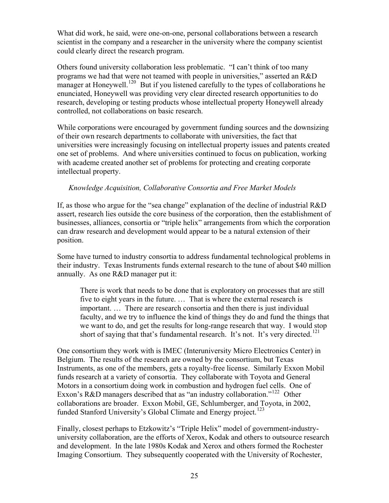<span id="page-27-0"></span>What did work, he said, were one-on-one, personal collaborations between a research scientist in the company and a researcher in the university where the company scientist could clearly direct the research program.

Others found university collaboration less problematic. "I can't think of too many programs we had that were not teamed with people in universities," asserted an R&D manager at Honeywell.<sup>[120](#page-71-1)</sup> But if you listened carefully to the types of collaborations he enunciated, Honeywell was providing very clear directed research opportunities to do research, developing or testing products whose intellectual property Honeywell already controlled, not collaborations on basic research.

While corporations were encouraged by government funding sources and the downsizing of their own research departments to collaborate with universities, the fact that universities were increasingly focusing on intellectual property issues and patents created one set of problems. And where universities continued to focus on publication, working with academe created another set of problems for protecting and creating corporate intellectual property.

## *Knowledge Acquisition, Collaborative Consortia and Free Market Models*

If, as those who argue for the "sea change" explanation of the decline of industrial R&D assert, research lies outside the core business of the corporation, then the establishment of businesses, alliances, consortia or "triple helix" arrangements from which the corporation can draw research and development would appear to be a natural extension of their position.

Some have turned to industry consortia to address fundamental technological problems in their industry. Texas Instruments funds external research to the tune of about \$40 million annually. As one R&D manager put it:

There is work that needs to be done that is exploratory on processes that are still five to eight years in the future. … That is where the external research is important. … There are research consortia and then there is just individual faculty, and we try to influence the kind of things they do and fund the things that we want to do, and get the results for long-range research that way. I would stop short of saying that that's fundamental research. It's not. It's very directed.<sup>[121](#page-71-1)</sup>

One consortium they work with is IMEC (Interuniversity Micro Electronics Center) in Belgium. The results of the research are owned by the consortium, but Texas Instruments, as one of the members, gets a royalty-free license. Similarly Exxon Mobil funds research at a variety of consortia. They collaborate with Toyota and General Motors in a consortium doing work in combustion and hydrogen fuel cells. One of Exxon's R&D managers described that as "an industry collaboration."<sup>[122](#page-71-1)</sup> Other collaborations are broader. Exxon Mobil, GE, Schlumberger, and Toyota, in 2002, funded Stanford University's Global Climate and Energy project.<sup>[123](#page-71-1)</sup>

Finally, closest perhaps to Etzkowitz's "Triple Helix" model of government-industryuniversity collaboration, are the efforts of Xerox, Kodak and others to outsource research and development. In the late 1980s Kodak and Xerox and others formed the Rochester Imaging Consortium. They subsequently cooperated with the University of Rochester,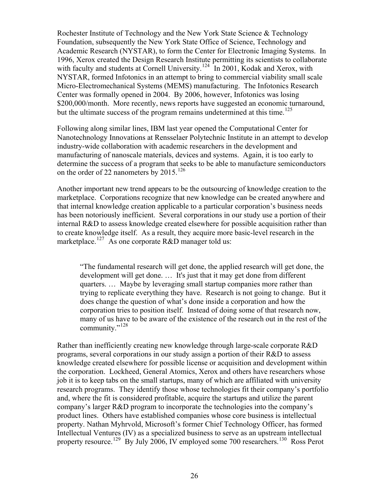Rochester Institute of Technology and the New York State Science & Technology Foundation, subsequently the New York State Office of Science, Technology and Academic Research (NYSTAR), to form the Center for Electronic Imaging Systems. In 1996, Xerox created the Design Research Institute permitting its scientists to collaborate with faculty and students at Cornell University.<sup>[124](#page-71-1)</sup> In 2001, Kodak and Xerox, with NYSTAR, formed Infotonics in an attempt to bring to commercial viability small scale Micro-Electromechanical Systems (MEMS) manufacturing. The Infotonics Research Center was formally opened in 2004. By 2006, however, Infotonics was losing \$200,000/month. More recently, news reports have suggested an economic turnaround, but the ultimate success of the program remains undetermined at this time.<sup>[125](#page-71-1)</sup>

Following along similar lines, IBM last year opened the Computational Center for Nanotechnology Innovations at Rensselaer Polytechnic Institute in an attempt to develop industry-wide collaboration with academic researchers in the development and manufacturing of nanoscale materials, devices and systems. Again, it is too early to determine the success of a program that seeks to be able to manufacture semiconductors on the order of 22 nanometers by  $2015$ .<sup>[126](#page-71-1)</sup>

Another important new trend appears to be the outsourcing of knowledge creation to the marketplace. Corporations recognize that new knowledge can be created anywhere and that internal knowledge creation applicable to a particular corporation's business needs has been notoriously inefficient. Several corporations in our study use a portion of their internal R&D to assess knowledge created elsewhere for possible acquisition rather than to create knowledge itself. As a result, they acquire more basic-level research in the marketplace.<sup>[127](#page-71-1)</sup> As one corporate R&D manager told us:

"The fundamental research will get done, the applied research will get done, the development will get done. … It's just that it may get done from different quarters. … Maybe by leveraging small startup companies more rather than trying to replicate everything they have. Research is not going to change. But it does change the question of what's done inside a corporation and how the corporation tries to position itself. Instead of doing some of that research now, many of us have to be aware of the existence of the research out in the rest of the community."<sup>[128](#page-71-1)</sup>

Rather than inefficiently creating new knowledge through large-scale corporate R&D programs, several corporations in our study assign a portion of their R&D to assess knowledge created elsewhere for possible license or acquisition and development within the corporation. Lockheed, General Atomics, Xerox and others have researchers whose job it is to keep tabs on the small startups, many of which are affiliated with university research programs. They identify those whose technologies fit their company's portfolio and, where the fit is considered profitable, acquire the startups and utilize the parent company's larger R&D program to incorporate the technologies into the company's product lines. Others have established companies whose core business is intellectual property. Nathan Myhrvold, Microsoft's former Chief Technology Officer, has formed Intellectual Ventures (IV) as a specialized business to serve as an upstream intellectual property resource.<sup>[129](#page-71-1)</sup> By July 2006, IV employed some 700 researchers.<sup>[130](#page-71-1)</sup> Ross Perot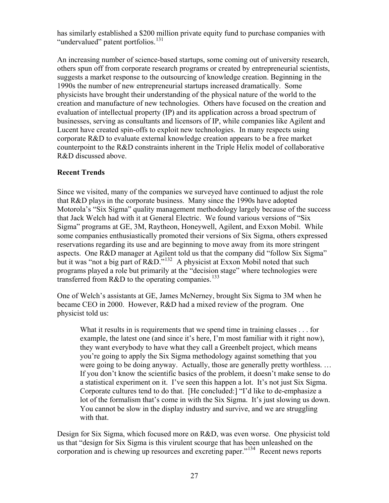<span id="page-29-0"></span>has similarly established a \$200 million private equity fund to purchase companies with "undervalued" patent portfolios.<sup>[131](#page-71-1)</sup>

An increasing number of science-based startups, some coming out of university research, others spun off from corporate research programs or created by entrepreneurial scientists, suggests a market response to the outsourcing of knowledge creation. Beginning in the 1990s the number of new entrepreneurial startups increased dramatically. Some physicists have brought their understanding of the physical nature of the world to the creation and manufacture of new technologies. Others have focused on the creation and evaluation of intellectual property (IP) and its application across a broad spectrum of businesses, serving as consultants and licensors of IP, while companies like Agilent and Lucent have created spin-offs to exploit new technologies. In many respects using corporate R&D to evaluate external knowledge creation appears to be a free market counterpoint to the R&D constraints inherent in the Triple Helix model of collaborative R&D discussed above.

## **Recent Trends**

Since we visited, many of the companies we surveyed have continued to adjust the role that R&D plays in the corporate business. Many since the 1990s have adopted Motorola's "Six Sigma" quality management methodology largely because of the success that Jack Welch had with it at General Electric. We found various versions of "Six Sigma" programs at GE, 3M, Raytheon, Honeywell, Agilent, and Exxon Mobil. While some companies enthusiastically promoted their versions of Six Sigma, others expressed reservations regarding its use and are beginning to move away from its more stringent aspects. One R&D manager at Agilent told us that the company did "follow Six Sigma" but it was "not a big part of R&D."<sup>[132](#page-71-1)</sup> A physicist at Exxon Mobil noted that such programs played a role but primarily at the "decision stage" where technologies were transferred from R&D to the operating companies.<sup>[133](#page-71-1)</sup>

One of Welch's assistants at GE, James McNerney, brought Six Sigma to 3M when he became CEO in 2000. However, R&D had a mixed review of the program. One physicist told us:

What it results in is requirements that we spend time in training classes . . . for example, the latest one (and since it's here, I'm most familiar with it right now), they want everybody to have what they call a Greenbelt project, which means you're going to apply the Six Sigma methodology against something that you were going to be doing anyway. Actually, those are generally pretty worthless. … If you don't know the scientific basics of the problem, it doesn't make sense to do a statistical experiment on it. I've seen this happen a lot. It's not just Six Sigma. Corporate cultures tend to do that. [He concluded:] "I'd like to de-emphasize a lot of the formalism that's come in with the Six Sigma. It's just slowing us down. You cannot be slow in the display industry and survive, and we are struggling with that.

Design for Six Sigma, which focused more on R&D, was even worse. One physicist told us that "design for Six Sigma is this virulent scourge that has been unleashed on the corporation and is chewing up resources and excreting paper."[134](#page-71-1) Recent news reports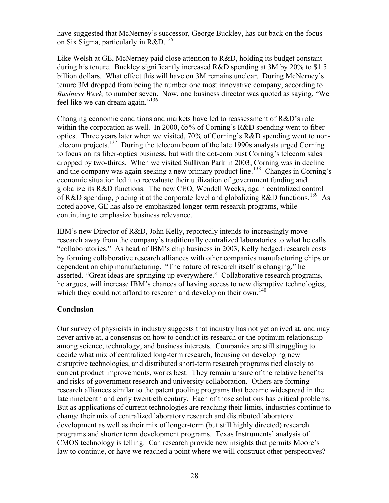<span id="page-30-0"></span>have suggested that McNerney's successor, George Buckley, has cut back on the focus on Six Sigma, particularly in R&D.<sup>[135](#page-71-1)</sup>

Like Welsh at GE, McNerney paid close attention to R&D, holding its budget constant during his tenure. Buckley significantly increased R&D spending at 3M by 20% to \$1.5 billion dollars. What effect this will have on 3M remains unclear. During McNerney's tenure 3M dropped from being the number one most innovative company, according to *Business Week,* to number seven. Now, one business director was quoted as saying, "We feel like we can dream again."<sup>[136](#page-71-1)</sup>

Changing economic conditions and markets have led to reassessment of R&D's role within the corporation as well. In 2000, 65% of Corning's R&D spending went to fiber optics. Three years later when we visited, 70% of Corning's R&D spending went to non-telecom projects.<sup>[137](#page-71-1)</sup> During the telecom boom of the late 1990s analysts urged Corning to focus on its fiber-optics business, but with the dot-com bust Corning's telecom sales dropped by two-thirds. When we visited Sullivan Park in 2003, Corning was in decline and the company was again seeking a new primary product line.<sup>[138](#page-71-1)</sup> Changes in Corning's economic situation led it to reevaluate their utilization of government funding and globalize its R&D functions. The new CEO, Wendell Weeks, again centralized control of R&D spending, placing it at the corporate level and globalizing R&D functions.<sup>[139](#page-71-1)</sup> As noted above, GE has also re-emphasized longer-term research programs, while continuing to emphasize business relevance.

IBM's new Director of R&D, John Kelly, reportedly intends to increasingly move research away from the company's traditionally centralized laboratories to what he calls "collaboratories." As head of IBM's chip business in 2003, Kelly hedged research costs by forming collaborative research alliances with other companies manufacturing chips or dependent on chip manufacturing. "The nature of research itself is changing," he asserted. "Great ideas are springing up everywhere." Collaborative research programs, he argues, will increase IBM's chances of having access to new disruptive technologies, which they could not afford to research and develop on their own.<sup>[140](#page-71-1)</sup>

## **Conclusion**

Our survey of physicists in industry suggests that industry has not yet arrived at, and may never arrive at, a consensus on how to conduct its research or the optimum relationship among science, technology, and business interests. Companies are still struggling to decide what mix of centralized long-term research, focusing on developing new disruptive technologies, and distributed short-term research programs tied closely to current product improvements, works best. They remain unsure of the relative benefits and risks of government research and university collaboration. Others are forming research alliances similar to the patent pooling programs that became widespread in the late nineteenth and early twentieth century. Each of those solutions has critical problems. But as applications of current technologies are reaching their limits, industries continue to change their mix of centralized laboratory research and distributed laboratory development as well as their mix of longer-term (but still highly directed) research programs and shorter term development programs. Texas Instruments' analysis of CMOS technology is telling. Can research provide new insights that permits Moore's law to continue, or have we reached a point where we will construct other perspectives?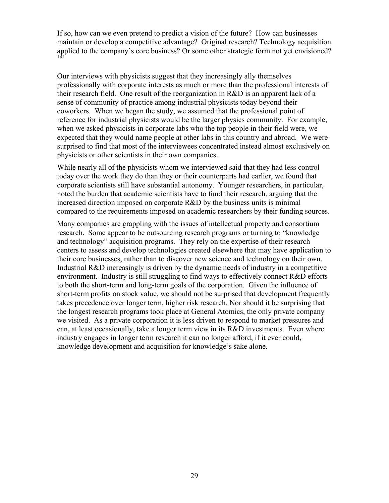If so, how can we even pretend to predict a vision of the future? How can businesses maintain or develop a competitive advantage? Original research? Technology acquisition applied to the company's core business? Or some other strategic form not yet envisioned?

Our interviews with physicists suggest that they increasingly ally themselves professionally with corporate interests as much or more than the professional interests of their research field. One result of the reorganization in R&D is an apparent lack of a sense of community of practice among industrial physicists today beyond their coworkers. When we began the study, we assumed that the professional point of reference for industrial physicists would be the larger physics community. For example, when we asked physicists in corporate labs who the top people in their field were, we expected that they would name people at other labs in this country and abroad. We were surprised to find that most of the interviewees concentrated instead almost exclusively on physicists or other scientists in their own companies.

While nearly all of the physicists whom we interviewed said that they had less control today over the work they do than they or their counterparts had earlier, we found that corporate scientists still have substantial autonomy. Younger researchers, in particular, noted the burden that academic scientists have to fund their research, arguing that the increased direction imposed on corporate R&D by the business units is minimal compared to the requirements imposed on academic researchers by their funding sources.

Many companies are grappling with the issues of intellectual property and consortium research. Some appear to be outsourcing research programs or turning to "knowledge and technology" acquisition programs. They rely on the expertise of their research centers to assess and develop technologies created elsewhere that may have application to their core businesses, rather than to discover new science and technology on their own. Industrial R&D increasingly is driven by the dynamic needs of industry in a competitive environment. Industry is still struggling to find ways to effectively connect R&D efforts to both the short-term and long-term goals of the corporation. Given the influence of short-term profits on stock value, we should not be surprised that development frequently takes precedence over longer term, higher risk research. Nor should it be surprising that the longest research programs took place at General Atomics, the only private company we visited. As a private corporation it is less driven to respond to market pressures and can, at least occasionally, take a longer term view in its R&D investments. Even where industry engages in longer term research it can no longer afford, if it ever could, knowledge development and acquisition for knowledge's sake alone.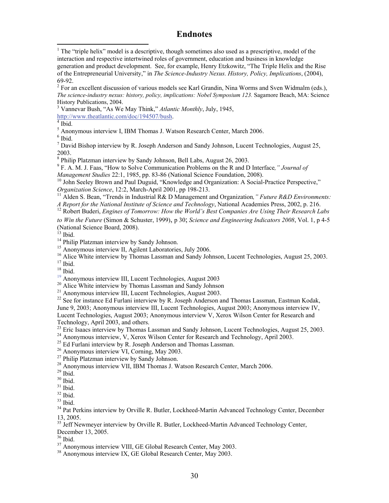## **Endnotes**

<sup>1</sup> The "triple helix" model is a descriptive, though sometimes also used as a prescriptive, model of the interaction and respective intertwined roles of government, education and business in knowledge generation and product development. See, for example, Henry Etzkowitz, "The Triple Helix and the Rise of the Entrepreneurial University," in *The Science-Industry Nexus. History, Policy, Implications*, (2004), 69-92.

 $2^2$  For an excellent discussion of various models see Karl Grandin, Nina Worms and Sven Widmalm (eds.), *The science-industry nexus: history, policy, implications: Nobel Symposium 123. Sagamore Beach, MA: Science* History Publications, 2004.

3 Vannevar Bush, "As We May Think," *Atlantic Monthly*, July, 1945,

<http://www.theatlantic.com/doc/194507/bush>.<br><sup>[4](http://www.theatlantic.com/doc/194507/bush)</sup> Ibid.

 $\overline{a}$ 

<sup>5</sup> Anonymous interview I, IBM Thomas J. Watson Research Center, March 2006.

6 Ibid.

<sup>7</sup> David Bishop interview by R. Joseph Anderson and Sandy Johnson, Lucent Technologies, August 25, 2003.

<sup>8</sup> Philip Platzman interview by Sandy Johnson, Bell Labs, August 26, 2003.

9 F. A. M. J. Faas, "How to Solve Communication Problems on the R and D Interface*," Journal of* 

*Management Studies* 22:1, 1985, pp. 83-86 (National Science Foundation, 2008).<br><sup>10</sup> John Seeley Brown and Paul Duguid, "Knowledge and Organization: A Social-Practice Perspective,"<br>*Organization Science*, 12:2, March-April

<sup>11</sup> Alden S. Bean, "Trends in Industrial R& D Management and Organization," Future R&D Environments: *A Report for the National Institute of Science and Technology*, National Academies Press, 2002, p. 216. 12 Robert Buderi, *Engines of Tomorrow: How the World's Best Companies Are Using Their Research Labs* 

*to Win the Future* (Simon & Schuster, 1999), p 30; *Science and Engineering Indicators 2008*, Vol. 1, p 4-5 (National Science Board, 2008).

 $i<sup>3</sup>$  Ibid.

<sup>14</sup> Philip Platzman interview by Sandy Johnson.

<sup>15</sup> Anonymous interview II, Agilent Laboratories, July 2006.

<sup>16</sup> Alice White interview by Thomas Lassman and Sandy Johnson, Lucent Technologies, August 25, 2003.<br><sup>17</sup> Ibid.

<sup>18</sup> Ibid.<br><sup>19</sup> Anonymous interview III, Lucent Technologies, August 2003

<sup>20</sup> Alice White interview by Thomas Lassman and Sandy Johnson

<sup>21</sup> Anonymous interview III, Lucent Technologies, August 2003.

<sup>22</sup> See for instance Ed Furlani interview by R. Joseph Anderson and Thomas Lassman, Eastman Kodak,

June 9, 2003; Anonymous interview III, Lucent Technologies, August 2003; Anonymous interview IV, Lucent Technologies, August 2003; Anonymous interview V, Xerox Wilson Center for Research and

Technology, April 2003, and others.<br><sup>23</sup> Eric Isaacs interview by Thomas Lassman and Sandy Johnson, Lucent Technologies, August 25, 2003.

<sup>24</sup> Anonymous interview, V, Xerox Wilson Center for Research and Technology, April 2003.

<sup>25</sup> Ed Furlani interview by R. Joseph Anderson and Thomas Lassman.

26 Anonymous interview VI, Corning, May 2003.

<sup>27</sup> Philip Platzman interview by Sandy Johnson.

<sup>28</sup> Anonymous interview VII, IBM Thomas J. Watson Research Center, March 2006.

 $29$  Ibid.

 $30$  Ibid.

 $31$  Ibid.

 $32$  Ibid.

 $33$  Ibid.

<sup>34</sup> Pat Perkins interview by Orville R. Butler, Lockheed-Martin Advanced Technology Center, December 13, 2005.

<sup>35</sup> Jeff Newmeyer interview by Orville R. Butler, Lockheed-Martin Advanced Technology Center, December 13, 2005.

36 Ibid.

<sup>37</sup> Anonymous interview VIII, GE Global Research Center, May 2003.

<sup>38</sup> Anonymous interview IX, GE Global Research Center, May 2003.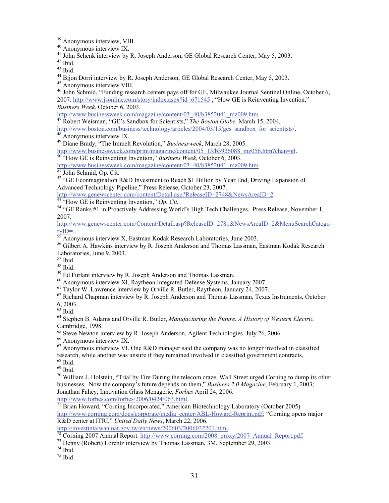39 Anonymous interview, VIII.

40 Anonymous interview IX.

<sup>41</sup> John Schenk interview by R. Joseph Anderson, GE Global Research Center, May 5, 2003.

 $42$  Ibid.

 $43$  Ibid.

<sup>44</sup> Bijon Dorri interview by R. Joseph Anderson, GE Global Research Center, May 5, 2003.

45 Anonymous interview VIII.

46 John Schmid, "Funding research centers pays off for GE, Milwaukee Journal Sentinel Online, October 6, 2007. http://www.jsonline.com/story/index.aspx?id=671545; "How GE is Reinventing Invention,"

*Business Week, October 6, 2003.*<br>http://www.businessweek.com/magazine/content/03 40/b3852041 mz009.htm.

 $\frac{47}{47}$  $\frac{47}{47}$  $\frac{47}{47}$  Robert Weisman, "GE's Sandbox for Scientists," *The Boston Globe, March* 15, 2004, [http://www.boston.com/business/technology/articles/2004/03/15/ges\\_sandbox\\_for\\_scientists/.](http://www.boston.com/business/technology/articles/2004/03/15/ges_sandbox_for_scientists/)<br><sup>[48](http://www.boston.com/business/technology/articles/2004/03/15/ges_sandbox_for_scientists/)</sup> Anonymous interview IX.

49 Diane Brady, "The Immelt Revolution," *Businessweek*, March 28, 2005.

[http://www.businessweek.com/print/magazine/content/05\\_13/b3926088\\_mz056.htm?chan=gl](http://www.businessweek.com/print/magazine/content/05_13/b3926088_mz056.htm?chan=gl). [50](http://www.businessweek.com/print/magazine/content/05_13/b3926088_mz056.htm?chan=gl) "How GE is Reinventing Invention," *Business Week,* October 6, 2003.

[http://www.businessweek.com/magazine/content/03\\_40/b3852041\\_mz009.htm.](http://www.businessweek.com/magazine/content/03_40/b3852041_mz009.htm)<br> [51](http://www.businessweek.com/magazine/content/03_40/b3852041_mz009.htm) John Schmid, Op. Cit.

<sup>52</sup> "GE Econmagination R&D Investment to Reach \$1 Billion by Year End, Driving Expansion of Advanced Technology Pipeline," Press Release, October 23, 2007.

<http://www.genewscenter.com/content/Detail.asp?ReleaseID=2748&NewsAreaID=2>.<br>
<sup>[53](http://www.genewscenter.com/content/Detail.asp?ReleaseID=2748&NewsAreaID=2)</sup> "How GE is Reinventing Invention," Op. Cit.<br>
<sup>54</sup> "GE Ranks #1 in Proactively Addressing World's High Tech Challenges. Press Release, Novem 2007.

[http://www.genewscenter.com/Content/Detail.asp?ReleaseID=2781&NewsAreaID=2&MenuSearchCatego](http://www.genewscenter.com/Content/Detail.asp?ReleaseID=2781&NewsAreaID=2&MenuSearchCategoryID)<br>
FSLE

 $\overline{A}$ nonymous interview X, Eastman Kodak Research Laboratories, June 2003.

<sup>56</sup> Gilbert A. Hawkins interview by R. Joseph Anderson and Thomas Lassman, Eastman Kodak Research Laboratories, June 9, 2003.

 $\overline{57}$  Ibid.

58 Ibid.

59 Ed Furlani interview by R. Joseph Anderson and Thomas Lassman.

60 Anonymous interview XI, Raytheon Integrated Defense Systems, January 2007.

<sup>61</sup> Taylor W. Lawrence interview by Orville R. Butler, Raytheon, January 24, 2007.

 $62$  Richard Chapman interview by R. Joseph Anderson and Thomas Lassman, Texas Instruments, October

6, 2003.

 $63$  Ibid.

64 Stephen B. Adams and Orville R. Butler, *Manufacturing the Future. A History of Western Electric.* Cambridge, 1998.

<sup>65</sup> Steve Newton interview by R. Joseph Anderson, Agilent Technologies, July 26, 2006.<br><sup>66</sup> Anonymous interview IX.

 $67$  Anonymous interview VI. One R&D manager said the company was no longer involved in classified research, while another was unsure if they remained involved in classified government contracts. 68 Ibid.

 $69$  Ibid.

 $70$  William J. Holstein, "Trial by Fire During the telecom craze, Wall Street urged Corning to dump its other businesses. Now the company's future depends on them," *Business 2.0 Magazine*, February 1, 2003; Jonathan Fahey, Innovation Glass Menagerie, *Forbes* April 24, 2006.

<sup>[71](http://www.forbes.com/forbes/2006/0424/063.html)</sup> Brian Howard, "Corning Incorporated," American Biotechnology Laboratory (October 2005) [http://www.corning.com/docs/corporate/media\\_center/ABL-Howard-Reprint.pdf](http://www.corning.com/docs/corporate/media_center/ABL-Howard-Reprint.pdf); "Corning opens major R&D center at ITRI," *United Daily News*, March 22, 2006.

 $\frac{72}{72}$  $\frac{72}{72}$  $\frac{72}{72}$ Corning 2007 Annual Report. [http://www.corning.com/2008\\_proxy/2007\\_Annual\\_Report.pdf.](http://www.corning.com/2008_proxy/2007_Annual_Report.pdf)<br>  $\frac{73}{72}$  Denny (Robert) Lorentz interview by Thomas Lassman, 3M, September 29, 2003.

 $74$  Ibid.

 $75$  Ibid.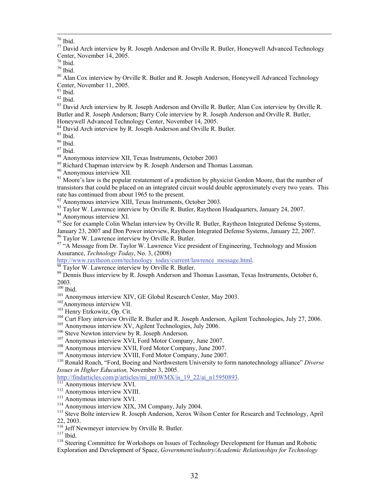76 Ibid.

 $^{77}$  David Arch interview by R. Joseph Anderson and Orville R. Butler, Honeywell Advanced Technology Center, November 14, 2005.

78 Ibid.  $79$  Ibid.

<sup>80</sup> Alan Cox interview by Orville R. Butler and R. Joseph Anderson, Honeywell Advanced Technology Center, November 11, 2005.

 $81$  Ibid.

 $82$  Ibid.

<sup>83</sup> David Arch interview by R. Joseph Anderson and Orville R. Butler; Alan Cox interview by Orville R. Butler and R. Joseph Anderson; Barry Cole interview by R. Joseph Anderson and Orville R. Butler, Honeywell Advanced Technology Center, November 14, 2005.

 $84$  David Arch interview by R. Joseph Anderson and Orville R. Butler.  $85$  Ibid.

86 Ibid.

87 Ibid.

88 Anonymous interview XII, Texas Instruments, October 2003

<sup>89</sup> Richard Chapman interview by R. Joseph Anderson and Thomas Lassman.

90 Anonymous interview XII.

 $91$  Moore's law is the popular restatement of a prediction by physicist Gordon Moore, that the number of transistors that could be placed on an integrated circuit would double approximately every two years. This rate has continued from about 1965 to the present.

92 Anonymous interview XIII, Texas Instruments, October 2003.

 $93$  Taylor W. Lawrence interview by Orville R. Butler, Raytheon Headquarters, January 24, 2007.<br><sup>94</sup> Anonymous interview XI.

<sup>95</sup> See for example Colin Whelan interview by Orville R. Butler, Raytheon Integrated Defense Systems, January 23, 2007 and Don Power interview, Raytheon Integrated Defense Systems, January 22, 2007. <sup>96</sup> Taylor W. Lawrence interview by Orville R. Butler.

<sup>97</sup> "A Message from Dr. Taylor W. Lawrence Vice president of Engineering, Technology and Mission Assurance, *Technology Today*, No. 3, (2008)

[http://www.raytheon.com/technology\\_today/current/lawrence\\_message.html.](http://www.raytheon.com/technology_today/current/lawrence_message.html)<br><sup>[98](http://www.raytheon.com/technology_today/current/lawrence_message.html)</sup> Taylor W. Lawrence interview by Orville R. Butler.

99 Dennis Buss interview by R. Joseph Anderson and Thomas Lassman, Texas Instruments, October 6,  $^{2003.}_{\,100}$  Ibid.

<sup>101</sup> Anonymous interview XIV, GE Global Research Center, May 2003.<br><sup>102</sup> Anonymous interview VII.<br><sup>103</sup> Henry Etzkowitz, Op. Cit.<br><sup>104</sup> Curt Flory interview Orville R. Butler and R. Joseph Anderson, Agilent Technologies,

*Issues in Higher Education, November 3, 2005.*<br>
http://findarticles.com/p/articles/mi\_m0WMX/is\_19\_22/ai\_n15950893.

<sup>[111](http://findarticles.com/p/articles/mi_m0WMX/is_19_22/ai_n15950893)</sup> Anonymous interview XVI.<br>
<sup>112</sup> Anonymous interview XVIII.<br>
<sup>113</sup> Anonymous interview XVI.<br>
<sup>114</sup> Anonymous interview XIX, 3M Company, July 2004.<br>
<sup>115</sup> Steve Bolte interview R. Joseph Anderson, Xerox Wilson Center f 22, 2003.<br><sup>116</sup> Jeff Newmeyer interview by Orville R. Butler.

117 Ibid. 118 Sett Newmeyer interview by Orroms and according results of Technology Development for Human and Robotic  $\frac{118}{118}$  Steering Committee for Workshops on Issues of Technology Development for Human and Roboti Exploration and Development of Space, *Government/industry/Academic Relationships for Technology*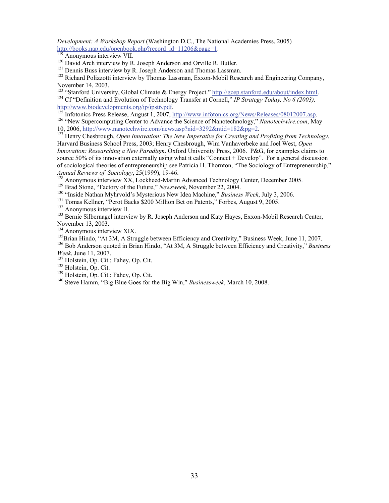$\overline{a}$ *Development: A Workshop Report* (Washington D.C., The National Academies Press, 2005) [http://books.nap.edu/openbook.php?record\\_id=11206&page=1](http://books.nap.edu/openbook.php?record_id=11206&page=1).<br>
<sup>[119](http://books.nap.edu/openbook.php?record_id=11206&page=1)</sup> Anonymous interview VII.<br>
<sup>120</sup> David Arch interview by R. Joseph Anderson and Orville R. Butler.<br>
<sup>121</sup> Dennis Buss interview by R. Joseph Anderson and Thom

November 14, 2003.<br><sup>123</sup> "Stanford University. Global Climate & Energy Project." http://gcep.stanford.edu/about/index.html.

<sup>124</sup> Cf "Definition and Evolution of Technology Transfer at Cornell," *IP Strategy Today, No 6 (2003),* 

[http://www.biodevelopments.org/ip/ipst6.pdf.](http://www.biodevelopments.org/ip/ipst6.pdf)<br>
<sup>125</sup>Infotonics Press Release, August 1, 2007,<http://www.infotonics.org/News/Releases/08012007.asp>.<br>
<sup>126</sup> "New Supercomputing Center to Advance the Science of Nanotechnology

<sup>127</sup> Henry Chesbrough, *Open Innovation: The New Imperative for Creating and Profiting from Technology.* Harvard Business School Press, 2003; Henry Chesbrough, Wim Vanhaverbeke and Joel West, *Open Innovation: Researching a New Paradigm*. Oxford University Press, 2006. P&G, for examples claims to source 50% of its innovation externally using what it calls "Connect + Develop". For a general discussion of sociological theories of entrepreneurship see Patricia H. Thornton, "The Sociology of Entrepreneurship,"<br>*Annual Reviews of Sociology*, 25(1999), 19-46.<br><sup>128</sup> Anonymous interview XX, Lockheed-Martin Advanced Technology

<sup>129</sup> Brad Stone, "Factory of the Future," *Newsweek*, November 22, 2004.<br><sup>130</sup> "Inside Nathan Myhrvold's Mysterious New Idea Machine," *Business Week*, July 3, 2006.<br><sup>131</sup> Tomas Kellner, "Perot Backs \$200 Million Bet on P

November 13, 2003.<br><sup>134</sup> Anonymous interview XIX.

<sup>135</sup>Brian Hindo, "At 3M, A Struggle between Efficiency and Creativity," Business Week, June 11, 2007.<br><sup>136</sup> Bob Anderson quoted in Brian Hindo, "At 3M, A Struggle between Efficiency and Creativity," *Business* 

*Week*, June 11, 2007.<br><sup>137</sup> Holstein, Op. Cit.; Fahey, Op. Cit.<br><sup>138</sup> Holstein, Op. Cit.; Fahey, Op. Cit.<br><sup>140</sup> Steve Hamm, "Big Blue Goes for the Big Win," *Businessweek*, March 10, 2008.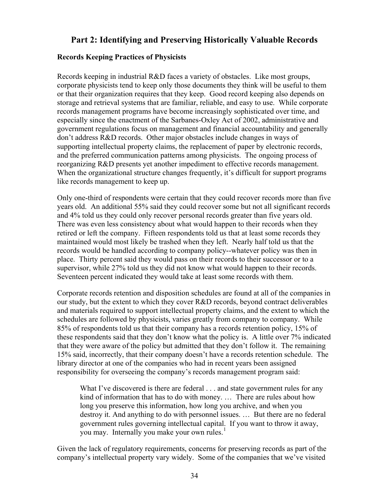## **Part 2: Identifying and Preserving Historically Valuable Records**

### **Records Keeping Practices of Physicists**

Records keeping in industrial R&D faces a variety of obstacles. Like most groups, corporate physicists tend to keep only those documents they think will be useful to them or that their organization requires that they keep. Good record keeping also depends on storage and retrieval systems that are familiar, reliable, and easy to use. While corporate records management programs have become increasingly sophisticated over time, and especially since the enactment of the Sarbanes-Oxley Act of 2002, administrative and government regulations focus on management and financial accountability and generally don't address R&D records. Other major obstacles include changes in ways of supporting intellectual property claims, the replacement of paper by electronic records, and the preferred communication patterns among physicists. The ongoing process of reorganizing R&D presents yet another impediment to effective records management. When the organizational structure changes frequently, it's difficult for support programs like records management to keep up.

Only one-third of respondents were certain that they could recover records more than five years old. An additional 55% said they could recover some but not all significant records and 4% told us they could only recover personal records greater than five years old. There was even less consistency about what would happen to their records when they retired or left the company. Fifteen respondents told us that at least some records they maintained would most likely be trashed when they left. Nearly half told us that the records would be handled according to company policy--whatever policy was then in place. Thirty percent said they would pass on their records to their successor or to a supervisor, while 27% told us they did not know what would happen to their records. Seventeen percent indicated they would take at least some records with them.

Corporate records retention and disposition schedules are found at all of the companies in our study, but the extent to which they cover R&D records, beyond contract deliverables and materials required to support intellectual property claims, and the extent to which the schedules are followed by physicists, varies greatly from company to company. While 85% of respondents told us that their company has a records retention policy, 15% of these respondents said that they don't know what the policy is. A little over 7% indicated that they were aware of the policy but admitted that they don't follow it. The remaining 15% said, incorrectly, that their company doesn't have a records retention schedule. The library director at one of the companies who had in recent years been assigned responsibility for overseeing the company's records management program said:

What I've discovered is there are federal . . . and state government rules for any kind of information that has to do with money. … There are rules about how long you preserve this information, how long you archive, and when you destroy it. And anything to do with personnel issues. … But there are no federal government rules governing intellectual capital. If you want to throw it away, you may. Internally you make your own rules.<sup>[1](#page-71-0)</sup>

Given the lack of regulatory requirements, concerns for preserving records as part of the company's intellectual property vary widely. Some of the companies that we've visited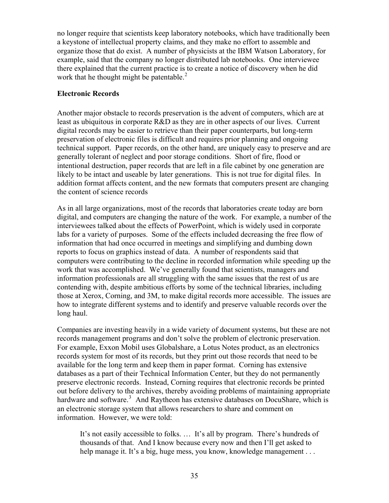no longer require that scientists keep laboratory notebooks, which have traditionally been a keystone of intellectual property claims, and they make no effort to assemble and organize those that do exist. A number of physicists at the IBM Watson Laboratory, for example, said that the company no longer distributed lab notebooks. One interviewee there explained that the current practice is to create a notice of discovery when he did work that he thought might be patentable.<sup>[2](#page-71-0)</sup>

### **Electronic Records**

Another major obstacle to records preservation is the advent of computers, which are at least as ubiquitous in corporate R&D as they are in other aspects of our lives. Current digital records may be easier to retrieve than their paper counterparts, but long-term preservation of electronic files is difficult and requires prior planning and ongoing technical support. Paper records, on the other hand, are uniquely easy to preserve and are generally tolerant of neglect and poor storage conditions. Short of fire, flood or intentional destruction, paper records that are left in a file cabinet by one generation are likely to be intact and useable by later generations. This is not true for digital files. In addition format affects content, and the new formats that computers present are changing the content of science records

As in all large organizations, most of the records that laboratories create today are born digital, and computers are changing the nature of the work. For example, a number of the interviewees talked about the effects of PowerPoint, which is widely used in corporate labs for a variety of purposes. Some of the effects included decreasing the free flow of information that had once occurred in meetings and simplifying and dumbing down reports to focus on graphics instead of data. A number of respondents said that computers were contributing to the decline in recorded information while speeding up the work that was accomplished. We've generally found that scientists, managers and information professionals are all struggling with the same issues that the rest of us are contending with, despite ambitious efforts by some of the technical libraries, including those at Xerox, Corning, and 3M, to make digital records more accessible. The issues are how to integrate different systems and to identify and preserve valuable records over the long haul.

Companies are investing heavily in a wide variety of document systems, but these are not records management programs and don't solve the problem of electronic preservation. For example, Exxon Mobil uses Globalshare, a Lotus Notes product, as an electronics records system for most of its records, but they print out those records that need to be available for the long term and keep them in paper format. Corning has extensive databases as a part of their Technical Information Center, but they do not permanently preserve electronic records. Instead, Corning requires that electronic records be printed out before delivery to the archives, thereby avoiding problems of maintaining appropriate hardware and software.<sup>[3](#page-71-0)</sup> And Raytheon has extensive databases on DocuShare, which is an electronic storage system that allows researchers to share and comment on information. However, we were told:

It's not easily accessible to folks. … It's all by program. There's hundreds of thousands of that. And I know because every now and then I'll get asked to help manage it. It's a big, huge mess, you know, knowledge management . . .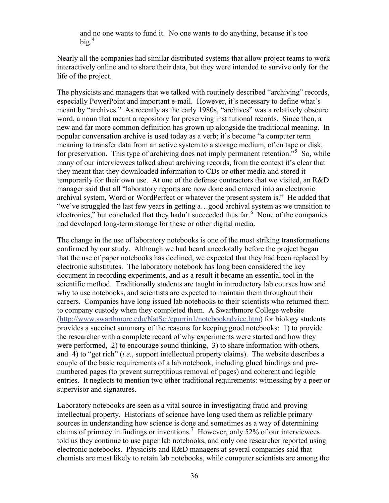and no one wants to fund it. No one wants to do anything, because it's too  $big.$ <sup>[4](#page-71-0)</sup>

Nearly all the companies had similar distributed systems that allow project teams to work interactively online and to share their data, but they were intended to survive only for the life of the project.

The physicists and managers that we talked with routinely described "archiving" records, especially PowerPoint and important e-mail. However, it's necessary to define what's meant by "archives." As recently as the early 1980s, "archives" was a relatively obscure word, a noun that meant a repository for preserving institutional records. Since then, a new and far more common definition has grown up alongside the traditional meaning. In popular conversation archive is used today as a verb; it's become "a computer term meaning to transfer data from an active system to a storage medium, often tape or disk, for preservation. This type of archiving does not imply permanent retention.<sup>[5](#page-71-0)5</sup> So, while many of our interviewees talked about archiving records, from the context it's clear that they meant that they downloaded information to CDs or other media and stored it temporarily for their own use. At one of the defense contractors that we visited, an R&D manager said that all "laboratory reports are now done and entered into an electronic archival system, Word or WordPerfect or whatever the present system is." He added that "we've struggled the last few years in getting a…good archival system as we transition to electronics," but concluded that they hadn't succeeded thus far.<sup>[6](#page-71-0)</sup> None of the companies had developed long-term storage for these or other digital media.

The change in the use of laboratory notebooks is one of the most striking transformations confirmed by our study. Although we had heard anecdotally before the project began that the use of paper notebooks has declined, we expected that they had been replaced by electronic substitutes. The laboratory notebook has long been considered the key document in recording experiments, and as a result it became an essential tool in the scientific method. Traditionally students are taught in introductory lab courses how and why to use notebooks, and scientists are expected to maintain them throughout their careers. Companies have long issued lab notebooks to their scientists who returned them to company custody when they completed them. A Swarthmore College website ([http://www.swarthmore.edu/NatSci/cpurrin1/notebookadvice.htm\)](http://www.swarthmore.edu/NatSci/cpurrin1/notebookadvice.htm) for biology students provides a succinct summary of the reasons for keeping good notebooks: 1) to provide the researcher with a complete record of why experiments were started and how they were performed, 2) to encourage sound thinking, 3) to share information with others, and 4) to "get rich" (*i.e.*, support intellectual property claims). The website describes a couple of the basic requirements of a lab notebook, including glued bindings and prenumbered pages (to prevent surreptitious removal of pages) and coherent and legible entries. It neglects to mention two other traditional requirements: witnessing by a peer or supervisor and signatures.

Laboratory notebooks are seen as a vital source in investigating fraud and proving intellectual property. Historians of science have long used them as reliable primary sources in understanding how science is done and sometimes as a way of determining claims of primacy in findings or inventions.<sup>[7](#page-71-0)</sup> However, only 52% of our interviewees told us they continue to use paper lab notebooks, and only one researcher reported using electronic notebooks. Physicists and R&D managers at several companies said that chemists are most likely to retain lab notebooks, while computer scientists are among the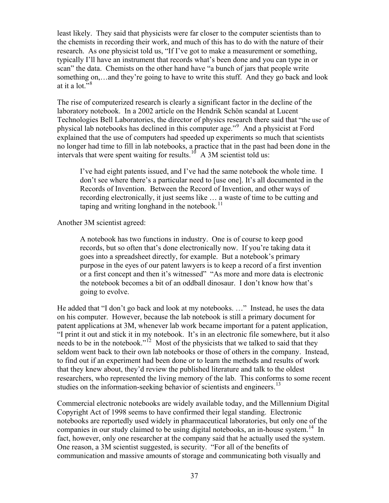least likely. They said that physicists were far closer to the computer scientists than to the chemists in recording their work, and much of this has to do with the nature of their research. As one physicist told us, "If I've got to make a measurement or something, typically I'll have an instrument that records what's been done and you can type in or scan" the data. Chemists on the other hand have "a bunch of jars that people write something on,…and they're going to have to write this stuff. And they go back and look at it a lot." $8$ 

The rise of computerized research is clearly a significant factor in the decline of the laboratory notebook. In a 2002 article on the Hendrik Schön scandal at Lucent Technologies Bell Laboratories, the director of physics research there said that "the use of physical lab notebooks has declined in this computer age."[9](#page-71-0) And a physicist at Ford explained that the use of computers had speeded up experiments so much that scientists no longer had time to fill in lab notebooks, a practice that in the past had been done in the intervals that were spent waiting for results.<sup>[10](#page-71-0)</sup> A 3M scientist told us:

I've had eight patents issued, and I've had the same notebook the whole time. I don't see where there's a particular need to [use one]. It's all documented in the Records of Invention. Between the Record of Invention, and other ways of recording electronically, it just seems like … a waste of time to be cutting and taping and writing longhand in the notebook.<sup>[11](#page-71-0)</sup>

Another 3M scientist agreed:

A notebook has two functions in industry. One is of course to keep good records, but so often that's done electronically now. If you're taking data it goes into a spreadsheet directly, for example. But a notebook's primary purpose in the eyes of our patent lawyers is to keep a record of a first invention or a first concept and then it's witnessed" "As more and more data is electronic the notebook becomes a bit of an oddball dinosaur. I don't know how that's going to evolve.

He added that "I don't go back and look at my notebooks. …" Instead, he uses the data on his computer. However, because the lab notebook is still a primary document for patent applications at 3M, whenever lab work became important for a patent application, "I print it out and stick it in my notebook. It's in an electronic file somewhere, but it also needs to be in the notebook."<sup>[12](#page-71-0)</sup> Most of the physicists that we talked to said that they seldom went back to their own lab notebooks or those of others in the company. Instead, to find out if an experiment had been done or to learn the methods and results of work that they knew about, they'd review the published literature and talk to the oldest researchers, who represented the living memory of the lab. This conforms to some recent studies on the information-seeking behavior of scientists and engineers.<sup>[13](#page-71-0)</sup>

Commercial electronic notebooks are widely available today, and the Millennium Digital Copyright Act of 1998 seems to have confirmed their legal standing. Electronic notebooks are reportedly used widely in pharmaceutical laboratories, but only one of the companies in our study claimed to be using digital notebooks, an in-house system.<sup>[14](#page-71-0)</sup> In fact, however, only one researcher at the company said that he actually used the system. One reason, a 3M scientist suggested, is security. "For all of the benefits of communication and massive amounts of storage and communicating both visually and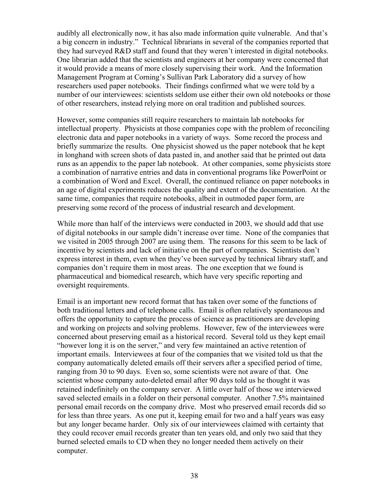audibly all electronically now, it has also made information quite vulnerable. And that's a big concern in industry." Technical librarians in several of the companies reported that they had surveyed R&D staff and found that they weren't interested in digital notebooks. One librarian added that the scientists and engineers at her company were concerned that it would provide a means of more closely supervising their work. And the Information Management Program at Corning's Sullivan Park Laboratory did a survey of how researchers used paper notebooks. Their findings confirmed what we were told by a number of our interviewees: scientists seldom use either their own old notebooks or those of other researchers, instead relying more on oral tradition and published sources.

However, some companies still require researchers to maintain lab notebooks for intellectual property. Physicists at those companies cope with the problem of reconciling electronic data and paper notebooks in a variety of ways. Some record the process and briefly summarize the results. One physicist showed us the paper notebook that he kept in longhand with screen shots of data pasted in, and another said that he printed out data runs as an appendix to the paper lab notebook. At other companies, some physicists store a combination of narrative entries and data in conventional programs like PowerPoint or a combination of Word and Excel. Overall, the continued reliance on paper notebooks in an age of digital experiments reduces the quality and extent of the documentation. At the same time, companies that require notebooks, albeit in outmoded paper form, are preserving some record of the process of industrial research and development.

While more than half of the interviews were conducted in 2003, we should add that use of digital notebooks in our sample didn't increase over time. None of the companies that we visited in 2005 through 2007 are using them. The reasons for this seem to be lack of incentive by scientists and lack of initiative on the part of companies. Scientists don't express interest in them, even when they've been surveyed by technical library staff, and companies don't require them in most areas. The one exception that we found is pharmaceutical and biomedical research, which have very specific reporting and oversight requirements.

Email is an important new record format that has taken over some of the functions of both traditional letters and of telephone calls. Email is often relatively spontaneous and offers the opportunity to capture the process of science as practitioners are developing and working on projects and solving problems. However, few of the interviewees were concerned about preserving email as a historical record. Several told us they kept email "however long it is on the server," and very few maintained an active retention of important emails. Interviewees at four of the companies that we visited told us that the company automatically deleted emails off their servers after a specified period of time, ranging from 30 to 90 days. Even so, some scientists were not aware of that. One scientist whose company auto-deleted email after 90 days told us he thought it was retained indefinitely on the company server. A little over half of those we interviewed saved selected emails in a folder on their personal computer. Another 7.5% maintained personal email records on the company drive. Most who preserved email records did so for less than three years. As one put it, keeping email for two and a half years was easy but any longer became harder. Only six of our interviewees claimed with certainty that they could recover email records greater than ten years old, and only two said that they burned selected emails to CD when they no longer needed them actively on their computer.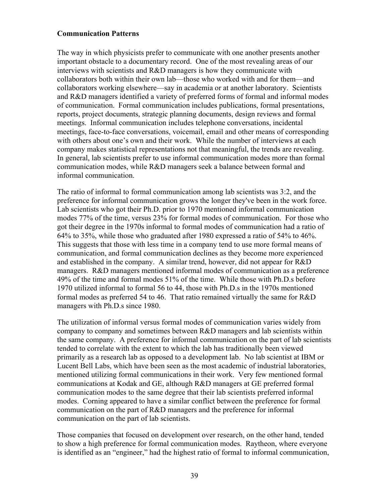#### **Communication Patterns**

The way in which physicists prefer to communicate with one another presents another important obstacle to a documentary record. One of the most revealing areas of our interviews with scientists and R&D managers is how they communicate with collaborators both within their own lab—those who worked with and for them—and collaborators working elsewhere—say in academia or at another laboratory. Scientists and R&D managers identified a variety of preferred forms of formal and informal modes of communication. Formal communication includes publications, formal presentations, reports, project documents, strategic planning documents, design reviews and formal meetings. Informal communication includes telephone conversations, incidental meetings, face-to-face conversations, voicemail, email and other means of corresponding with others about one's own and their work. While the number of interviews at each company makes statistical representations not that meaningful, the trends are revealing. In general, lab scientists prefer to use informal communication modes more than formal communication modes, while R&D managers seek a balance between formal and informal communication.

The ratio of informal to formal communication among lab scientists was 3:2, and the preference for informal communication grows the longer they've been in the work force. Lab scientists who got their Ph.D. prior to 1970 mentioned informal communication modes 77% of the time, versus 23% for formal modes of communication. For those who got their degree in the 1970s informal to formal modes of communication had a ratio of 64% to 35%, while those who graduated after 1980 expressed a ratio of 54% to 46%. This suggests that those with less time in a company tend to use more formal means of communication, and formal communication declines as they become more experienced and established in the company. A similar trend, however, did not appear for R&D managers. R&D managers mentioned informal modes of communication as a preference 49% of the time and formal modes 51% of the time. While those with Ph.D.s before 1970 utilized informal to formal 56 to 44, those with Ph.D.s in the 1970s mentioned formal modes as preferred 54 to 46. That ratio remained virtually the same for R&D managers with Ph.D.s since 1980.

The utilization of informal versus formal modes of communication varies widely from company to company and sometimes between R&D managers and lab scientists within the same company. A preference for informal communication on the part of lab scientists tended to correlate with the extent to which the lab has traditionally been viewed primarily as a research lab as opposed to a development lab. No lab scientist at IBM or Lucent Bell Labs, which have been seen as the most academic of industrial laboratories, mentioned utilizing formal communications in their work. Very few mentioned formal communications at Kodak and GE, although R&D managers at GE preferred formal communication modes to the same degree that their lab scientists preferred informal modes. Corning appeared to have a similar conflict between the preference for formal communication on the part of R&D managers and the preference for informal communication on the part of lab scientists.

Those companies that focused on development over research, on the other hand, tended to show a high preference for formal communication modes. Raytheon, where everyone is identified as an "engineer," had the highest ratio of formal to informal communication,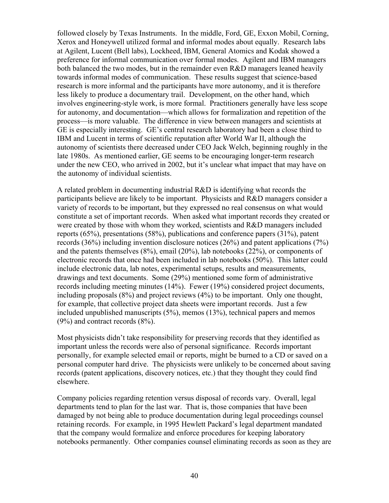followed closely by Texas Instruments. In the middle, Ford, GE, Exxon Mobil, Corning, Xerox and Honeywell utilized formal and informal modes about equally. Research labs at Agilent, Lucent (Bell labs), Lockheed, IBM, General Atomics and Kodak showed a preference for informal communication over formal modes. Agilent and IBM managers both balanced the two modes, but in the remainder even R&D managers leaned heavily towards informal modes of communication. These results suggest that science-based research is more informal and the participants have more autonomy, and it is therefore less likely to produce a documentary trail. Development, on the other hand, which involves engineering-style work, is more formal. Practitioners generally have less scope for autonomy, and documentation—which allows for formalization and repetition of the process—is more valuable. The difference in view between managers and scientists at GE is especially interesting. GE's central research laboratory had been a close third to IBM and Lucent in terms of scientific reputation after World War II, although the autonomy of scientists there decreased under CEO Jack Welch, beginning roughly in the late 1980s. As mentioned earlier, GE seems to be encouraging longer-term research under the new CEO, who arrived in 2002, but it's unclear what impact that may have on the autonomy of individual scientists.

A related problem in documenting industrial R&D is identifying what records the participants believe are likely to be important. Physicists and R&D managers consider a variety of records to be important, but they expressed no real consensus on what would constitute a set of important records. When asked what important records they created or were created by those with whom they worked, scientists and R&D managers included reports (65%), presentations (58%), publications and conference papers (31%), patent records (36%) including invention disclosure notices (26%) and patent applications (7%) and the patents themselves (8%), email (20%), lab notebooks (22%), or components of electronic records that once had been included in lab notebooks (50%). This latter could include electronic data, lab notes, experimental setups, results and measurements, drawings and text documents. Some (29%) mentioned some form of administrative records including meeting minutes (14%). Fewer (19%) considered project documents, including proposals (8%) and project reviews (4%) to be important. Only one thought, for example, that collective project data sheets were important records. Just a few included unpublished manuscripts (5%), memos (13%), technical papers and memos (9%) and contract records (8%).

Most physicists didn't take responsibility for preserving records that they identified as important unless the records were also of personal significance. Records important personally, for example selected email or reports, might be burned to a CD or saved on a personal computer hard drive. The physicists were unlikely to be concerned about saving records (patent applications, discovery notices, etc.) that they thought they could find elsewhere.

Company policies regarding retention versus disposal of records vary. Overall, legal departments tend to plan for the last war. That is, those companies that have been damaged by not being able to produce documentation during legal proceedings counsel retaining records. For example, in 1995 Hewlett Packard's legal department mandated that the company would formalize and enforce procedures for keeping laboratory notebooks permanently. Other companies counsel eliminating records as soon as they are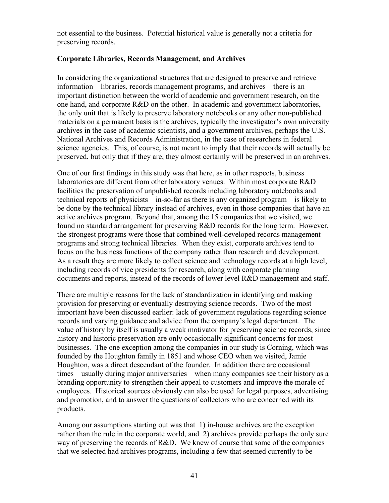not essential to the business. Potential historical value is generally not a criteria for preserving records.

### **Corporate Libraries, Records Management, and Archives**

In considering the organizational structures that are designed to preserve and retrieve information—libraries, records management programs, and archives—there is an important distinction between the world of academic and government research, on the one hand, and corporate R&D on the other. In academic and government laboratories, the only unit that is likely to preserve laboratory notebooks or any other non-published materials on a permanent basis is the archives, typically the investigator's own university archives in the case of academic scientists, and a government archives, perhaps the U.S. National Archives and Records Administration, in the case of researchers in federal science agencies. This, of course, is not meant to imply that their records will actually be preserved, but only that if they are, they almost certainly will be preserved in an archives.

One of our first findings in this study was that here, as in other respects, business laboratories are different from other laboratory venues. Within most corporate R&D facilities the preservation of unpublished records including laboratory notebooks and technical reports of physicists—in-so-far as there is any organized program—is likely to be done by the technical library instead of archives, even in those companies that have an active archives program. Beyond that, among the 15 companies that we visited, we found no standard arrangement for preserving R&D records for the long term. However, the strongest programs were those that combined well-developed records management programs and strong technical libraries. When they exist, corporate archives tend to focus on the business functions of the company rather than research and development. As a result they are more likely to collect science and technology records at a high level, including records of vice presidents for research, along with corporate planning documents and reports, instead of the records of lower level R&D management and staff.

There are multiple reasons for the lack of standardization in identifying and making provision for preserving or eventually destroying science records. Two of the most important have been discussed earlier: lack of government regulations regarding science records and varying guidance and advice from the company's legal department. The value of history by itself is usually a weak motivator for preserving science records, since history and historic preservation are only occasionally significant concerns for most businesses. The one exception among the companies in our study is Corning, which was founded by the Houghton family in 1851 and whose CEO when we visited, Jamie Houghton, was a direct descendant of the founder. In addition there are occasional times—usually during major anniversaries—when many companies see their history as a branding opportunity to strengthen their appeal to customers and improve the morale of employees. Historical sources obviously can also be used for legal purposes, advertising and promotion, and to answer the questions of collectors who are concerned with its products.

Among our assumptions starting out was that 1) in-house archives are the exception rather than the rule in the corporate world, and 2) archives provide perhaps the only sure way of preserving the records of R&D. We knew of course that some of the companies that we selected had archives programs, including a few that seemed currently to be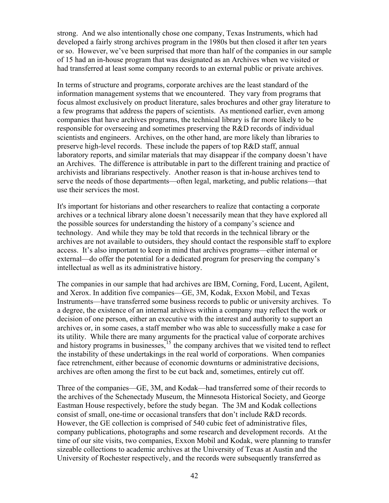strong. And we also intentionally chose one company, Texas Instruments, which had developed a fairly strong archives program in the 1980s but then closed it after ten years or so. However, we've been surprised that more than half of the companies in our sample of 15 had an in-house program that was designated as an Archives when we visited or had transferred at least some company records to an external public or private archives.

In terms of structure and programs, corporate archives are the least standard of the information management systems that we encountered. They vary from programs that focus almost exclusively on product literature, sales brochures and other gray literature to a few programs that address the papers of scientists. As mentioned earlier, even among companies that have archives programs, the technical library is far more likely to be responsible for overseeing and sometimes preserving the R&D records of individual scientists and engineers. Archives, on the other hand, are more likely than libraries to preserve high-level records. These include the papers of top R&D staff, annual laboratory reports, and similar materials that may disappear if the company doesn't have an Archives. The difference is attributable in part to the different training and practice of archivists and librarians respectively. Another reason is that in-house archives tend to serve the needs of those departments—often legal, marketing, and public relations—that use their services the most.

It's important for historians and other researchers to realize that contacting a corporate archives or a technical library alone doesn't necessarily mean that they have explored all the possible sources for understanding the history of a company's science and technology. And while they may be told that records in the technical library or the archives are not available to outsiders, they should contact the responsible staff to explore access. It's also important to keep in mind that archives programs—either internal or external—do offer the potential for a dedicated program for preserving the company's intellectual as well as its administrative history.

The companies in our sample that had archives are IBM, Corning, Ford, Lucent, Agilent, and Xerox. In addition five companies—GE, 3M, Kodak, Exxon Mobil, and Texas Instruments—have transferred some business records to public or university archives. To a degree, the existence of an internal archives within a company may reflect the work or decision of one person, either an executive with the interest and authority to support an archives or, in some cases, a staff member who was able to successfully make a case for its utility. While there are many arguments for the practical value of corporate archives and history programs in businesses, $15$  the company archives that we visited tend to reflect the instability of these undertakings in the real world of corporations. When companies face retrenchment, either because of economic downturns or administrative decisions, archives are often among the first to be cut back and, sometimes, entirely cut off.

Three of the companies—GE, 3M, and Kodak—had transferred some of their records to the archives of the Schenectady Museum, the Minnesota Historical Society, and George Eastman House respectively, before the study began. The 3M and Kodak collections consist of small, one-time or occasional transfers that don't include R&D records. However, the GE collection is comprised of 540 cubic feet of administrative files, company publications, photographs and some research and development records. At the time of our site visits, two companies, Exxon Mobil and Kodak, were planning to transfer sizeable collections to academic archives at the University of Texas at Austin and the University of Rochester respectively, and the records were subsequently transferred as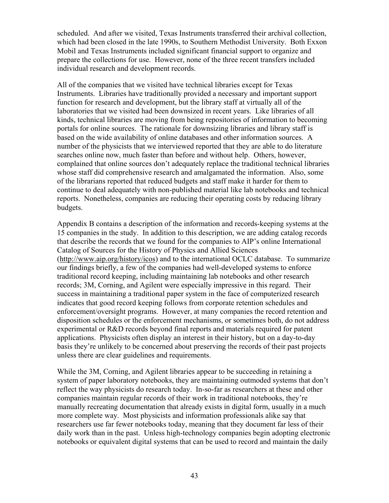scheduled. And after we visited, Texas Instruments transferred their archival collection, which had been closed in the late 1990s, to Southern Methodist University. Both Exxon Mobil and Texas Instruments included significant financial support to organize and prepare the collections for use. However, none of the three recent transfers included individual research and development records.

All of the companies that we visited have technical libraries except for Texas Instruments. Libraries have traditionally provided a necessary and important support function for research and development, but the library staff at virtually all of the laboratories that we visited had been downsized in recent years. Like libraries of all kinds, technical libraries are moving from being repositories of information to becoming portals for online sources. The rationale for downsizing libraries and library staff is based on the wide availability of online databases and other information sources. A number of the physicists that we interviewed reported that they are able to do literature searches online now, much faster than before and without help. Others, however, complained that online sources don't adequately replace the traditional technical libraries whose staff did comprehensive research and amalgamated the information. Also, some of the librarians reported that reduced budgets and staff make it harder for them to continue to deal adequately with non-published material like lab notebooks and technical reports. Nonetheless, companies are reducing their operating costs by reducing library budgets.

Appendix B contains a description of the information and records-keeping systems at the 15 companies in the study. In addition to this description, we are adding catalog records that describe the records that we found for the companies to AIP's online International Catalog of Sources for the History of Physics and Allied Sciences ([http://www.aip.org/history/icos\)](http://www.aip.org/history/icos) and to the international OCLC database. To summarize our findings briefly, a few of the companies had well-developed systems to enforce traditional record keeping, including maintaining lab notebooks and other research records; 3M, Corning, and Agilent were especially impressive in this regard. Their success in maintaining a traditional paper system in the face of computerized research indicates that good record keeping follows from corporate retention schedules and enforcement/oversight programs. However, at many companies the record retention and disposition schedules or the enforcement mechanisms, or sometimes both, do not address experimental or R&D records beyond final reports and materials required for patent applications. Physicists often display an interest in their history, but on a day-to-day basis they're unlikely to be concerned about preserving the records of their past projects unless there are clear guidelines and requirements.

While the 3M, Corning, and Agilent libraries appear to be succeeding in retaining a system of paper laboratory notebooks, they are maintaining outmoded systems that don't reflect the way physicists do research today. In-so-far as researchers at these and other companies maintain regular records of their work in traditional notebooks, they're manually recreating documentation that already exists in digital form, usually in a much more complete way. Most physicists and information professionals alike say that researchers use far fewer notebooks today, meaning that they document far less of their daily work than in the past. Unless high-technology companies begin adopting electronic notebooks or equivalent digital systems that can be used to record and maintain the daily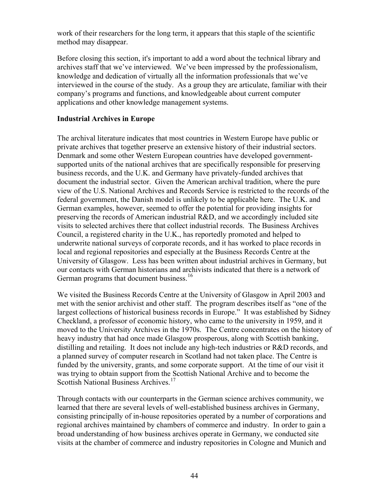work of their researchers for the long term, it appears that this staple of the scientific method may disappear.

Before closing this section, it's important to add a word about the technical library and archives staff that we've interviewed. We've been impressed by the professionalism, knowledge and dedication of virtually all the information professionals that we've interviewed in the course of the study. As a group they are articulate, familiar with their company's programs and functions, and knowledgeable about current computer applications and other knowledge management systems.

### **Industrial Archives in Europe**

The archival literature indicates that most countries in Western Europe have public or private archives that together preserve an extensive history of their industrial sectors. Denmark and some other Western European countries have developed governmentsupported units of the national archives that are specifically responsible for preserving business records, and the U.K. and Germany have privately-funded archives that document the industrial sector. Given the American archival tradition, where the pure view of the U.S. National Archives and Records Service is restricted to the records of the federal government, the Danish model is unlikely to be applicable here. The U.K. and German examples, however, seemed to offer the potential for providing insights for preserving the records of American industrial R&D, and we accordingly included site visits to selected archives there that collect industrial records. The Business Archives Council, a registered charity in the U.K., has reportedly promoted and helped to underwrite national surveys of corporate records, and it has worked to place records in local and regional repositories and especially at the Business Records Centre at the University of Glasgow. Less has been written about industrial archives in Germany, but our contacts with German historians and archivists indicated that there is a network of German programs that document business.<sup>[16](#page-71-0)</sup>

We visited the Business Records Centre at the University of Glasgow in April 2003 and met with the senior archivist and other staff. The program describes itself as "one of the largest collections of historical business records in Europe." It was established by Sidney Checkland, a professor of economic history, who came to the university in 1959, and it moved to the University Archives in the 1970s. The Centre concentrates on the history of heavy industry that had once made Glasgow prosperous, along with Scottish banking, distilling and retailing. It does not include any high-tech industries or R&D records, and a planned survey of computer research in Scotland had not taken place. The Centre is funded by the university, grants, and some corporate support. At the time of our visit it was trying to obtain support from the Scottish National Archive and to become the Scottish National Business Archives.<sup>[17](#page-71-0)</sup>

Through contacts with our counterparts in the German science archives community, we learned that there are several levels of well-established business archives in Germany, consisting principally of in-house repositories operated by a number of corporations and regional archives maintained by chambers of commerce and industry. In order to gain a broad understanding of how business archives operate in Germany, we conducted site visits at the chamber of commerce and industry repositories in Cologne and Munich and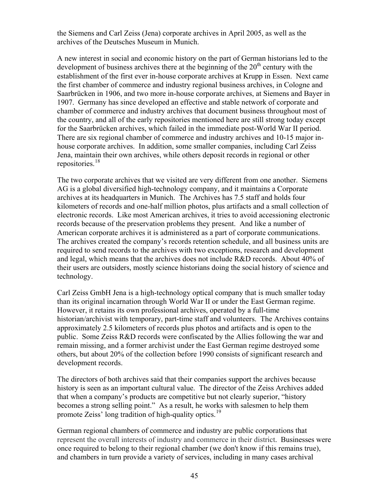the Siemens and Carl Zeiss (Jena) corporate archives in April 2005, as well as the archives of the Deutsches Museum in Munich.

A new interest in social and economic history on the part of German historians led to the development of business archives there at the beginning of the  $20<sup>th</sup>$  century with the establishment of the first ever in-house corporate archives at Krupp in Essen. Next came the first chamber of commerce and industry regional business archives, in Cologne and Saarbrücken in 1906, and two more in-house corporate archives, at Siemens and Bayer in 1907. Germany has since developed an effective and stable network of corporate and chamber of commerce and industry archives that document business throughout most of the country, and all of the early repositories mentioned here are still strong today except for the Saarbrücken archives, which failed in the immediate post-World War II period. There are six regional chamber of commerce and industry archives and 10-15 major inhouse corporate archives. In addition, some smaller companies, including Carl Zeiss Jena, maintain their own archives, while others deposit records in regional or other repositories.<sup>[18](#page-71-0)</sup>

The two corporate archives that we visited are very different from one another. Siemens AG is a global diversified high-technology company, and it maintains a Corporate archives at its headquarters in Munich. The Archives has 7.5 staff and holds four kilometers of records and one-half million photos, plus artifacts and a small collection of electronic records. Like most American archives, it tries to avoid accessioning electronic records because of the preservation problems they present. And like a number of American corporate archives it is administered as a part of corporate communications. The archives created the company's records retention schedule, and all business units are required to send records to the archives with two exceptions, research and development and legal, which means that the archives does not include R&D records. About 40% of their users are outsiders, mostly science historians doing the social history of science and technology.

Carl Zeiss GmbH Jena is a high-technology optical company that is much smaller today than its original incarnation through World War II or under the East German regime. However, it retains its own professional archives, operated by a full-time historian/archivist with temporary, part-time staff and volunteers. The Archives contains approximately 2.5 kilometers of records plus photos and artifacts and is open to the public. Some Zeiss R&D records were confiscated by the Allies following the war and remain missing, and a former archivist under the East German regime destroyed some others, but about 20% of the collection before 1990 consists of significant research and development records.

The directors of both archives said that their companies support the archives because history is seen as an important cultural value. The director of the Zeiss Archives added that when a company's products are competitive but not clearly superior, "history becomes a strong selling point." As a result, he works with salesmen to help them promote Zeiss' long tradition of high-quality optics.<sup>[19](#page-71-0)</sup>

German regional chambers of commerce and industry are public corporations that represent the overall interests of industry and commerce in their district. Businesses were once required to belong to their regional chamber (we don't know if this remains true), and chambers in turn provide a variety of services, including in many cases archival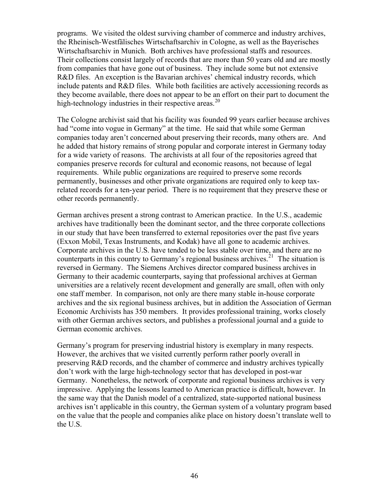programs. We visited the oldest surviving chamber of commerce and industry archives, the Rheinisch-Westfälisches Wirtschaftsarchiv in Cologne, as well as the Bayerisches Wirtschaftsarchiv in Munich. Both archives have professional staffs and resources. Their collections consist largely of records that are more than 50 years old and are mostly from companies that have gone out of business. They include some but not extensive R&D files. An exception is the Bavarian archives' chemical industry records, which include patents and R&D files. While both facilities are actively accessioning records as they become available, there does not appear to be an effort on their part to document the high-technology industries in their respective areas.<sup>[20](#page-71-0)</sup>

The Cologne archivist said that his facility was founded 99 years earlier because archives had "come into vogue in Germany" at the time. He said that while some German companies today aren't concerned about preserving their records, many others are. And he added that history remains of strong popular and corporate interest in Germany today for a wide variety of reasons. The archivists at all four of the repositories agreed that companies preserve records for cultural and economic reasons, not because of legal requirements. While public organizations are required to preserve some records permanently, businesses and other private organizations are required only to keep taxrelated records for a ten-year period. There is no requirement that they preserve these or other records permanently.

German archives present a strong contrast to American practice. In the U.S., academic archives have traditionally been the dominant sector, and the three corporate collections in our study that have been transferred to external repositories over the past five years (Exxon Mobil, Texas Instruments, and Kodak) have all gone to academic archives. Corporate archives in the U.S. have tended to be less stable over time, and there are no counterparts in this country to Germany's regional business archives.<sup>[21](#page-71-0)</sup> The situation is reversed in Germany. The Siemens Archives director compared business archives in Germany to their academic counterparts, saying that professional archives at German universities are a relatively recent development and generally are small, often with only one staff member. In comparison, not only are there many stable in-house corporate archives and the six regional business archives, but in addition the Association of German Economic Archivists has 350 members. It provides professional training, works closely with other German archives sectors, and publishes a professional journal and a guide to German economic archives.

Germany's program for preserving industrial history is exemplary in many respects. However, the archives that we visited currently perform rather poorly overall in preserving R&D records, and the chamber of commerce and industry archives typically don't work with the large high-technology sector that has developed in post-war Germany. Nonetheless, the network of corporate and regional business archives is very impressive. Applying the lessons learned to American practice is difficult, however. In the same way that the Danish model of a centralized, state-supported national business archives isn't applicable in this country, the German system of a voluntary program based on the value that the people and companies alike place on history doesn't translate well to the U.S.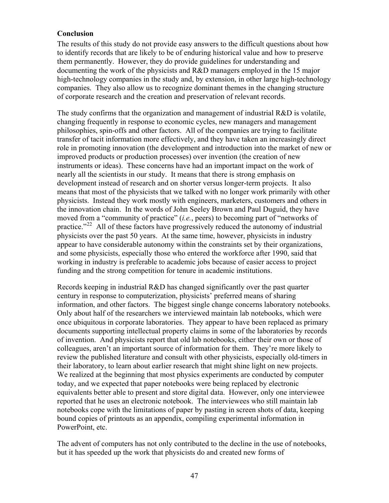### **Conclusion**

The results of this study do not provide easy answers to the difficult questions about how to identify records that are likely to be of enduring historical value and how to preserve them permanently. However, they do provide guidelines for understanding and documenting the work of the physicists and R&D managers employed in the 15 major high-technology companies in the study and, by extension, in other large high-technology companies. They also allow us to recognize dominant themes in the changing structure of corporate research and the creation and preservation of relevant records.

The study confirms that the organization and management of industrial R&D is volatile, changing frequently in response to economic cycles, new managers and management philosophies, spin-offs and other factors. All of the companies are trying to facilitate transfer of tacit information more effectively, and they have taken an increasingly direct role in promoting innovation (the development and introduction into the market of new or improved products or production processes) over invention (the creation of new instruments or ideas). These concerns have had an important impact on the work of nearly all the scientists in our study. It means that there is strong emphasis on development instead of research and on shorter versus longer-term projects. It also means that most of the physicists that we talked with no longer work primarily with other physicists. Instead they work mostly with engineers, marketers, customers and others in the innovation chain. In the words of John Seeley Brown and Paul Duguid, they have moved from a "community of practice" (*i.e.*, peers) to becoming part of "networks of practice."<sup>[22](#page-71-0)</sup> All of these factors have progressively reduced the autonomy of industrial physicists over the past 50 years. At the same time, however, physicists in industry appear to have considerable autonomy within the constraints set by their organizations, and some physicists, especially those who entered the workforce after 1990, said that working in industry is preferable to academic jobs because of easier access to project funding and the strong competition for tenure in academic institutions.

Records keeping in industrial R&D has changed significantly over the past quarter century in response to computerization, physicists' preferred means of sharing information, and other factors. The biggest single change concerns laboratory notebooks. Only about half of the researchers we interviewed maintain lab notebooks, which were once ubiquitous in corporate laboratories. They appear to have been replaced as primary documents supporting intellectual property claims in some of the laboratories by records of invention. And physicists report that old lab notebooks, either their own or those of colleagues, aren't an important source of information for them. They're more likely to review the published literature and consult with other physicists, especially old-timers in their laboratory, to learn about earlier research that might shine light on new projects. We realized at the beginning that most physics experiments are conducted by computer today, and we expected that paper notebooks were being replaced by electronic equivalents better able to present and store digital data. However, only one interviewee reported that he uses an electronic notebook. The interviewees who still maintain lab notebooks cope with the limitations of paper by pasting in screen shots of data, keeping bound copies of printouts as an appendix, compiling experimental information in PowerPoint, etc.

The advent of computers has not only contributed to the decline in the use of notebooks, but it has speeded up the work that physicists do and created new forms of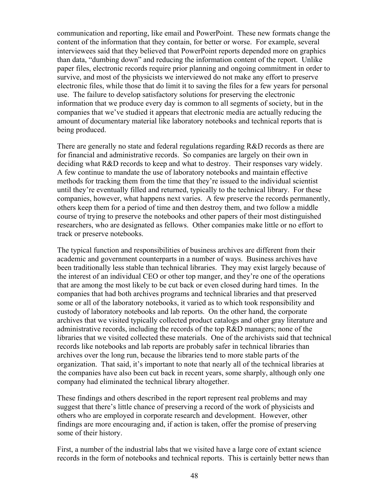communication and reporting, like email and PowerPoint. These new formats change the content of the information that they contain, for better or worse. For example, several interviewees said that they believed that PowerPoint reports depended more on graphics than data, "dumbing down" and reducing the information content of the report. Unlike paper files, electronic records require prior planning and ongoing commitment in order to survive, and most of the physicists we interviewed do not make any effort to preserve electronic files, while those that do limit it to saving the files for a few years for personal use. The failure to develop satisfactory solutions for preserving the electronic information that we produce every day is common to all segments of society, but in the companies that we've studied it appears that electronic media are actually reducing the amount of documentary material like laboratory notebooks and technical reports that is being produced.

There are generally no state and federal regulations regarding R&D records as there are for financial and administrative records. So companies are largely on their own in deciding what R&D records to keep and what to destroy. Their responses vary widely. A few continue to mandate the use of laboratory notebooks and maintain effective methods for tracking them from the time that they're issued to the individual scientist until they're eventually filled and returned, typically to the technical library. For these companies, however, what happens next varies. A few preserve the records permanently, others keep them for a period of time and then destroy them, and two follow a middle course of trying to preserve the notebooks and other papers of their most distinguished researchers, who are designated as fellows. Other companies make little or no effort to track or preserve notebooks.

The typical function and responsibilities of business archives are different from their academic and government counterparts in a number of ways. Business archives have been traditionally less stable than technical libraries. They may exist largely because of the interest of an individual CEO or other top manger, and they're one of the operations that are among the most likely to be cut back or even closed during hard times. In the companies that had both archives programs and technical libraries and that preserved some or all of the laboratory notebooks, it varied as to which took responsibility and custody of laboratory notebooks and lab reports. On the other hand, the corporate archives that we visited typically collected product catalogs and other gray literature and administrative records, including the records of the top  $R&D$  managers; none of the libraries that we visited collected these materials. One of the archivists said that technical records like notebooks and lab reports are probably safer in technical libraries than archives over the long run, because the libraries tend to more stable parts of the organization. That said, it's important to note that nearly all of the technical libraries at the companies have also been cut back in recent years, some sharply, although only one company had eliminated the technical library altogether.

These findings and others described in the report represent real problems and may suggest that there's little chance of preserving a record of the work of physicists and others who are employed in corporate research and development. However, other findings are more encouraging and, if action is taken, offer the promise of preserving some of their history.

First, a number of the industrial labs that we visited have a large core of extant science records in the form of notebooks and technical reports. This is certainly better news than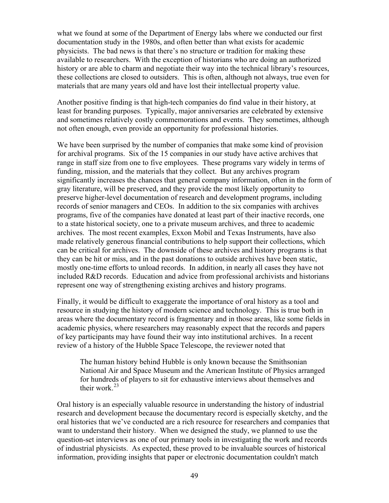what we found at some of the Department of Energy labs where we conducted our first documentation study in the 1980s, and often better than what exists for academic physicists. The bad news is that there's no structure or tradition for making these available to researchers. With the exception of historians who are doing an authorized history or are able to charm and negotiate their way into the technical library's resources, these collections are closed to outsiders. This is often, although not always, true even for materials that are many years old and have lost their intellectual property value.

Another positive finding is that high-tech companies do find value in their history, at least for branding purposes. Typically, major anniversaries are celebrated by extensive and sometimes relatively costly commemorations and events. They sometimes, although not often enough, even provide an opportunity for professional histories.

We have been surprised by the number of companies that make some kind of provision for archival programs. Six of the 15 companies in our study have active archives that range in staff size from one to five employees. These programs vary widely in terms of funding, mission, and the materials that they collect. But any archives program significantly increases the chances that general company information, often in the form of gray literature, will be preserved, and they provide the most likely opportunity to preserve higher-level documentation of research and development programs, including records of senior managers and CEOs. In addition to the six companies with archives programs, five of the companies have donated at least part of their inactive records, one to a state historical society, one to a private museum archives, and three to academic archives. The most recent examples, Exxon Mobil and Texas Instruments, have also made relatively generous financial contributions to help support their collections, which can be critical for archives. The downside of these archives and history programs is that they can be hit or miss, and in the past donations to outside archives have been static, mostly one-time efforts to unload records. In addition, in nearly all cases they have not included R&D records. Education and advice from professional archivists and historians represent one way of strengthening existing archives and history programs.

Finally, it would be difficult to exaggerate the importance of oral history as a tool and resource in studying the history of modern science and technology. This is true both in areas where the documentary record is fragmentary and in those areas, like some fields in academic physics, where researchers may reasonably expect that the records and papers of key participants may have found their way into institutional archives. In a recent review of a history of the Hubble Space Telescope, the reviewer noted that

The human history behind Hubble is only known because the Smithsonian National Air and Space Museum and the American Institute of Physics arranged for hundreds of players to sit for exhaustive interviews about themselves and their work. $^{23}$  $^{23}$  $^{23}$ 

Oral history is an especially valuable resource in understanding the history of industrial research and development because the documentary record is especially sketchy, and the oral histories that we've conducted are a rich resource for researchers and companies that want to understand their history. When we designed the study, we planned to use the question-set interviews as one of our primary tools in investigating the work and records of industrial physicists. As expected, these proved to be invaluable sources of historical information, providing insights that paper or electronic documentation couldn't match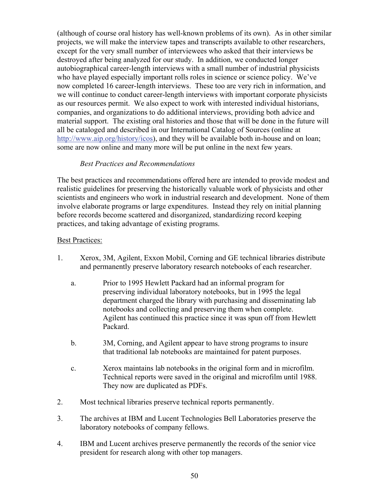(although of course oral history has well-known problems of its own). As in other similar projects, we will make the interview tapes and transcripts available to other researchers, except for the very small number of interviewees who asked that their interviews be destroyed after being analyzed for our study. In addition, we conducted longer autobiographical career-length interviews with a small number of industrial physicists who have played especially important rolls roles in science or science policy. We've now completed 16 career-length interviews. These too are very rich in information, and we will continue to conduct career-length interviews with important corporate physicists as our resources permit. We also expect to work with interested individual historians, companies, and organizations to do additional interviews, providing both advice and material support. The existing oral histories and those that will be done in the future will all be cataloged and described in our International Catalog of Sources (online at [http://www.aip.org/history/icos\)](http://www.aip.org/history/icos), and they will be available both in-house and on loan; some are now online and many more will be put online in the next few years.

### *Best Practices and Recommendations*

The best practices and recommendations offered here are intended to provide modest and realistic guidelines for preserving the historically valuable work of physicists and other scientists and engineers who work in industrial research and development. None of them involve elaborate programs or large expenditures. Instead they rely on initial planning before records become scattered and disorganized, standardizing record keeping practices, and taking advantage of existing programs.

### **Best Practices:**

- 1. Xerox, 3M, Agilent, Exxon Mobil, Corning and GE technical libraries distribute and permanently preserve laboratory research notebooks of each researcher.
	- a. Prior to 1995 Hewlett Packard had an informal program for preserving individual laboratory notebooks, but in 1995 the legal department charged the library with purchasing and disseminating lab notebooks and collecting and preserving them when complete. Agilent has continued this practice since it was spun off from Hewlett Packard.
	- b. 3M, Corning, and Agilent appear to have strong programs to insure that traditional lab notebooks are maintained for patent purposes.
	- c. Xerox maintains lab notebooks in the original form and in microfilm. Technical reports were saved in the original and microfilm until 1988. They now are duplicated as PDFs.
- 2. Most technical libraries preserve technical reports permanently.
- 3. The archives at IBM and Lucent Technologies Bell Laboratories preserve the laboratory notebooks of company fellows.
- 4. IBM and Lucent archives preserve permanently the records of the senior vice president for research along with other top managers.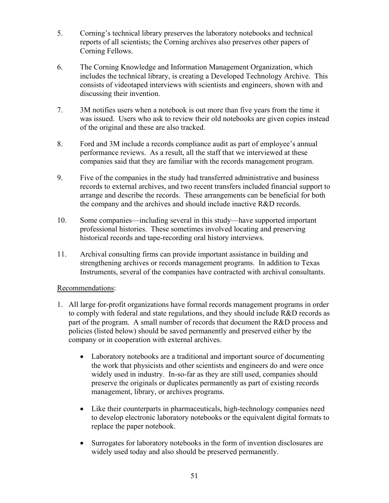- 5. Corning's technical library preserves the laboratory notebooks and technical reports of all scientists; the Corning archives also preserves other papers of Corning Fellows.
- 6. The Corning Knowledge and Information Management Organization, which includes the technical library, is creating a Developed Technology Archive. This consists of videotaped interviews with scientists and engineers, shown with and discussing their invention.
- 7. 3M notifies users when a notebook is out more than five years from the time it was issued. Users who ask to review their old notebooks are given copies instead of the original and these are also tracked.
- 8. Ford and 3M include a records compliance audit as part of employee's annual performance reviews. As a result, all the staff that we interviewed at these companies said that they are familiar with the records management program.
- 9. Five of the companies in the study had transferred administrative and business records to external archives, and two recent transfers included financial support to arrange and describe the records. These arrangements can be beneficial for both the company and the archives and should include inactive R&D records.
- 10. Some companies—including several in this study—have supported important professional histories. These sometimes involved locating and preserving historical records and tape-recording oral history interviews.
- 11. Archival consulting firms can provide important assistance in building and strengthening archives or records management programs. In addition to Texas Instruments, several of the companies have contracted with archival consultants.

### Recommendations:

- 1. All large for-profit organizations have formal records management programs in order to comply with federal and state regulations, and they should include R&D records as part of the program. A small number of records that document the R&D process and policies (listed below) should be saved permanently and preserved either by the company or in cooperation with external archives.
	- Laboratory notebooks are a traditional and important source of documenting the work that physicists and other scientists and engineers do and were once widely used in industry. In-so-far as they are still used, companies should preserve the originals or duplicates permanently as part of existing records management, library, or archives programs.
	- Like their counterparts in pharmaceuticals, high-technology companies need to develop electronic laboratory notebooks or the equivalent digital formats to replace the paper notebook.
	- Surrogates for laboratory notebooks in the form of invention disclosures are widely used today and also should be preserved permanently.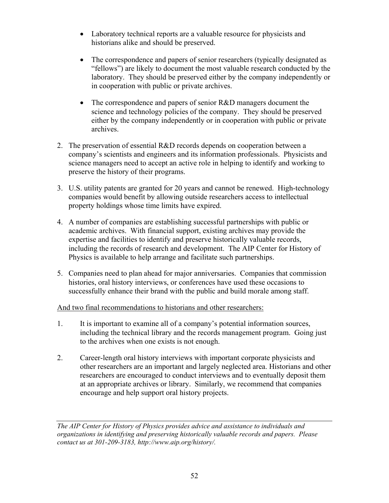- Laboratory technical reports are a valuable resource for physicists and historians alike and should be preserved.
- The correspondence and papers of senior researchers (typically designated as "fellows") are likely to document the most valuable research conducted by the laboratory. They should be preserved either by the company independently or in cooperation with public or private archives.
- The correspondence and papers of senior R&D managers document the science and technology policies of the company. They should be preserved either by the company independently or in cooperation with public or private archives.
- 2. The preservation of essential R&D records depends on cooperation between a company's scientists and engineers and its information professionals. Physicists and science managers need to accept an active role in helping to identify and working to preserve the history of their programs.
- 3. U.S. utility patents are granted for 20 years and cannot be renewed. High-technology companies would benefit by allowing outside researchers access to intellectual property holdings whose time limits have expired.
- 4. A number of companies are establishing successful partnerships with public or academic archives. With financial support, existing archives may provide the expertise and facilities to identify and preserve historically valuable records, including the records of research and development. The AIP Center for History of Physics is available to help arrange and facilitate such partnerships.
- 5. Companies need to plan ahead for major anniversaries. Companies that commission histories, oral history interviews, or conferences have used these occasions to successfully enhance their brand with the public and build morale among staff.

And two final recommendations to historians and other researchers:

- 1. It is important to examine all of a company's potential information sources, including the technical library and the records management program. Going just to the archives when one exists is not enough.
- 2. Career-length oral history interviews with important corporate physicists and other researchers are an important and largely neglected area. Historians and other researchers are encouraged to conduct interviews and to eventually deposit them at an appropriate archives or library. Similarly, we recommend that companies encourage and help support oral history projects.

*The AIP Center for History of Physics provides advice and assistance to individuals and organizations in identifying and preserving historically valuable records and papers. Please contact us at 301-209-3183, http://www.aip.org/history/.*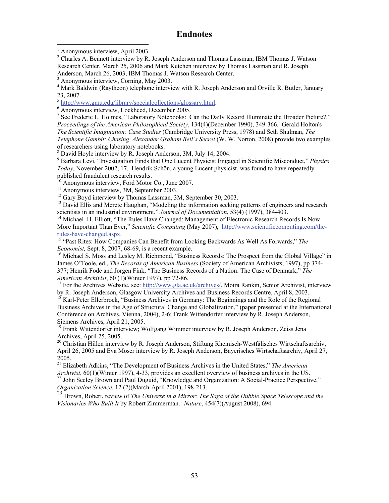### **Endnotes**

 $\overline{a}$ 

<sup>2</sup> Charles A. Bennett interview by R. Joseph Anderson and Thomas Lassman, IBM Thomas J. Watson Research Center, March 25, 2006 and Mark Ketchen interview by Thomas Lassman and R. Joseph Anderson, March 26, 2003, IBM Thomas J. Watson Research Center.

<sup>4</sup> Mark Baldwin (Raytheon) telephone interview with R. Joseph Anderson and Orville R. Butler, January 23, 2007.

<sup>5</sup> [http://www.gmu.edu/library/specialcollections/glossary.html.](http://www.gmu.edu/library/specialcollections/glossary.html) 6

<sup>6</sup> Anonymous interview, Lockheed, December 2005.

<sup>7</sup> See Frederic L. Holmes, "Laboratory Notebooks: Can the Daily Record Illuminate the Broader Picture?," *Proceedings of the American Philosophical Society*, 134(4)(December 1990), 349-366. Gerald Holton's *The Scientific Imagination: Case Studies* (Cambridge University Press, 1978) and Seth Shulman, *The Telephone Gambit: Chasing Alexander Graham Bell's Secret* (W. W. Norton, 2008) provide two examples of researchers using laboratory notebooks.

David Hoyle interview by R. Joseph Anderson, 3M, July 14, 2004.

9 Barbara Levi, "Investigation Finds that One Lucent Physicist Engaged in Scientific Misconduct," *Physics Today*, November 2002, 17. Hendrik Schön, a young Lucent physicist, was found to have repeatedly published fraudulent research results.

 $10$  Anonymous interview, Ford Motor Co., June 2007.

 $11$  Anonymous interview, 3M, September 2003.

<sup>12</sup> Gary Boyd interview by Thomas Lassman, 3M, September 30, 2003.

<sup>13</sup> David Ellis and Merete Haughan, "Modeling the information seeking patterns of engineers and research scientists in an industrial environment." *Journal of Documentation*, 53(4) (1997), 384-403.<br><sup>14</sup> Michael H. Elliott, "The Rules Have Changed: Management of Electronic Research Records Is Now

More Important Than Ever," *Scientific Computing* (May 2007), http://www.scientificcomputing.com/the-<br>rules-have-changed.aspx.

<sup>15</sup> "Past Rites: How Companies Can Benefit from Looking Backwards As Well As Forwards," *The Economist*, Sept. 8, 2007, 68-69, is a recent example.<br><sup>16</sup> Michael S. Moss and Lesley M. Richmond, "Business Records: The Prospect from the Global Village" in

James O'Toole, ed., *The Records of American Business* (Society of American Archivists, 1997), pp 374- 377; Henrik Fode and Jorgen Fink, "The Business Records of a Nation: The Case of Denmark," *The* 

<sup>17</sup> For the Archives Website, see: [http://www.gla.ac.uk/archives/.](http://www.gla.ac.uk/archives/) Moira Rankin, Senior Archivist, interview by R. Joseph Anderson, Glasgow University Archives and Business Records Centre, April 8, 2003.

<sup>18</sup> Karl-Peter Ellerbrock, "Business Archives in Germany: The Beginnings and the Role of the Regional Business Archives in the Age of Structural Change and Globalization," (paper presented at the International Conference on Archives, Vienna, 2004), 2-6; Frank Wittendorfer interview by R. Joseph Anderson,

<sup>19</sup> Frank Wittendorfer interview; Wolfgang Wimmer interview by R. Joseph Anderson, Zeiss Jena Archives, April 25, 2005.

<sup>20</sup> Christian Hillen interview by R. Joseph Anderson, Stiftung Rheinisch-Westfälisches Wirtschaftsarchiv, April 26, 2005 and Eva Moser interview by R. Joseph Anderson, Bayerisches Wirtschaftsarchiv, April 27, 2005.

21 Elizabeth Adkins, "The Development of Business Archives in the United States," *The American Archivist*, 60(1)(Winter 1997), 4-33, provides an excellent overview of business archives in the US.<br><sup>22</sup> John Seeley Brown and Paul Duguid, "Knowledge and Organization: A Social-Practice Perspective,"

*Organization Science*, 12 (2)(March-April 2001), 198-213.

<sup>23</sup> Brown, Robert, review of *The Universe in a Mirror: The Saga of the Hubble Space Telescope and the Visionaries Who Built It* by Robert Zimmerman. *Nature*, 454(7)(August 2008), 694.

<sup>&</sup>lt;sup>1</sup> Anonymous interview, April 2003.

<sup>3</sup> Anonymous interview, Corning, May 2003.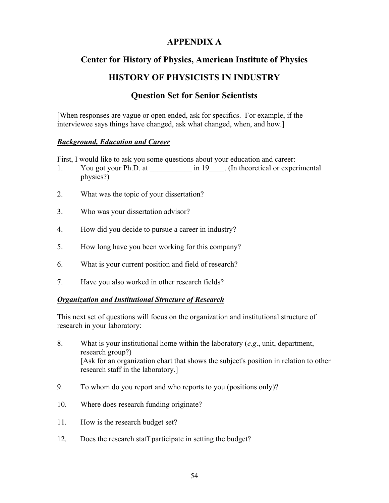## **APPENDIX A**

## **Center for History of Physics, American Institute of Physics**

# **HISTORY OF PHYSICISTS IN INDUSTRY**

## **Question Set for Senior Scientists**

[When responses are vague or open ended, ask for specifics. For example, if the interviewee says things have changed, ask what changed, when, and how.]

### *Background, Education and Career*

First, I would like to ask you some questions about your education and career:

- 1. You got your Ph.D. at  $\qquad \qquad$  in 19  $\qquad$ . (In theoretical or experimental physics?)
- 2. What was the topic of your dissertation?
- 3. Who was your dissertation advisor?
- 4. How did you decide to pursue a career in industry?
- 5. How long have you been working for this company?
- 6. What is your current position and field of research?
- 7. Have you also worked in other research fields?

### *Organization and Institutional Structure of Research*

This next set of questions will focus on the organization and institutional structure of research in your laboratory:

- 8. What is your institutional home within the laboratory (*e.g*., unit, department, research group?) [Ask for an organization chart that shows the subject's position in relation to other research staff in the laboratory.]
- 9. To whom do you report and who reports to you (positions only)?
- 10. Where does research funding originate?
- 11. How is the research budget set?
- 12. Does the research staff participate in setting the budget?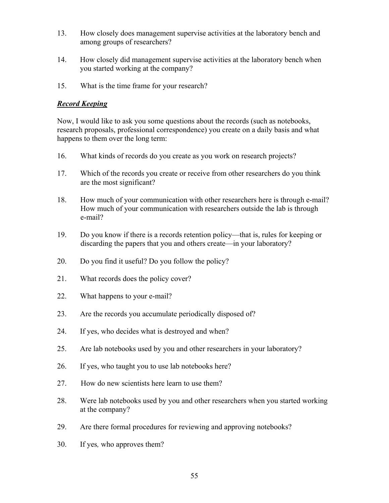- 13. How closely does management supervise activities at the laboratory bench and among groups of researchers?
- 14. How closely did management supervise activities at the laboratory bench when you started working at the company?
- 15. What is the time frame for your research?

### *Record Keeping*

Now, I would like to ask you some questions about the records (such as notebooks, research proposals, professional correspondence) you create on a daily basis and what happens to them over the long term:

- 16. What kinds of records do you create as you work on research projects?
- 17. Which of the records you create or receive from other researchers do you think are the most significant?
- 18. How much of your communication with other researchers here is through e-mail? How much of your communication with researchers outside the lab is through e-mail?
- 19. Do you know if there is a records retention policy—that is, rules for keeping or discarding the papers that you and others create—in your laboratory?
- 20. Do you find it useful? Do you follow the policy?
- 21. What records does the policy cover?
- 22. What happens to your e-mail?
- 23. Are the records you accumulate periodically disposed of?
- 24. If yes, who decides what is destroyed and when?
- 25. Are lab notebooks used by you and other researchers in your laboratory?
- 26. If yes, who taught you to use lab notebooks here?
- 27. How do new scientists here learn to use them?
- 28. Were lab notebooks used by you and other researchers when you started working at the company?
- 29. Are there formal procedures for reviewing and approving notebooks?
- 30. If yes*,* who approves them?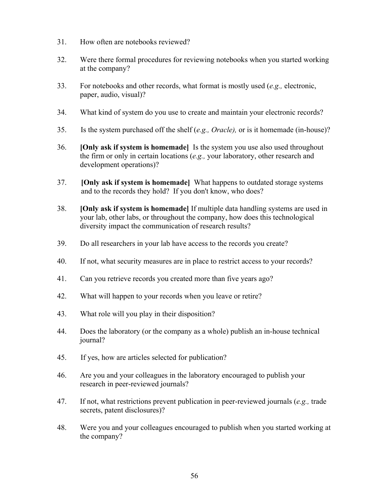- 31. How often are notebooks reviewed?
- 32. Were there formal procedures for reviewing notebooks when you started working at the company?
- 33. For notebooks and other records, what format is mostly used (*e.g.,* electronic, paper, audio, visual)?
- 34. What kind of system do you use to create and maintain your electronic records?
- 35. Is the system purchased off the shelf (*e.g., Oracle),* or is it homemade (in-house)?
- 36. **[Only ask if system is homemade]** Is the system you use also used throughout the firm or only in certain locations (*e.g.,* your laboratory, other research and development operations)?
- 37. **[Only ask if system is homemade]** What happens to outdated storage systems and to the records they hold? If you don't know, who does?
- 38. **[Only ask if system is homemade]** If multiple data handling systems are used in your lab, other labs, or throughout the company, how does this technological diversity impact the communication of research results?
- 39. Do all researchers in your lab have access to the records you create?
- 40. If not, what security measures are in place to restrict access to your records?
- 41. Can you retrieve records you created more than five years ago?
- 42. What will happen to your records when you leave or retire?
- 43. What role will you play in their disposition?
- 44. Does the laboratory (or the company as a whole) publish an in-house technical journal?
- 45. If yes, how are articles selected for publication?
- 46. Are you and your colleagues in the laboratory encouraged to publish your research in peer-reviewed journals?
- 47. If not, what restrictions prevent publication in peer-reviewed journals (*e.g.,* trade secrets, patent disclosures)?
- 48. Were you and your colleagues encouraged to publish when you started working at the company?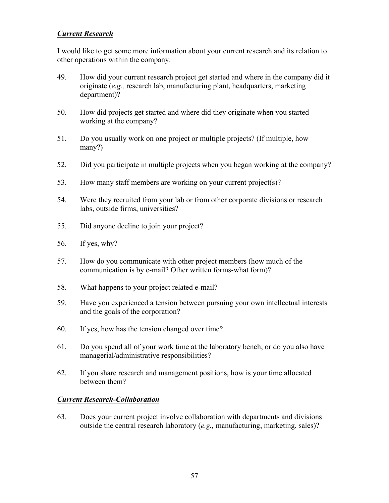### *Current Research*

I would like to get some more information about your current research and its relation to other operations within the company:

- 49. How did your current research project get started and where in the company did it originate (*e.g.,* research lab, manufacturing plant, headquarters, marketing department)?
- 50. How did projects get started and where did they originate when you started working at the company?
- 51. Do you usually work on one project or multiple projects? (If multiple, how many?)
- 52. Did you participate in multiple projects when you began working at the company?
- 53. How many staff members are working on your current project(s)?
- 54. Were they recruited from your lab or from other corporate divisions or research labs, outside firms, universities?
- 55. Did anyone decline to join your project?
- 56. If yes, why?
- 57. How do you communicate with other project members (how much of the communication is by e-mail? Other written forms-what form)?
- 58. What happens to your project related e-mail?
- 59. Have you experienced a tension between pursuing your own intellectual interests and the goals of the corporation?
- 60. If yes, how has the tension changed over time?
- 61. Do you spend all of your work time at the laboratory bench, or do you also have managerial/administrative responsibilities?
- 62. If you share research and management positions, how is your time allocated between them?

#### *Current Research-Collaboration*

63. Does your current project involve collaboration with departments and divisions outside the central research laboratory (*e.g.,* manufacturing, marketing, sales)?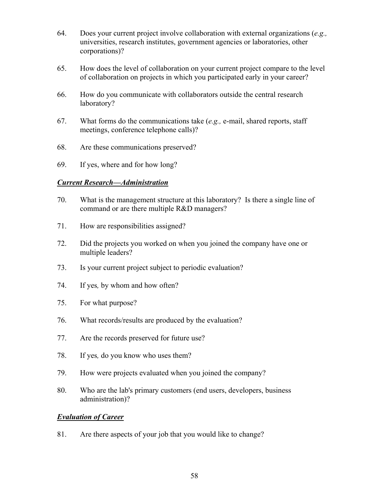- 64. Does your current project involve collaboration with external organizations (*e.g.,* universities, research institutes, government agencies or laboratories, other corporations)?
- 65. How does the level of collaboration on your current project compare to the level of collaboration on projects in which you participated early in your career?
- 66. How do you communicate with collaborators outside the central research laboratory?
- 67. What forms do the communications take (*e.g.,* e-mail, shared reports, staff meetings, conference telephone calls)?
- 68. Are these communications preserved?
- 69. If yes, where and for how long?

#### *Current Research***—***Administration*

- 70. What is the management structure at this laboratory? Is there a single line of command or are there multiple R&D managers?
- 71. How are responsibilities assigned?
- 72. Did the projects you worked on when you joined the company have one or multiple leaders?
- 73. Is your current project subject to periodic evaluation?
- 74. If yes*,* by whom and how often?
- 75. For what purpose?
- 76. What records/results are produced by the evaluation?
- 77. Are the records preserved for future use?
- 78. If yes*,* do you know who uses them?
- 79. How were projects evaluated when you joined the company?
- 80. Who are the lab's primary customers (end users, developers, business administration)?

#### *Evaluation of Career*

81. Are there aspects of your job that you would like to change?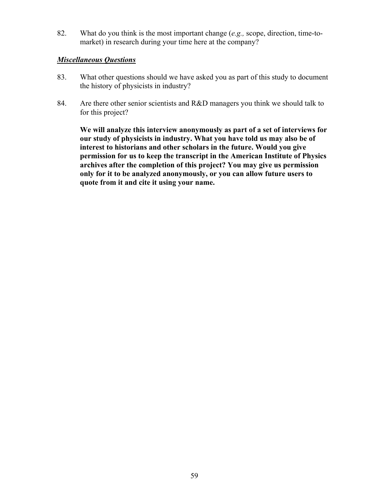82. What do you think is the most important change (*e.g.,* scope, direction, time-tomarket) in research during your time here at the company?

### *Miscellaneous Questions*

- 83. What other questions should we have asked you as part of this study to document the history of physicists in industry?
- 84. Are there other senior scientists and R&D managers you think we should talk to for this project?

**We will analyze this interview anonymously as part of a set of interviews for our study of physicists in industry. What you have told us may also be of interest to historians and other scholars in the future. Would you give permission for us to keep the transcript in the American Institute of Physics archives after the completion of this project? You may give us permission only for it to be analyzed anonymously, or you can allow future users to quote from it and cite it using your name.**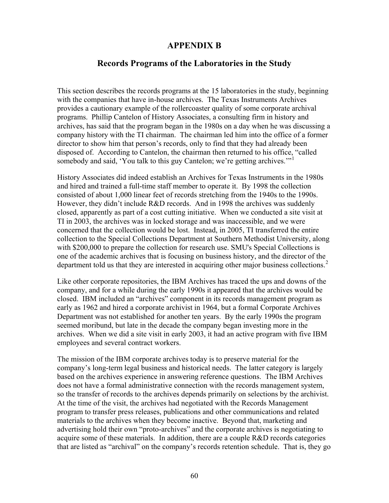### **APPENDIX B**

### **Records Programs of the Laboratories in the Study**

This section describes the records programs at the 15 laboratories in the study, beginning with the companies that have in-house archives. The Texas Instruments Archives provides a cautionary example of the rollercoaster quality of some corporate archival programs. Phillip Cantelon of History Associates, a consulting firm in history and archives, has said that the program began in the 1980s on a day when he was discussing a company history with the TI chairman. The chairman led him into the office of a former director to show him that person's records, only to find that they had already been disposed of. According to Cantelon, the chairman then returned to his office, "called somebody and said, 'You talk to this guy Cantelon; we're getting archives.'"<sup>[1](#page-71-1)</sup>

History Associates did indeed establish an Archives for Texas Instruments in the 1980s and hired and trained a full-time staff member to operate it. By 1998 the collection consisted of about 1,000 linear feet of records stretching from the 1940s to the 1990s. However, they didn't include R&D records. And in 1998 the archives was suddenly closed, apparently as part of a cost cutting initiative. When we conducted a site visit at TI in 2003, the archives was in locked storage and was inaccessible, and we were concerned that the collection would be lost. Instead, in 2005, TI transferred the entire collection to the Special Collections Department at Southern Methodist University, along with \$200,000 to prepare the collection for research use. SMU's Special Collections is one of the academic archives that is focusing on business history, and the director of the department told us that they are interested in acquiring other major business collections.<sup>[2](#page-71-1)</sup>

Like other corporate repositories, the IBM Archives has traced the ups and downs of the company, and for a while during the early 1990s it appeared that the archives would be closed. IBM included an "archives" component in its records management program as early as 1962 and hired a corporate archivist in 1964, but a formal Corporate Archives Department was not established for another ten years. By the early 1990s the program seemed moribund, but late in the decade the company began investing more in the archives. When we did a site visit in early 2003, it had an active program with five IBM employees and several contract workers.

The mission of the IBM corporate archives today is to preserve material for the company's long-term legal business and historical needs. The latter category is largely based on the archives experience in answering reference questions. The IBM Archives does not have a formal administrative connection with the records management system, so the transfer of records to the archives depends primarily on selections by the archivist. At the time of the visit, the archives had negotiated with the Records Management program to transfer press releases, publications and other communications and related materials to the archives when they become inactive. Beyond that, marketing and advertising hold their own "proto-archives" and the corporate archives is negotiating to acquire some of these materials. In addition, there are a couple R&D records categories that are listed as "archival" on the company's records retention schedule. That is, they go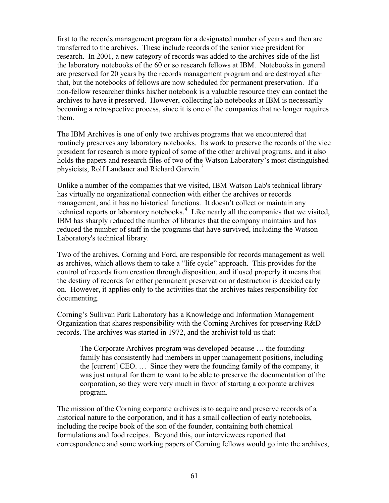first to the records management program for a designated number of years and then are transferred to the archives. These include records of the senior vice president for research. In 2001, a new category of records was added to the archives side of the list the laboratory notebooks of the 60 or so research fellows at IBM. Notebooks in general are preserved for 20 years by the records management program and are destroyed after that, but the notebooks of fellows are now scheduled for permanent preservation. If a non-fellow researcher thinks his/her notebook is a valuable resource they can contact the archives to have it preserved. However, collecting lab notebooks at IBM is necessarily becoming a retrospective process, since it is one of the companies that no longer requires them.

The IBM Archives is one of only two archives programs that we encountered that routinely preserves any laboratory notebooks. Its work to preserve the records of the vice president for research is more typical of some of the other archival programs, and it also holds the papers and research files of two of the Watson Laboratory's most distinguished physicists, Rolf Landauer and Richard Garwin.<sup>[3](#page-71-1)</sup>

Unlike a number of the companies that we visited, IBM Watson Lab's technical library has virtually no organizational connection with either the archives or records management, and it has no historical functions. It doesn't collect or maintain any technical reports or laboratory notebooks.<sup>[4](#page-71-1)</sup> Like nearly all the companies that we visited, IBM has sharply reduced the number of libraries that the company maintains and has reduced the number of staff in the programs that have survived, including the Watson Laboratory's technical library.

Two of the archives, Corning and Ford, are responsible for records management as well as archives, which allows them to take a "life cycle" approach. This provides for the control of records from creation through disposition, and if used properly it means that the destiny of records for either permanent preservation or destruction is decided early on. However, it applies only to the activities that the archives takes responsibility for documenting.

Corning's Sullivan Park Laboratory has a Knowledge and Information Management Organization that shares responsibility with the Corning Archives for preserving R&D records. The archives was started in 1972, and the archivist told us that:

The Corporate Archives program was developed because … the founding family has consistently had members in upper management positions, including the [current] CEO. … Since they were the founding family of the company, it was just natural for them to want to be able to preserve the documentation of the corporation, so they were very much in favor of starting a corporate archives program.

The mission of the Corning corporate archives is to acquire and preserve records of a historical nature to the corporation, and it has a small collection of early notebooks, including the recipe book of the son of the founder, containing both chemical formulations and food recipes. Beyond this, our interviewees reported that correspondence and some working papers of Corning fellows would go into the archives,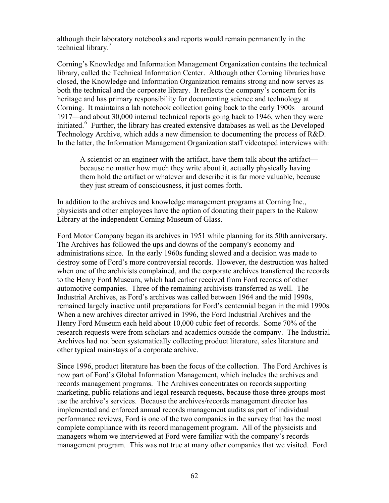although their laboratory notebooks and reports would remain permanently in the technical library.<sup>[5](#page-71-1)</sup>

Corning's Knowledge and Information Management Organization contains the technical library, called the Technical Information Center. Although other Corning libraries have closed, the Knowledge and Information Organization remains strong and now serves as both the technical and the corporate library. It reflects the company's concern for its heritage and has primary responsibility for documenting science and technology at Corning. It maintains a lab notebook collection going back to the early 1900s—around 1917—and about 30,000 internal technical reports going back to 1946, when they were initiated.<sup>[6](#page-71-1)</sup> Further, the library has created extensive databases as well as the Developed Technology Archive, which adds a new dimension to documenting the process of R&D. In the latter, the Information Management Organization staff videotaped interviews with:

A scientist or an engineer with the artifact, have them talk about the artifact because no matter how much they write about it, actually physically having them hold the artifact or whatever and describe it is far more valuable, because they just stream of consciousness, it just comes forth.

In addition to the archives and knowledge management programs at Corning Inc., physicists and other employees have the option of donating their papers to the Rakow Library at the independent Corning Museum of Glass.

Ford Motor Company began its archives in 1951 while planning for its 50th anniversary. The Archives has followed the ups and downs of the company's economy and administrations since. In the early 1960s funding slowed and a decision was made to destroy some of Ford's more controversial records. However, the destruction was halted when one of the archivists complained, and the corporate archives transferred the records to the Henry Ford Museum, which had earlier received from Ford records of other automotive companies. Three of the remaining archivists transferred as well. The Industrial Archives, as Ford's archives was called between 1964 and the mid 1990s, remained largely inactive until preparations for Ford's centennial began in the mid 1990s. When a new archives director arrived in 1996, the Ford Industrial Archives and the Henry Ford Museum each held about 10,000 cubic feet of records. Some 70% of the research requests were from scholars and academics outside the company. The Industrial Archives had not been systematically collecting product literature, sales literature and other typical mainstays of a corporate archive.

Since 1996, product literature has been the focus of the collection. The Ford Archives is now part of Ford's Global Information Management, which includes the archives and records management programs. The Archives concentrates on records supporting marketing, public relations and legal research requests, because those three groups most use the archive's services. Because the archives/records management director has implemented and enforced annual records management audits as part of individual performance reviews, Ford is one of the two companies in the survey that has the most complete compliance with its record management program. All of the physicists and managers whom we interviewed at Ford were familiar with the company's records management program. This was not true at many other companies that we visited. Ford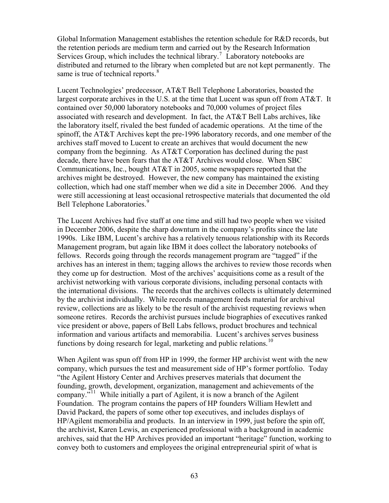Global Information Management establishes the retention schedule for R&D records, but the retention periods are medium term and carried out by the Research Information Services Group, which includes the technical library.<sup>[7](#page-71-1)</sup> Laboratory notebooks are distributed and returned to the library when completed but are not kept permanently. The same is true of technical reports.<sup>[8](#page-71-1)</sup>

Lucent Technologies' predecessor, AT&T Bell Telephone Laboratories, boasted the largest corporate archives in the U.S. at the time that Lucent was spun off from AT&T. It contained over 50,000 laboratory notebooks and 70,000 volumes of project files associated with research and development. In fact, the AT&T Bell Labs archives, like the laboratory itself, rivaled the best funded of academic operations. At the time of the spinoff, the AT&T Archives kept the pre-1996 laboratory records, and one member of the archives staff moved to Lucent to create an archives that would document the new company from the beginning. As AT&T Corporation has declined during the past decade, there have been fears that the AT&T Archives would close. When SBC Communications, Inc., bought AT&T in 2005, some newspapers reported that the archives might be destroyed. However, the new company has maintained the existing collection, which had one staff member when we did a site in December 2006. And they were still accessioning at least occasional retrospective materials that documented the old Bell Telephone Laboratories.<sup>[9](#page-71-1)</sup>

The Lucent Archives had five staff at one time and still had two people when we visited in December 2006, despite the sharp downturn in the company's profits since the late 1990s. Like IBM, Lucent's archive has a relatively tenuous relationship with its Records Management program, but again like IBM it does collect the laboratory notebooks of fellows. Records going through the records management program are "tagged" if the archives has an interest in them; tagging allows the archives to review those records when they come up for destruction. Most of the archives' acquisitions come as a result of the archivist networking with various corporate divisions, including personal contacts with the international divisions. The records that the archives collects is ultimately determined by the archivist individually. While records management feeds material for archival review, collections are as likely to be the result of the archivist requesting reviews when someone retires. Records the archivist pursues include biographies of executives ranked vice president or above, papers of Bell Labs fellows, product brochures and technical information and various artifacts and memorabilia. Lucent's archives serves business functions by doing research for legal, marketing and public relations.<sup>[10](#page-71-1)</sup>

When Agilent was spun off from HP in 1999, the former HP archivist went with the new company, which pursues the test and measurement side of HP's former portfolio. Today "the Agilent History Center and Archives preserves materials that document the founding, growth, development, organization, management and achievements of the company."<sup>[11](#page-71-1)</sup> While initially a part of Agilent, it is now a branch of the Agilent Foundation. The program contains the papers of HP founders William Hewlett and David Packard, the papers of some other top executives, and includes displays of HP/Agilent memorabilia and products. In an interview in 1999, just before the spin off, the archivist, Karen Lewis, an experienced professional with a background in academic archives, said that the HP Archives provided an important "heritage" function, working to convey both to customers and employees the original entrepreneurial spirit of what is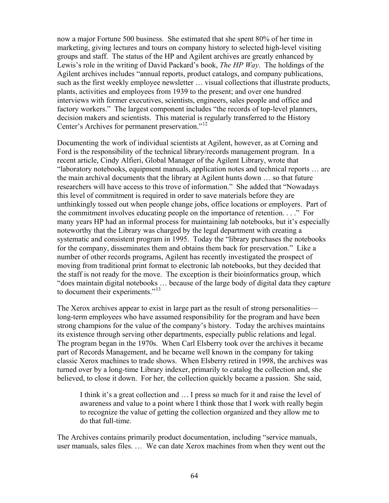now a major Fortune 500 business. She estimated that she spent 80% of her time in marketing, giving lectures and tours on company history to selected high-level visiting groups and staff. The status of the HP and Agilent archives are greatly enhanced by Lewis's role in the writing of David Packard's book, *The HP Way*. The holdings of the Agilent archives includes "annual reports, product catalogs, and company publications, such as the first weekly employee newsletter … visual collections that illustrate products, plants, activities and employees from 1939 to the present; and over one hundred interviews with former executives, scientists, engineers, sales people and office and factory workers." The largest component includes "the records of top-level planners, decision makers and scientists. This material is regularly transferred to the History Center's Archives for permanent preservation."[12](#page-71-1)

Documenting the work of individual scientists at Agilent, however, as at Corning and Ford is the responsibility of the technical library/records management program. In a recent article, Cindy Alfieri, Global Manager of the Agilent Library, wrote that "laboratory notebooks, equipment manuals, application notes and technical reports … are the main archival documents that the library at Agilent hunts down … so that future researchers will have access to this trove of information." She added that "Nowadays this level of commitment is required in order to save materials before they are unthinkingly tossed out when people change jobs, office locations or employers. Part of the commitment involves educating people on the importance of retention. . . ." For many years HP had an informal process for maintaining lab notebooks, but it's especially noteworthy that the Library was charged by the legal department with creating a systematic and consistent program in 1995. Today the "library purchases the notebooks for the company, disseminates them and obtains them back for preservation." Like a number of other records programs, Agilent has recently investigated the prospect of moving from traditional print format to electronic lab notebooks, but they decided that the staff is not ready for the move. The exception is their bioinformatics group, which "does maintain digital notebooks … because of the large body of digital data they capture to document their experiments."<sup>[13](#page-71-1)</sup>

The Xerox archives appear to exist in large part as the result of strong personalities long-term employees who have assumed responsibility for the program and have been strong champions for the value of the company's history. Today the archives maintains its existence through serving other departments, especially public relations and legal. The program began in the 1970s. When Carl Elsberry took over the archives it became part of Records Management, and he became well known in the company for taking classic Xerox machines to trade shows. When Elsberry retired in 1998, the archives was turned over by a long-time Library indexer, primarily to catalog the collection and, she believed, to close it down. For her, the collection quickly became a passion. She said,

I think it's a great collection and … I press so much for it and raise the level of awareness and value to a point where I think those that I work with really begin to recognize the value of getting the collection organized and they allow me to do that full-time.

The Archives contains primarily product documentation, including "service manuals, user manuals, sales files. … We can date Xerox machines from when they went out the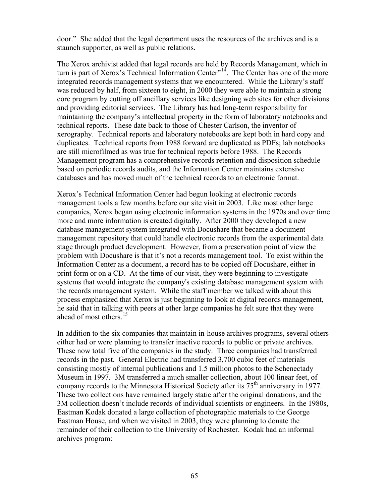door." She added that the legal department uses the resources of the archives and is a staunch supporter, as well as public relations.

The Xerox archivist added that legal records are held by Records Management, which in turn is part of Xerox's Technical Information Center $n<sup>14</sup>$  $n<sup>14</sup>$  $n<sup>14</sup>$ . The Center has one of the more integrated records management systems that we encountered. While the Library's staff was reduced by half, from sixteen to eight, in 2000 they were able to maintain a strong core program by cutting off ancillary services like designing web sites for other divisions and providing editorial services. The Library has had long-term responsibility for maintaining the company's intellectual property in the form of laboratory notebooks and technical reports. These date back to those of Chester Carlson, the inventor of xerography. Technical reports and laboratory notebooks are kept both in hard copy and duplicates. Technical reports from 1988 forward are duplicated as PDFs; lab notebooks are still microfilmed as was true for technical reports before 1988. The Records Management program has a comprehensive records retention and disposition schedule based on periodic records audits, and the Information Center maintains extensive databases and has moved much of the technical records to an electronic format.

Xerox's Technical Information Center had begun looking at electronic records management tools a few months before our site visit in 2003. Like most other large companies, Xerox began using electronic information systems in the 1970s and over time more and more information is created digitally. After 2000 they developed a new database management system integrated with Docushare that became a document management repository that could handle electronic records from the experimental data stage through product development. However, from a preservation point of view the problem with Docushare is that it's not a records management tool. To exist within the Information Center as a document, a record has to be copied off Docushare, either in print form or on a CD. At the time of our visit, they were beginning to investigate systems that would integrate the company's existing database management system with the records management system. While the staff member we talked with about this process emphasized that Xerox is just beginning to look at digital records management, he said that in talking with peers at other large companies he felt sure that they were ahead of most others.<sup>[15](#page-71-1)</sup>

In addition to the six companies that maintain in-house archives programs, several others either had or were planning to transfer inactive records to public or private archives. These now total five of the companies in the study. Three companies had transferred records in the past. General Electric had transferred 3,700 cubic feet of materials consisting mostly of internal publications and 1.5 million photos to the Schenectady Museum in 1997. 3M transferred a much smaller collection, about 100 linear feet, of company records to the Minnesota Historical Society after its  $75<sup>th</sup>$  anniversary in 1977. These two collections have remained largely static after the original donations, and the 3M collection doesn't include records of individual scientists or engineers. In the 1980s, Eastman Kodak donated a large collection of photographic materials to the George Eastman House, and when we visited in 2003, they were planning to donate the remainder of their collection to the University of Rochester. Kodak had an informal archives program: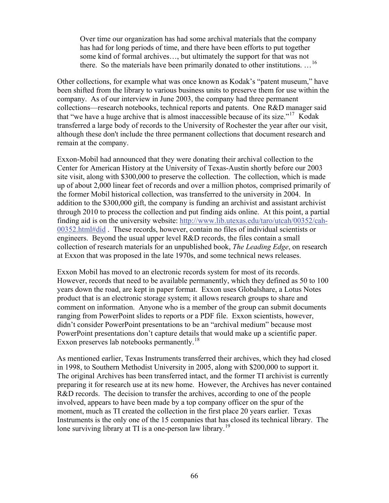Over time our organization has had some archival materials that the company has had for long periods of time, and there have been efforts to put together some kind of formal archives…, but ultimately the support for that was not there. So the materials have been primarily donated to other institutions. ...<sup>[16](#page-71-1)</sup>

Other collections, for example what was once known as Kodak's "patent museum," have been shifted from the library to various business units to preserve them for use within the company. As of our interview in June 2003, the company had three permanent collections—research notebooks, technical reports and patents. One R&D manager said that "we have a huge archive that is almost inaccessible because of its size."<sup>[17](#page-71-1)</sup> Kodak transferred a large body of records to the University of Rochester the year after our visit, although these don't include the three permanent collections that document research and remain at the company.

Exxon-Mobil had announced that they were donating their archival collection to the Center for American History at the University of Texas-Austin shortly before our 2003 site visit, along with \$300,000 to preserve the collection. The collection, which is made up of about 2,000 linear feet of records and over a million photos, comprised primarily of the former Mobil historical collection, was transferred to the university in 2004. In addition to the \$300,000 gift, the company is funding an archivist and assistant archivist through 2010 to process the collection and put finding aids online. At this point, a partial finding aid is on the university website: [http://www.lib.utexas.edu/taro/utcah/00352/cah-](http://www.lib.utexas.edu/taro/utcah/00352/cah-00352.html#did)[00352.html#did](http://www.lib.utexas.edu/taro/utcah/00352/cah-00352.html#did) . These records, however, contain no files of individual scientists or engineers. Beyond the usual upper level R&D records, the files contain a small collection of research materials for an unpublished book, *The Leading Edge*, on research at Exxon that was proposed in the late 1970s, and some technical news releases.

Exxon Mobil has moved to an electronic records system for most of its records. However, records that need to be available permanently, which they defined as 50 to 100 years down the road, are kept in paper format. Exxon uses Globalshare, a Lotus Notes product that is an electronic storage system; it allows research groups to share and comment on information. Anyone who is a member of the group can submit documents ranging from PowerPoint slides to reports or a PDF file. Exxon scientists, however, didn't consider PowerPoint presentations to be an "archival medium" because most PowerPoint presentations don't capture details that would make up a scientific paper. Exxon preserves lab notebooks permanently.<sup>[18](#page-71-1)</sup>

As mentioned earlier, Texas Instruments transferred their archives, which they had closed in 1998, to Southern Methodist University in 2005, along with \$200,000 to support it. The original Archives has been transferred intact, and the former TI archivist is currently preparing it for research use at its new home. However, the Archives has never contained R&D records. The decision to transfer the archives, according to one of the people involved, appears to have been made by a top company officer on the spur of the moment, much as TI created the collection in the first place 20 years earlier. Texas Instruments is the only one of the 15 companies that has closed its technical library. The lone surviving library at TI is a one-person law library.<sup>[19](#page-71-1)</sup>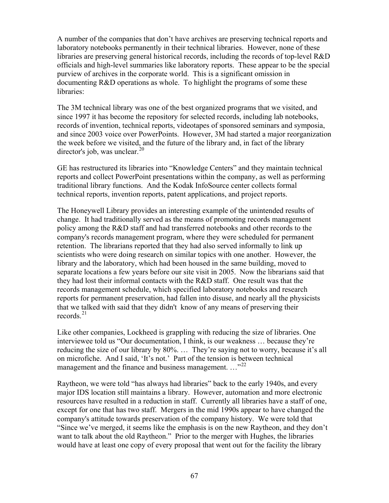A number of the companies that don't have archives are preserving technical reports and laboratory notebooks permanently in their technical libraries. However, none of these libraries are preserving general historical records, including the records of top-level R&D officials and high-level summaries like laboratory reports. These appear to be the special purview of archives in the corporate world. This is a significant omission in documenting R&D operations as whole. To highlight the programs of some these libraries:

The 3M technical library was one of the best organized programs that we visited, and since 1997 it has become the repository for selected records, including lab notebooks, records of invention, technical reports, videotapes of sponsored seminars and symposia, and since 2003 voice over PowerPoints. However, 3M had started a major reorganization the week before we visited, and the future of the library and, in fact of the library director's job, was unclear. $20$ 

GE has restructured its libraries into "Knowledge Centers" and they maintain technical reports and collect PowerPoint presentations within the company, as well as performing traditional library functions. And the Kodak InfoSource center collects formal technical reports, invention reports, patent applications, and project reports.

The Honeywell Library provides an interesting example of the unintended results of change. It had traditionally served as the means of promoting records management policy among the R&D staff and had transferred notebooks and other records to the company's records management program, where they were scheduled for permanent retention. The librarians reported that they had also served informally to link up scientists who were doing research on similar topics with one another. However, the library and the laboratory, which had been housed in the same building, moved to separate locations a few years before our site visit in 2005. Now the librarians said that they had lost their informal contacts with the R&D staff. One result was that the records management schedule, which specified laboratory notebooks and research reports for permanent preservation, had fallen into disuse, and nearly all the physicists that we talked with said that they didn't know of any means of preserving their records. $21$ 

Like other companies, Lockheed is grappling with reducing the size of libraries. One interviewee told us "Our documentation, I think, is our weakness … because they're reducing the size of our library by 80%. … They're saying not to worry, because it's all on microfiche. And I said, 'It's not.' Part of the tension is between technical management and the finance and business management. ..."<sup>[22](#page-71-1)</sup>

Raytheon, we were told "has always had libraries" back to the early 1940s, and every major IDS location still maintains a library. However, automation and more electronic resources have resulted in a reduction in staff. Currently all libraries have a staff of one, except for one that has two staff. Mergers in the mid 1990s appear to have changed the company's attitude towards preservation of the company history. We were told that "Since we've merged, it seems like the emphasis is on the new Raytheon, and they don't want to talk about the old Raytheon." Prior to the merger with Hughes, the libraries would have at least one copy of every proposal that went out for the facility the library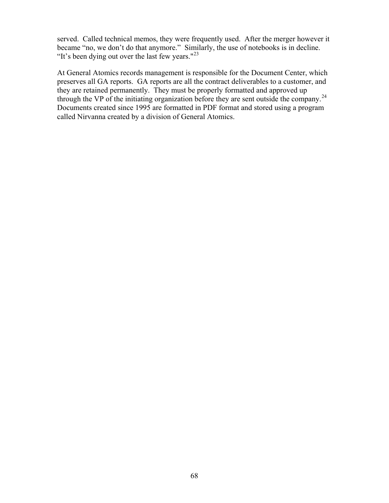served. Called technical memos, they were frequently used. After the merger however it became "no, we don't do that anymore." Similarly, the use of notebooks is in decline. "It's been dying out over the last few years."<sup>[23](#page-71-1)</sup>

At General Atomics records management is responsible for the Document Center, which preserves all GA reports. GA reports are all the contract deliverables to a customer, and they are retained permanently. They must be properly formatted and approved up through the VP of the initiating organization before they are sent outside the company.<sup>[24](#page-71-1)</sup> Documents created since 1995 are formatted in PDF format and stored using a program called Nirvanna created by a division of General Atomics.